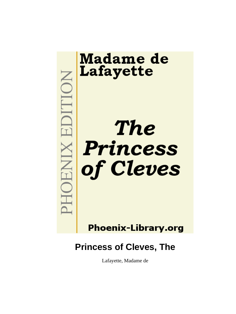

Lafayette, Madame de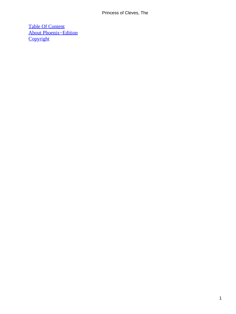[Table Of Content](#page-102-0) [About Phoenix−Edition](#page-103-0) **[Copyright](#page-106-0)**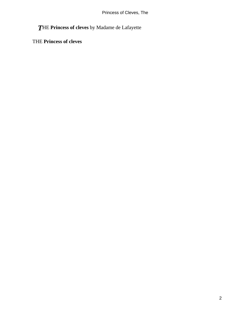*T*HE **Princess of cleves** by Madame de Lafayette

THE **Princess of cleves**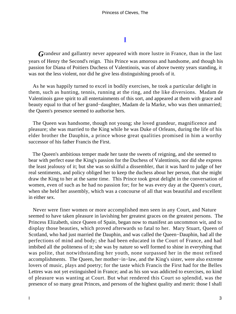## **[I](#page-102-0)**

*G*randeur and gallantry never appeared with more lustre in France, than in the last years of Henry the Second's reign. This Prince was amorous and handsome, and though his passion for Diana of Poitiers Duchess of Valentinois, was of above twenty years standing, it was not the less violent, nor did he give less distinguishing proofs of it.

 As he was happily turned to excel in bodily exercises, he took a particular delight in them, such as hunting, tennis, running at the ring, and the like diversions. Madam de Valentinois gave spirit to all entertainments of this sort, and appeared at them with grace and beauty equal to that of her grand−daughter, Madam de la Marke, who was then unmarried; the Queen's presence seemed to authorise hers.

 The Queen was handsome, though not young; she loved grandeur, magnificence and pleasure; she was married to the King while he was Duke of Orleans, during the life of his elder brother the Dauphin, a prince whose great qualities promised in him a worthy successor of his father Francis the First.

 The Queen's ambitious temper made her taste the sweets of reigning, and she seemed to bear with perfect ease the King's passion for the Duchess of Valentinois, nor did she express the least jealousy of it; but she was so skilful a dissembler, that it was hard to judge of her real sentiments, and policy obliged her to keep the duchess about her person, that she might draw the King to her at the same time. This Prince took great delight in the conversation of women, even of such as he had no passion for; for he was every day at the Queen's court, when she held her assembly, which was a concourse of all that was beautiful and excellent in either sex.

 Never were finer women or more accomplished men seen in any Court, and Nature seemed to have taken pleasure in lavishing her greatest graces on the greatest persons. The Princess Elizabeth, since Queen of Spain, began now to manifest an uncommon wit, and to display those beauties, which proved afterwards so fatal to her. Mary Stuart, Queen of Scotland, who had just married the Dauphin, and was called the Queen−Dauphin, had all the perfections of mind and body; she had been educated in the Court of France, and had imbibed all the politeness of it; she was by nature so well formed to shine in everything that was polite, that notwithstanding her youth, none surpassed her in the most refined accomplishments. The Queen, her mother−in−law, and the King's sister, were also extreme lovers of music, plays and poetry; for the taste which Francis the First had for the Belles Lettres was not yet extinguished in France; and as his son was addicted to exercises, no kind of pleasure was wanting at Court. But what rendered this Court so splendid, was the presence of so many great Princes, and persons of the highest quality and merit: those I shall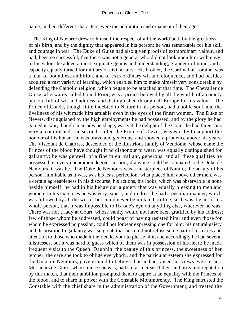name, in their different characters, were the admiration and ornament of their age.

 The King of Navarre drew to himself the respect of all the world both by the greatness of his birth, and by the dignity that appeared in his person; he was remarkable for his skill and courage in war. The Duke of Guise had also given proofs of extraordinary valour, and had, been so successful, that there was not a general who did not look upon him with envy; to his valour he added a most exquisite genius and understanding, grandeur of mind, and a capacity equally turned for military or civil affairs. His brother, the Cardinal of Loraine, was a man of boundless ambition, and of extraordinary wit and eloquence, and had besides acquired a vast variety of learning, which enabled him to make himself very considerable by defending the Catholic religion, which began to be attacked at that time. The Chevalier de Guise, afterwards called Grand Prior, was a prince beloved by all the world, of a comely person, full of wit and address, and distinguished through all Europe for his valour. The Prince of Conde, though little indebted to Nature in his person, had a noble soul, and the liveliness of his wit made him amiable even in the eyes of the finest women. The Duke of Nevers, distinguished by the high employments he had possessed, and by the glory he had gained in war, though in an advanced age, was yet the delight of the Court: he had three sons very accomplished; the second, called the Prince of Cleves, was worthy to support the honour of his house; he was brave and generous, and showed a prudence above his years. The Viscount de Chartres, descended of the illustrious family of Vendome, whose name the Princes of the blood have thought it no dishonour to wear, was equally distinguished for gallantry; he was genteel, of a fine mien, valiant, generous, and all these qualities he possessed in a very uncommon degree; in short, if anyone could be compared to the Duke de Nemours, it was he. The Duke de Nemours was a masterpiece of Nature; the beauty of his person, inimitable as it was, was his least perfection; what placed him above other men, was a certain agreeableness in his discourse, his actions, his looks, which was observable in none beside himself: he had in his behaviour a gaiety that was equally pleasing to men and women; in his exercises he was very expert; and in dress he had a peculiar manner, which was followed by all the world, but could never be imitated: in fine, such was the air of his whole person, that it was impossible to fix one's eye on anything else, wherever he was. There was not a lady at Court, whose vanity would not have been gratified by his address; few of those whom he addressed, could boast of having resisted him; and even those for whom he expressed no passion, could not forbear expressing one for him: his natural gaiety and disposition to gallantry was so great, that he could not refuse some part of his cares and attention to those who made it their endeavour to please him; and accordingly he had several mistresses, but it was hard to guess which of them was in possession of his heart: he made frequent visits to the Queen−Dauphin; the beauty of this princess, the sweetness of her temper, the care she took to oblige everybody, and the particular esteem she expressed for the Duke de Nemours, gave ground to believe that he had raised his views even to her. Messieurs de Guise, whose niece she was, had so far increased their authority and reputation by this match, that their ambition prompted them to aspire at an equality with the Princes of the blood, and to share in power with the Constable Montmorency. The King entrusted the Constable with the chief share in the administration of the Government, and treated the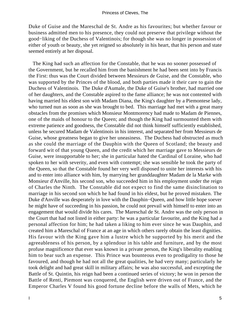Duke of Guise and the Mareschal de St. Andre as his favourites; but whether favour or business admitted men to his presence, they could not preserve that privilege without the good−liking of the Duchess of Valentinois; for though she was no longer in possession of either of youth or beauty, she yet reigned so absolutely in his heart, that his person and state seemed entirely at her disposal.

 The King had such an affection for the Constable, that he was no sooner possessed of the Government, but he recalled him from the banishment he had been sent into by Francis the First: thus was the Court divided between Messieurs de Guise, and the Constable, who was supported by the Princes of the blood, and both parties made it their care to gain the Duchess of Valentinois. The Duke d'Aumale, the Duke of Guise's brother, had married one of her daughters, and the Constable aspired to the fame alliance; he was not contented with having married his eldest son with Madam Diana, the King's daughter by a Piemontese lady, who turned nun as soon as she was brought to bed. This marriage had met with a great many obstacles from the promises which Monsieur Montmorency had made to Madam de Piennes, one of the maids of honour to the Queen; and though the King had surmounted them with extreme patience and goodness, the Constable did not think himself sufficiently established, unless he secured Madam de Valentinois in his interest, and separated her from Messieurs de Guise, whose greatness began to give her uneasiness. The Duchess had obstructed as much as she could the marriage of the Dauphin with the Queen of Scotland; the beauty and forward wit of that young Queen, and the credit which her marriage gave to Messieurs de Guise, were insupportable to her; she in particular hated the Cardinal of Loraine, who had spoken to her with severity, and even with contempt; she was sensible he took the party of the Queen, so that the Constable found her very well disposed to unite her interests with his and to enter into alliance with him, by marrying her granddaughter Madam de la Marke with Monsieur d'Anville, his second son, who succeeded him in his employment under the reign of Charles the Ninth. The Constable did not expect to find the same disinclination to marriage in his second son which he had found in his eldest, but he proved mistaken. The Duke d'Anville was desperately in love with the Dauphin−Queen, and how little hope soever he might have of succeeding in his passion, he could not prevail with himself to enter into an engagement that would divide his cares. The Mareschal de St. Andre was the only person in the Court that had not listed in either party: he was a particular favourite, and the King had a personal affection for him; he had taken a liking to him ever since he was Dauphin, and created him a Mareschal of France at an age in which others rarely obtain the least dignities. His favour with the King gave him a lustre which he supported by his merit and the agreeableness of his person, by a splendour in his table and furniture, and by the most profuse magnificence that ever was known in a private person, the King's liberality enabling him to bear such an expense. This Prince was bounteous even to prodigality to those he favoured, and though he had not all the great qualities, he had very many; particularly he took delight and had great skill in military affairs; he was also successful, and excepting the Battle of St. Quintin, his reign had been a continued series of victory; he won in person the Battle of Renti, Piemont was conquered, the English were driven out of France, and the Emperor Charles V found his good fortune decline before the walls of Mets, which he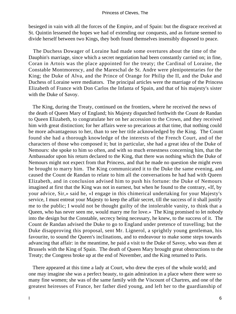besieged in vain with all the forces of the Empire, and of Spain: but the disgrace received at St. Quintin lessened the hopes we had of extending our conquests, and as fortune seemed to divide herself between two Kings, they both found themselves insensibly disposed to peace.

 The Duchess Dowager of Loraine had made some overtures about the time of the Dauphin's marriage, since which a secret negotiation had been constantly carried on; in fine, Coran in Artois was the place appointed for the treaty; the Cardinal of Loraine, the Constable Montmorency, and the Mareschal de St. Andre were plenipotentaries for the King; the Duke of Alva, and the Prince of Orange for Philip the II, and the Duke and Duchess of Loraine were mediators. The principal articles were the marriage of the Princess Elizabeth of France with Don Carlos the Infanta of Spain, and that of his majesty's sister with the Duke of Savoy.

 The King, during the Treaty, continued on the frontiers, where he received the news of the death of Queen Mary of England; his Majesty dispatched forthwith the Count de Randan to Queen Elizabeth, to congratulate her on her accession to the Crown, and they received him with great distinction; for her affairs were so precarious at that time, that nothing could be more advantageous to her, than to see her title acknowledged by the King. The Count found she had a thorough knowledge of the interests of the French Court, and of the characters of those who composed it; but in particular, she had a great idea of the Duke of Nemours: she spoke to him so often, and with so much ernestness concerning him, that the Ambassador upon his return declared to the King, that there was nothing which the Duke of Nemours might not expect from that Princess, and that he made no question she might even be brought to marry him. The King communicated it to the Duke the same evening, and caused the Count de Randan to relate to him all the conversations he had had with Queen Elizabeth, and in conclusion advised him to push his fortune: the Duke of Nemours imagined at first that the King was not in earnest, but when he found to the contrary, «If, by your advice, Sir,» said he, «I engage in this chimerical undertaking for your Majesty's service, I must entreat your Majesty to keep the affair secret, till the success of it shall justify me to the public; I would not be thought guilty of the intolerable vanity, to think that a Queen, who has never seen me, would marry me for love.» The King promised to let nobody into the design but the Constable, secrecy being necessary, he knew, to the success of it. The Count de Randan advised the Duke to go to England under pretence of travelling; but the Duke disapproving this proposal, sent Mr. Lignerol, a sprightly young gentleman, his favourite, to sound the Queen's inclinations, and to endeavour to make some steps towards advancing that affair: in the meantime, he paid a visit to the Duke of Savoy, who was then at Brussels with the King of Spain. The death of Queen Mary brought great obstructions to the Treaty; the Congress broke up at the end of November, and the King returned to Paris.

 There appeared at this time a lady at Court, who drew the eyes of the whole world; and one may imagine she was a perfect beauty, to gain admiration in a place where there were so many fine women; she was of the same family with the Viscount of Chartres, and one of the greatest heiresses of France, her father died young, and left her to the guardianship of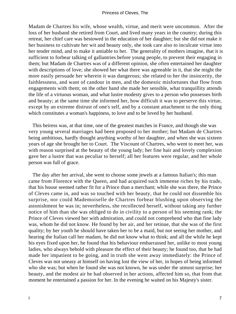Madam de Chartres his wife, whose wealth, virtue, and merit were uncommon. After the loss of her husband she retired from Court, and lived many years in the country; during this retreat, her chief care was bestowed in the education of her daughter; but she did not make it her business to cultivate her wit and beauty only, she took care also to inculcate virtue into her tender mind, and to make it amiable to her. The generality of mothers imagine, that it is sufficient to forbear talking of gallantries before young people, to prevent their engaging in them; but Madam de Chartres was of a different opinion, she often entertained her daughter with descriptions of love; she showed her what there was agreeable in it, that she might the more easily persuade her wherein it was dangerous; she related to her the insincerity, the faithlessness, and want of candour in men, and the domestic misfortunes that flow from engagements with them; on the other hand she made her sensible, what tranquillity attends the life of a virtuous woman, and what lustre modesty gives to a person who possesses birth and beauty; at the same time she informed her, how difficult it was to perserve this virtue, except by an extreme distrust of one's self, and by a constant attachment to the only thing which constitutes a woman's happiness, to love and to be loved by her husband.

 This heiress was, at that time, one of the greatest matches in France, and though she was very young several marriages had been proposed to her mother; but Madam de Chartres being ambitious, hardly thought anything worthy of her daughter, and when she was sixteen years of age she brought her to Court. The Viscount of Chartres, who went to meet her, was with reason surprised at the beauty of the young lady; her fine hair and lovely complexion gave her a lustre that was peculiar to herself; all her features were regular, and her whole person was full of grace.

 The day after her arrival, she went to choose some jewels at a famous Italian's; this man came from Florence with the Queen, and had acquired such immense riches by his trade, that his house seemed rather fit for a Prince than a merchant; while she was there, the Prince of Cleves came in, and was so touched with her beauty, that he could not dissemble his surprise, nor could Mademoiselle de Chartres forbear blushing upon observing the astonishment he was in; nevertheless, she recollected herself, without taking any further notice of him than she was obliged to do in civility to a person of his seeming rank; the Prince of Cleves viewed her with admiration, and could not comprehend who that fine lady was, whom he did not know. He found by her air, and her retinue, that she was of the first quality; by her youth he should have taken her to be a maid, but not seeing her mother, and hearing the Italian call her madam, he did not know what to think; and all the while he kept his eyes fixed upon her, he found that his behaviour embarrassed her, unlike to most young ladies, who always behold with pleasure the effect of their beauty; he found too, that he had made her impatient to be going, and in truth she went away immediately: the Prince of Cleves was not uneasy at himself on having lost the view of her, in hopes of being informed who she was; but when he found she was not known, he was under the utmost surprise; her beauty, and the modest air he had observed in her actions, affected him so, that from that moment he entertained a passion for her. In the evening he waited on his Majesty's sister.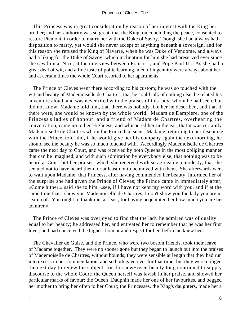This Princess was in great consideration by reason of her interest with the King her brother; and her authority was so great, that the King, on concluding the peace, consented to restore Piemont, in order to marry her with the Duke of Savoy. Though she had always had a disposition to marry, yet would she never accept of anything beneath a sovereign, and for this reason she refused the King of Navarre, when he was Duke of Vendome, and always had a liking for the Duke of Savoy; which inclination for him she had preserved ever since she saw him at Nice, at the interview between Francis I, and Pope Paul III. As she had a great deal of wit, and a fine taste of polite learning, men of ingenuity were always about her, and at certain times the whole Court resorted to her apartments.

 The Prince of Cleves went there according to his custom; he was so touched with the wit and beauty of Mademoiselle de Chartres, that he could talk of nothing else; he related his adventure aloud, and was never tired with the praises of this lady, whom he had seen, but did not know; Madame told him, that there was nobody like her he described, and that if there were, she would be known by the whole world. Madam de Dampiere, one of the Princess's ladies of honour, and a friend of Madam de Chartres, overhearing the conversation, came up to her Highness, and whispered her in the ear, that it was certainly Mademoiselle de Chartres whom the Prince had seen. Madame, returning to her discourse with the Prince, told him, if he would give her his company again the next morning, he should see the beauty he was so much touched with. Accordingly Mademoiselle de Chartres came the next day to Court, and was received by both Queens in the most obliging manner that can be imagined, and with such admiration by everybody else, that nothing was to be heard at Court but her praises, which she received with so agreeable a modesty, that she seemed not to have heard them, or at least not to be moved with them. She afterwards went to wait upon Madame; that Princess, after having commended her beauty, informed her of the surprise she had given the Prince of Cleves; the Prince came in immediately after; «Come hither,» said she to him, «see, if I have not kept my word with you, and if at the same time that I show you Mademoiselle de Chartres, I don't show you the lady you are in search of. You ought to thank me, at least, for having acquainted her how much you are her admirer.»

 The Prince of Cleves was overjoyed to find that the lady he admired was of quality equal to her beauty; he addressed her, and entreated her to remember that he was her first lover, and had conceived the highest honour and respect for her, before he knew her.

 The Chevalier de Guise, and the Prince, who were two bosom friends, took their leave of Madame together. They were no sooner gone but they began to launch out into the praises of Mademoiselle de Chartres, without bounds; they were sensible at length that they had run into excess in her commendation, and so both gave over for that time; but they were obliged the next day to renew the subject, for this new−risen beauty long continued to supply discourse to the whole Court; the Queen herself was lavish in her praise, and showed her particular marks of favour; the Queen−Dauphin made her one of her favourites, and begged her mother to bring her often to her Court; the Princesses, the King's daughters, made her a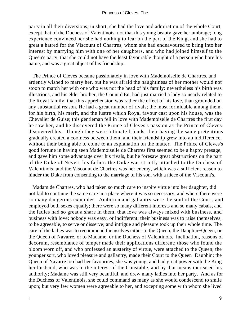party in all their diversions; in short, she had the love and admiration of the whole Court, except that of the Duchess of Valentinois: not that this young beauty gave her umbrage; long experience convinced her she had nothing to fear on the part of the King, and she had to great a hatred for the Viscount of Chartres, whom she had endeavoured to bring into her interest by marrying him with one of her daughters, and who had joined himself to the Queen's party, that she could not have the least favourable thought of a person who bore his name, and was a great object of his friendship.

 The Prince of Cleves became passionately in love with Mademoiselle de Chartres, and ardently wished to marry her, but he was afraid the haughtiness of her mother would not stoop to match her with one who was not the head of his family: nevertheless his birth was illustrious, and his elder brother, the Count d'En, had just married a lady so nearly related to the Royal family, that this apprehension was rather the effect of his love, than grounded on any substantial reason. He had a great number of rivals; the most formidable among them, for his birth, his merit, and the lustre which Royal favour cast upon his house, was the Chevalier de Guise; this gentleman fell in love with Mademoiselle de Chartres the first day he saw her, and he discovered the Prince of Cleves's passion as the Prince of Cleves discovered his. Though they were intimate friends, their having the same pretentions gradually created a coolness between them, and their friendship grew into an indifference, without their being able to come to an explanation on the matter. The Prince of Cleves's good fortune in having seen Mademoiselle de Chartres first seemed to be a happy presage, and gave him some advantage over his rivals, but he foresaw great obstructions on the part of the Duke of Nevers his father: the Duke was strictly attached to the Duchess of Valentinois, and the Viscount de Chartres was her enemy, which was a sufficient reason to hinder the Duke from consenting to the marriage of his son, with a niece of the Viscount's.

 Madam de Chartres, who had taken so much care to inspire virtue into her daughter, did not fail to continue the same care in a place where it was so necessary, and where there were so many dangerous examples. Ambition and gallantry were the soul of the Court, and employed both sexes equally; there were so many different interests and so many cabals, and the ladies had so great a share in them, that love was always mixed with business, and business with love: nobody was easy, or indifferent; their business was to raise themselves, to be agreeable, to serve or disserve; and intrigue and pleasure took up their whole time. The care of the ladies was to recommend themselves either to the Queen, the Dauphin−Queen, or the Queen of Navarre, or to Madame, or the Duchess of Valentinois. Inclination, reasons of decorum, resemblance of temper made their applications different; those who found the bloom worn off, and who professed an austerity of virtue, were attached to the Queen; the younger sort, who loved pleasure and gallantry, made their Court to the Queen−Dauphin; the Queen of Navarre too had her favourites, she was young, and had great power with the King her husband, who was in the interest of the Constable, and by that means increased his authority; Madame was still very beautiful, and drew many ladies into her party. And as for the Duchess of Valentinois, she could command as many as she would condescend to smile upon; but very few women were agreeable to her, and excepting some with whom she lived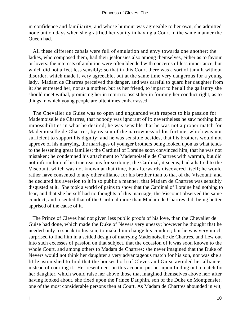in confidence and familiarity, and whose humour was agreeable to her own, she admitted none but on days when she gratified her vanity in having a Court in the same manner the Queen had.

 All these different cabals were full of emulation and envy towards one another; the ladies, who composed them, had their jealousies also among themselves, either as to favour or lovers: the interests of ambition were often blended with concerns of less importance, but which did not affect less sensibly; so that in this Court there was a sort of tumult without disorder, which made it very agreeable, but at the same time very dangerous for a young lady. Madam de Chartres perceived the danger, and was careful to guard her daughter from it; she entreated her, not as a mother, but as her friend, to impart to her all the gallantry she should meet withal, promising her in return to assist her in forming her conduct right, as to things in which young people are oftentimes embarrassed.

 The Chevalier de Guise was so open and unguarded with respect to his passion for Mademoiselle de Chartres, that nobody was ignorant of it: nevertheless he saw nothing but impossibilities in what he desired; he was sensible that he was not a proper match for Mademoiselle de Chartres, by reason of the narrowness of his fortune, which was not sufficient to support his dignity; and he was sensible besides, that his brothers would not approve of his marrying, the marriages of younger brothers being looked upon as what tends to the lessening great families; the Cardinal of Loraine soon convinced him, that he was not mistaken; he condemned his attachment to Mademoiselle de Chartres with warmth, but did not inform him of his true reasons for so doing; the Cardinal, it seems, had a hatred to the Viscount, which was not known at that time, but afterwards discovered itself; he would rather have consented to any other alliance for his brother than to that of the Viscount; and he declared his aversion to it in so public a manner, that Madam de Chartres was sensibly disgusted at it. She took a world of pains to show that the Cardinal of Loraine had nothing to fear, and that she herself had no thoughts of this marriage; the Viscount observed the same conduct, and resented that of the Cardinal more than Madam de Chartres did, being better apprised of the cause of it.

 The Prince of Cleves had not given less public proofs of his love, than the Chevalier de Guise had done, which made the Duke of Nevers very uneasy; however he thought that he needed only to speak to his son, to make him change his conduct; but he was very much surprised to find him in a settled design of marrying Mademoiselle de Chartres, and flew out into such excesses of passion on that subject, that the occasion of it was soon known to the whole Court, and among others to Madam de Chartres: she never imagined that the Duke of Nevers would not think her daughter a very advantageous match for his son, nor was she a little astonished to find that the houses both of Cleves and Guise avoided her alliance, instead of courting it. Her resentment on this account put her upon finding out a match for her daughter, which would raise her above those that imagined themselves above her; after having looked about, she fixed upon the Prince Dauphin, son of the Duke de Montpensier, one of the most considerable persons then at Court. As Madam de Chartres abounded in wit,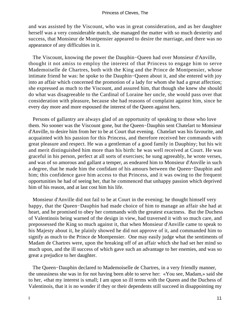and was assisted by the Viscount, who was in great consideration, and as her daughter herself was a very considerable match, she managed the matter with so much dexterity and success, that Monsieur de Montpensier appeared to desire the marriage, and there was no appearance of any difficulties in it.

 The Viscount, knowing the power the Dauphin−Queen had over Monsieur d'Anville, thought it not amiss to employ the interest of that Princess to engage him to serve Mademoiselle de Chartres, both with the King and the Prince de Montpensier, whose intimate friend he was: he spoke to the Dauphin−Queen about it, and she entered with joy into an affair which concerned the promotion of a lady for whom she had a great affection; she expressed as much to the Viscount, and assured him, that though she knew she should do what was disagreeable to the Cardinal of Loraine her uncle, she would pass over that consideration with pleasure, because she had reasons of complaint against him, since he every day more and more espoused the interest of the Queen against hers.

 Persons of gallantry are always glad of an opportunity of speaking to those who love them. No sooner was the Viscount gone, but the Queen−Dauphin sent Chatelart to Monsieur d'Anville, to desire him from her to be at Court that evening. Chatelart was his favourite, and acquainted with his passion for this Princess, and therefore received her commands with great pleasure and respect. He was a gentleman of a good family in Dauphiny; but his wit and merit distinguished him more than his birth: he was well received at Court. He was graceful in his person, perfect at all sorts of exercises; he sung agreeably, he wrote verses, and was of so amorous and gallant a temper, as endeared him to Monsieur d'Anville in such a degree, that he made him the confidant of his amours between the Queen−Dauphin and him; this confidence gave him access to that Princess, and it was owing to the frequent opportunities he had of seeing her, that he commenced that unhappy passion which deprived him of his reason, and at last cost him his life.

 Monsieur d'Anville did not fail to be at Court in the evening; he thought himself very happy, that the Queen−Dauphin had made choice of him to manage an affair she had at heart, and he promised to obey her commands with the greatest exactness. But the Duchess of Valentinois being warned of the design in view, had traversed it with so much care, and prepossessed the King so much against it, that when Monsieur d'Anville came to speak to his Majesty about it, he plainly showed he did not approve of it, and commanded him to signify as much to the Prince de Montpensier. One may easily judge what the sentiments of Madam de Chartres were, upon the breaking off of an affair which she had set her mind so much upon, and the ill success of which gave such an advantage to her enemies, and was so great a prejudice to her daughter.

 The Queen−Dauphin declared to Mademoiselle de Chartres, in a very friendly manner, the uneasiness she was in for not having been able to serve her: «You see, Madam,» said she to her, «that my interest is small; I am upon so ill terms with the Queen and the Duchess of Valentinois, that it is no wonder if they or their dependents still succeed in disappointing my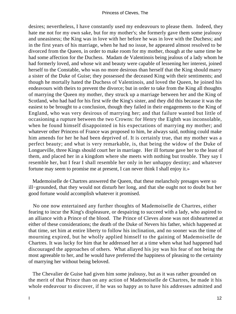desires; nevertheless, I have constantly used my endeavours to please them. Indeed, they hate me not for my own sake, but for my mother's; she formerly gave them some jealousy and uneasiness; the King was in love with her before he was in love with the Duchess; and in the first years of his marriage, when he had no issue, he appeared almost resolved to be divorced from the Queen, in order to make room for my mother, though at the same time he had some affection for the Duchess. Madam de Valentinois being jealous of a lady whom he had formerly loved, and whose wit and beauty were capable of lessening her interest, joined herself to the Constable, who was no more desirous than herself that the King should marry a sister of the Duke of Guise; they possessed the deceased King with their sentiments; and though he mortally hated the Duchess of Valentinois, and loved the Queen, he joined his endeavours with theirs to prevent the divorce; but in order to take from the King all thoughts of marrying the Queen my mother, they struck up a marriage between her and the King of Scotland, who had had for his first wife the King's sister, and they did this because it was the easiest to be brought to a conclusion, though they failed in their engagements to the King of England, who was very desirous of marrying her; and that failure wanted but little of occasioning a rupture between the two Crowns: for Henry the Eighth was inconsolable, when he found himself disappointed in his expectations of marrying my mother; and whatever other Princess of France was proposed to him, he always said, nothing could make him amends for her he had been deprived of. It is certainly true, that my mother was a perfect beauty; and what is very remarkable, is, that being the widow of the Duke of Longueville, three Kings should court her in marriage. Her ill fortune gave her to the least of them, and placed her in a kingdom where she meets with nothing but trouble. They say I resemble her, but I fear I shall resemble her only in her unhappy destiny; and whatever fortune may seem to promise me at present, I can never think I shall enjoy it.»

 Mademoiselle de Chartres answered the Queen, that these melancholy presages were so ill−grounded, that they would not disturb her long, and that she ought not to doubt but her good fortune would accomplish whatever it promised.

 No one now entertained any further thoughts of Mademoiselle de Chartres, either fearing to incur the King's displeasure, or despairing to succeed with a lady, who aspired to an alliance with a Prince of the blood. The Prince of Cleves alone was not disheartened at either of these considerations; the death of the Duke of Nevers his father, which happened at that time, set him at entire liberty to follow his inclination, and no sooner was the time of mourning expired, but he wholly applied himself to the gaining of Mademoiselle de Chartres. It was lucky for him that he addressed her at a time when what had happened had discouraged the approaches of others. What allayed his joy was his fear of not being the most agreeable to her, and he would have preferred the happiness of pleasing to the certainty of marrying her without being beloved.

 The Chevalier de Guise had given him some jealousy, but as it was rather grounded on the merit of that Prince than on any action of Mademoiselle de Chartres, he made it his whole endeavour to discover, if he was so happy as to have his addresses admitted and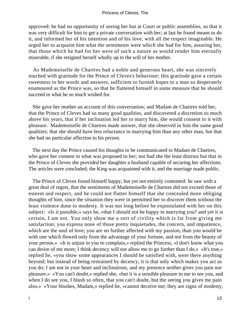approved: he had no opportunity of seeing her but at Court or public assemblies, so that it was very difficult for him to get a private conversation with her; at last he found means to do it, and informed her of his intention and of his love, with all the respect imaginable. He urged her to acquaint him what the sentiments were which she had for him, assuring her, that those which he had for her were of such a nature as would render him eternally miserable, if she resigned herself wholly up to the will of her mother.

 As Mademoiselle de Chartres had a noble and generous heart, she was sincerely touched with gratitude for the Prince of Cleves's behaviour; this gratitude gave a certain sweetness to her words and answers, sufficient to furnish hopes to a man so desperately enamoured as the Prince was, so that he flattered himself in some measure that he should succeed in what he so much wished for.

 She gave her mother an account of this conversation; and Madam de Chartres told her, that the Prince of Cleves had so many good qualities, and discovered a discretion so much above his years, that if her inclination led her to marry him, she would consent to it with pleasure. Mademoiselle de Chartres made answer, that she observed in him the same good qualities; that she should have less reluctance in marrying him than any other man, but that she had no particular affection to his person.

 The next day the Prince caused his thoughts to be communicated to Madam de Chartres, who gave her consent to what was proposed to her; nor had she the least distrust but that in the Prince of Cleves she provided her daughter a husband capable of securing her affections. The articles were concluded; the King was acquainted with it, and the marriage made public.

 The Prince of Cleves found himself happy, but yet not entirely contented: he saw with a great deal of regret, that the sentiments of Mademoiselle de Chartres did not exceed those of esteem and respect, and he could not flatter himself that she concealed more obliging thoughts of him, since the situation they were in permitted her to discover them without the least violence done to modesty. It was not long before he expostulated with her on this subject: «Is it possible,» says he, «that I should not be happy in marrying you? and yet it is certain, I am not. You only show me a sort of civility which is far from giving me satisfaction; you express none of those pretty inquietudes, the concern, and impatience, which are the soul of love; you are no further affected with my passion, than you would be with one which flowed only from the advantage of your fortune, and not from the beauty of your person.» «It is unjust in you to complain,» replied the Princess, «I don't know what you can desire of me more; I think decency will not allow me to go further than I do.» «It's true,» replied he, «you show some appearances I should be satisfied with, were there anything beyond; but instead of being restrained by decency, it is that only which makes you act as you do; I am not in your heart and inclinations, and my presence neither gives you pain nor pleasure.» «You can't doubt,» replied she, «but it is a sensible pleasure to me to see you, and when I do see you, I blush so often, that you can't doubt, but the seeing you gives me pain also.» «Your blushes, Madam,» replied he, «cannot deceive me; they are signs of modesty,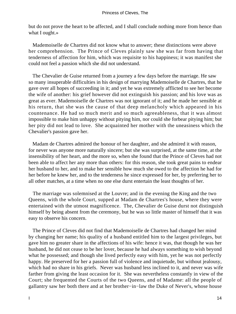but do not prove the heart to be affected, and I shall conclude nothing more from hence than what I ought.»

 Mademoiselle de Chartres did not know what to answer; these distinctions were above her comprehension. The Prince of Cleves plainly saw she was far from having that tenderness of affection for him, which was requisite to his happiness; it was manifest she could not feel a passion which she did not understand.

 The Chevalier de Guise returned from a journey a few days before the marriage. He saw so many insuperable difficulties in his design of marrying Mademoiselle de Chartres, that he gave over all hopes of succeeding in it; and yet he was extremely afflicted to see her become the wife of another: his grief however did not extinguish his passion; and his love was as great as ever. Mademoiselle de Chartres was not ignorant of it; and he made her sensible at his return, that she was the cause of that deep melancholy which appeared in his countenance. He had so much merit and so much agreeableness, that it was almost impossible to make him unhappy without pitying him, nor could she forbear pitying him; but her pity did not lead to love. She acquainted her mother with the uneasiness which the Chevalier's passion gave her.

 Madam de Chartres admired the honour of her daughter, and she admired it with reason, for never was anyone more naturally sincere; but she was surprised, at the same time, at the insensibility of her heart, and the more so, when she found that the Prince of Cleves had not been able to affect her any more than others: for this reason, she took great pains to endear her husband to her, and to make her sensible how much she owed to the affection he had for her before he knew her, and to the tenderness he since expressed for her, by preferring her to all other matches, at a time when no one else durst entertain the least thoughts of her.

 The marriage was solemnised at the Louvre; and in the evening the King and the two Queens, with the whole Court, supped at Madam de Chartres's house, where they were entertained with the utmost magnificence. The, Chevalier de Guise durst not distinguish himself by being absent from the ceremony, but he was so little master of himself that it was easy to observe his concern.

 The Prince of Cleves did not find that Mademoiselle de Chartres had changed her mind by changing her name; his quality of a husband entitled him to the largest privileges, but gave him no greater share in the affections of his wife: hence it was, that though he was her husband, he did not cease to be her lover, because he had always something to wish beyond what he possessed; and though she lived perfectly easy with him, yet he was not perfectly happy. He preserved for her a passion full of violence and inquietude, but without jealousy, which had no share in his griefs. Never was husband less inclined to it, and never was wife farther from giving the least occasion for it. She was nevertheless constantly in view of the Court; she frequented the Courts of the two Queens, and of Madame: all the people of gallantry saw her both there and at her brother−in−law the Duke of Never's, whose house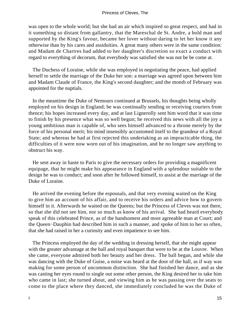was open to the whole world; but she had an air which inspired so great respect, and had in it something so distant from gallantry, that the Mareschal de St. Andre, a bold man and supported by the King's favour, became her lover without daring to let her know it any otherwise than by his cares and assiduities. A great many others were in the same condition: and Madam de Chartres had added to her daughter's discretion so exact a conduct with regard to everything of decorum, that everybody was satisfied she was not be be come at.

 The Duchess of Loraine, while she was employed in negotiating the peace, had applied herself to settle the marriage of the Duke her son: a marriage was agreed upon between him and Madam Claude of France, the King's second daughter; and the month of February was appointed for the nuptials.

 In the meantime the Duke of Nemours continued at Brussels, his thoughts being wholly employed on his design in England; he was continually sending or receiving couriers from thence; his hopes increased every day, and at last Lignerolly sent him word that it was time to finish by his presence what was so well begun; he received this news with all the joy a young ambitious man is capable of, who sees himself advanced to a throne merely by the force of his personal merit; his mind insensibly accustomed itself to the grandeur of a Royal State; and whereas he had at first rejected this undertaking as an impracticable thing, the difficulties of it were now worn out of his imagination, and he no longer saw anything to obstruct his way.

 He sent away in haste to Paris to give the necessary orders for providing a magnificent equipage, that he might make his appearance in England with a splendour suitable to the design he was to conduct; and soon after he followed himself, to assist at the marriage of the Duke of Loraine.

 He arrived the evening before the espousals, and that very evening waited on the King to give him an account of his affair, and to receive his orders and advice how to govern himself in it. Afterwards he waited on the Queens; but the Princess of Cleves was not there, so that she did not see him, nor so much as know of his arrival. She had heard everybody speak of this celebrated Prince, as of the handsomest and most agreeable man at Court; and the Queen−Dauphin had described him in such a manner, and spoke of him to her so often, that she had raised in her a curiosity and even impatience to see him.

 The Princess employed the day of the wedding in dressing herself, that she might appear with the greater advantage at the ball and royal banquet that were to be at the Louvre. When she came, everyone admired both her beauty and her dress. The ball began, and while she was dancing with the Duke of Guise, a noise was heard at the door of the hall, as if way was making for some person of uncommon distinction. She had finished her dance, and as she was casting her eyes round to single out some other person, the King desired her to take him who came in last; she turned about, and viewing him as he was passing over the seats to come to the place where they danced, she immediately concluded he was the Duke of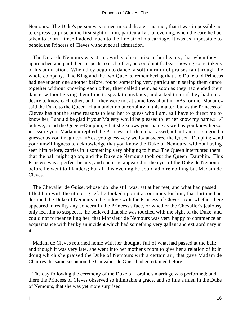Nemours. The Duke's person was turned in so delicate a manner, that it was impossible not to express surprise at the first sight of him, particularly that evening, when the care he had taken to adorn himself added much to the fine air of his carriage. It was as impossible to behold the Princess of Cleves without equal admiration.

 The Duke de Nemours was struck with such surprise at her beauty, that when they approached and paid their respects to each other, he could not forbear showing some tokens of his admiration. When they begun to dance, a soft murmur of praises ran through the whole company. The King and the two Queens, remembering that the Duke and Princess had never seen one another before, found something very particular in seeing them dance together without knowing each other; they called them, as soon as they had ended their dance, without giving them time to speak to anybody, and asked them if they had not a desire to know each other, and if they were not at some loss about it. «As for me, Madam,» said the Duke to the Queen, «I am under no uncertainty in this matter; but as the Princess of Cleves has not the same reasons to lead her to guess who I am, as I have to direct me to know her, I should be glad if your Majesty would be pleased to let her know my name.» «I believe,» said the Queen−Dauphin, «that she knows your name as well as you know hers.» «I assure you, Madam,» replied the Princess a little embarrassed, «that I am not so good a guesser as you imagine.» «Yes, you guess very well,» answered the Queen−Dauphin; «and your unwillingness to acknowledge that you know the Duke of Nemours, without having seen him before, carries in it something very obliging to him.» The Queen interrupted them, that the ball might go on; and the Duke de Nemours took out the Queen−Dauphin. This Princess was a perfect beauty, and such she appeared in the eyes of the Duke de Nemours, before he went to Flanders; but all this evening he could admire nothing but Madam de Cleves.

 The Chevalier de Guise, whose idol she still was, sat at her feet, and what had passed filled him with the utmost grief; he looked upon it as ominous for him, that fortune had destined the Duke of Nemours to be in love with the Princess of Cleves. And whether there appeared in reality any concern in the Princess's face, or whether the Chevalier's jealousy only led him to suspect it, he believed that she was touched with the sight of the Duke, and could not forbear telling her, that Monsieur de Nemours was very happy to commence an acquaintance with her by an incident which had something very gallant and extraordinary in it.

 Madam de Cleves returned home with her thoughts full of what had passed at the ball; and though it was very late, she went into her mother's room to give her a relation of it; in doing which she praised the Duke of Nemours with a certain air, that gave Madam de Chartres the same suspicion the Chevalier de Guise had entertained before.

 The day following the ceremony of the Duke of Loraine's marriage was performed; and there the Princess of Cleves observed so inimitable a grace, and so fine a mien in the Duke of Nemours, that she was yet more surprised.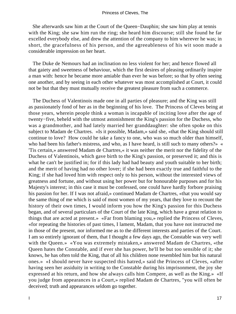She afterwards saw him at the Court of the Queen−Dauphin; she saw him play at tennis with the King; she saw him run the ring; she heard him discourse; still she found he far excelled everybody else, and drew the attention of the company to him wherever he was; in short, the gracefulness of his person, and the agreeableness of his wit soon made a considerable impression on her heart.

 The Duke de Nemours had an inclination no less violent for her; and hence flowed all that gaiety and sweetness of behaviour, which the first desires of pleasing ordinarily inspire a man with: hence he became more amiable than ever he was before; so that by often seeing one another, and by seeing in each other whatever was most accomplished at Court, it could not be but that they must mutually receive the greatest pleasure from such a commerce.

 The Duchess of Valentinois made one in all parties of pleasure; and the King was still as passionately fond of her as in the beginning of his love. The Princess of Cleves being at those years, wherein people think a woman is incapable of inciting love after the age of twenty−five, beheld with the utmost astonishment the King's passion for the Duchess, who was a grandmother, and had lately married her granddaughter: she often spoke on this subject to Madam de Chartres. «Is it possible, Madam,» said she, «that the King should still continue to love? How could he take a fancy to one, who was so much older than himself, who had been his father's mistress, and who, as I have heard, is still such to many others?» « 'Tis certain,» answered Madam de Chartres,« it was neither the merit nor the fidelity of the Duchess of Valentinois, which gave birth to the King's passion, or preserved it; and this is what he can't be justified in; for if this lady had had beauty and youth suitable to her birth; and the merit of having had no other lover; if she had been exactly true and faithful to the King; if she had loved him with respect only to his person, without the interested views of greatness and fortune, and without using her power but for honourable purposes and for his Majesty's interest; in this case it must be confessed, one could have hardly forbore praising his passion for her. If I was not afraid,» continued Madam de Chartres, «that you would say the same thing of me which is said of most women of my years, that they love to recount the history of their own times, I would inform you how the King's passion for this Duchess began, and of several particulars of the Court of the late King, which have a great relation to things that are acted at present.» «Far from blaming you,» replied the Princess of Cleves, «for repeating the histories of past times, I lament, Madam, that you have not instructed me in those of the present, nor informed me as to the different interests and parties of the Court. I am so entirely ignorant of them, that I thought a few days ago, the Constable was very well with the Queen.» «You was extremely mistaken,» answered Madam de Chartres, «the Queen hates the Constable, and if ever she has power, he'll be but too sensible of it; she knows, he has often told the King, that of all his children none resembled him but his natural ones.» «I should never have suspected this hatred,» said the Princess of Cleves, «after having seen her assiduity in writing to the Constable during his imprisonment, the joy she expressed at his return, and how she always calls him Compere, as well as the King.» «If you judge from appearances in a Court,» replied Madam de Chartres, "you will often be deceived; truth and appearances seldom go together.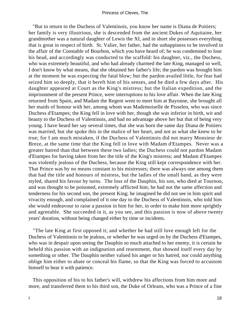"But to return to the Duchess of Valentinois, you know her name is Diana de Poitiers; her family is very illustrious, she is descended from the ancient Dukes of Aquitaine, her grandmother was a natural daughter of Lewis the XI, and in short she possesses everything that is great in respect of birth. St. Valier, her father, had the unhappiness to be involved in the affair of the Constable of Bourbon, which you have heard of; he was condemned to lose his head, and accordingly was conducted to the scaffold: his daughter, viz., the Duchess, who was extremely beautiful, and who had already charmed the late King, managed so well, I don't know by what means, that she obtained her father's life; the pardon was brought him at the moment he was expecting the fatal blow; but the pardon availed little, for fear had seized him so deeply, that it bereft him of his senses, and he died a few days after. His daughter appeared at Court as the King's mistress; but the Italian expedition, and the imprisonment of the present Prince, were interruptions to his love affair. When the late King returned from Spain, and Madam the Regent went to meet him at Bayonne, she brought all her maids of honour with her, among whom was Mademoiselle de Pisselen, who was since Duchess d'Etampes; the King fell in love with her, though she was inferior in birth, wit and beauty to the Duchess of Valentinois, and had no advantage above her but that of being very young. I have heard her say several times, that she was born the same day Diana de Poitiers was married, but she spoke this in the malice of her heart, and not as what she knew to be true; for I am much mistaken, if the Duchess of Valentinois did not marry Monsieur de Breze, at the same time that the King fell in love with Madam d'Etampes. Never was a greater hatred than that between these two ladies; the Duchess could not pardon Madam d'Etampes for having taken from her the title of the King's mistress; and Madam d'Etampes was violently jealous of the Duchess, because the King still kept correspondence with her. That Prince was by no means constant to his mistresses; there was always one among them that had the title and honours of mistress, but the ladies of the small band, as they were styled, shared his favour by turns. The loss of the Dauphin, his son, who died at Tournon, and was thought to be poisoned, extremely afflicted him; he had not the same affection and tenderness for his second son, the present King; he imagined he did not see in him spirit and vivacity enough, and complained of it one day to the Duchess of Valentinois, who told him she would endeavour to raise a passion in him for her, in order to make him more sprightly and agreeable. She succeeded in it, as you see, and this passion is now of above twenty years' duration, without being changed either by time or incidents.

 "The late King at first opposed it; and whether he had still love enough left for the Duchess of Valentinois to be jealous, or whether he was urged on by the Duchess d'Etampes, who was in despair upon seeing the Dauphin so much attached to her enemy, it is certain he beheld this passion with an indignation and resentment, that showed itself every day by something or other. The Dauphin neither valued his anger or his hatred, nor could anything oblige him either to abate or conceal his flame, so that the King was forced to accustom himself to bear it with patience.

 This opposition of his to his father's will, withdrew his affections from him more and more, and transferred them to his third son, the Duke of Orleans, who was a Prince of a fine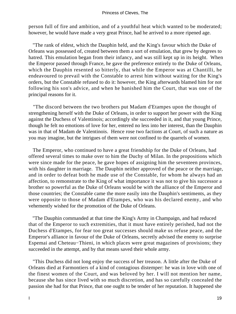person full of fire and ambition, and of a youthful heat which wanted to be moderated; however, he would have made a very great Prince, had he arrived to a more ripened age.

 "The rank of eldest, which the Dauphin held, and the King's favour which the Duke of Orleans was possessed of, created between them a sort of emulation, that grew by degrees to hatred. This emulation began from their infancy, and was still kept up in its height. When the Emperor passed through France, he gave the preference entirely to the Duke of Orleans, which the Dauphin resented so bitterly, that while the Emperor was at Chantilli, he endeavoured to prevail with the Constable to arrest him without waiting for the King's orders, but the Constable refused to do it: however, the King afterwards blamed him for not following his son's advice, and when he banished him the Court, that was one of the principal reasons for it.

 "The discord between the two brothers put Madam d'Etampes upon the thought of strengthening herself with the Duke of Orleans, in order to support her power with the King against the Duchess of Valentinois; accordingly she succeeded in it, and that young Prince, though he felt no emotions of love for her, entered no less into her interest, than the Dauphin was in that of Madam de Valentinois. Hence rose two factions at Court, of such a nature as you may imagine, but the intrigues of them were not confined to the quarrels of women.

 The Emperor, who continued to have a great friendship for the Duke of Orleans, had offered several times to make over to him the Duchy of Milan. In the propositions which were since made for the peace, he gave hopes of assigning him the seventeen provinces, with his daughter in marriage. The Dauphin neither approved of the peace or the marriage, and in order to defeat both he made use of the Constable, for whom he always had an affection, to remonstrate to the King of what importance it was not to give his successor a brother so powerful as the Duke of Orleans would be with the alliance of the Emperor and those countries; the Constable came the more easily into the Dauphin's sentiments, as they were opposite to those of Madam d'Etampes, who was his declared enemy, and who vehemently wished for the promotion of the Duke of Orleans.

 "The Dauphin commanded at that time the King's Army in Champaign, and had reduced that of the Emperor to such extremities, that it must have entirely perished, had not the Duchess d'Etampes, for fear too great successes should make us refuse peace, and the Emperor's alliance in favour of the Duke of Orleans, secretly advised the enemy to surprise Espemai and Cheteau−Thieni, in which places were great magazines of provisions; they succeeded in the attempt, and by that means saved their whole army.

 "This Duchess did not long enjoy the success of her treason. A little after the Duke of Orleans died at Farmontiers of a kind of contagious distemper: he was in love with one of the finest women of the Court, and was beloved by her. I will not mention her name, because she has since lived with so much discretion, and has so carefully concealed the passion she had for that Prince, that one ought to be tender of her reputation. It happened she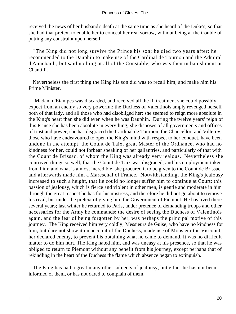received the news of her husband's death at the same time as she heard of the Duke's, so that she had that pretext to enable her to conceal her real sorrow, without being at the trouble of putting any constraint upon herself.

 "The King did not long survive the Prince his son; he died two years after; he recommended to the Dauphin to make use of the Cardinal de Tournon and the Admiral d'Annebault, but said nothing at all of the Constable, who was then in banishment at Chantilli.

 Nevertheless the first thing the King his son did was to recall him, and make him his Prime Minister.

 "Madam d'Etampes was discarded, and received all the ill treatment she could possibly expect from an enemy so very powerful; the Duchess of Valentinois amply revenged herself both of that lady, and all those who had disobliged her; she seemed to reign more absolute in the King's heart than she did even when he was Dauphin. During the twelve years' reign of this Prince she has been absolute in everything; she disposes of all governments and offices of trust and power; she has disgraced the Cardinal de Tournon, the Chancellor, and Villeroy; those who have endeavoured to open the King's mind with respect to her conduct, have been undone in the attempt; the Count de Taix, great Master of the Ordnance, who had no kindness for her, could not forbear speaking of her gallantries, and particularly of that with the Count de Brissac, of whom the King was already very jealous. Nevertheless she contrived things so well, that the Count de Taix was disgraced, and his employment taken from him; and what is almost incredible, she procured it to be given to the Count de Brissac, and afterwards made him a Mareschal of France. Notwithstanding, the King's jealousy increased to such a height, that lie could no longer suffer him to continue at Court: this passion of jealousy, which is fierce and violent in other men, is gentle and moderate in him through the great respect he has for his mistress, and therefore he did not go about to remove his rival, but under the pretext of giving him the Government of Piemont. He has lived there several years; last winter he returned to Paris, under pretence of demanding troops and other necessaries for the Army he commands; the desire of seeing the Duchess of Valentinois again, and the fear of being forgotten by her, was perhaps the principal motive of this journey. The King received him very coldly; Messieurs de Guise, who have no kindness for him, but dare not show it on account of the Duchess, made use of Monsieur the Viscount, her declared enemy, to prevent his obtaining what he came to demand. It was no difficult matter to do him hurt. The King hated him, and was uneasy at his presence, so that he was obliged to return to Piemont without any benefit from his journey, except perhaps that of rekindling in the heart of the Duchess the flame which absence began to extinguish.

 The King has had a great many other subjects of jealousy, but either he has not been informed of them, or has not dared to complain of them.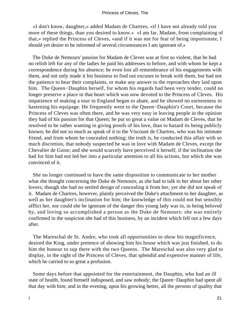«I don't know, daughter,» added Madam de Chartres, «if I have not already told you more of these things, than you desired to know.» «I am far, Madam, from complaining of that,» replied the Princess of Cleves, «and if it was not for fear of being importunate, I should yet desire to be informed of several circumstances I am ignorant of.»

 The Duke de Nemours' passion for Madam de Cleves was at first so violent, that he had no relish left for any of the ladies he paid his addresses to before, and with whom he kept a correspondence during his absence; he even lost all remembrance of his engagements with them, and not only made it his business to find out excuses to break with them, but had not the patience to hear their complaints, or make any answer to the reproaches they laid upon him. The Queen−Dauphin herself, for whom his regards had been very tender, could no longer preserve a place in that heart which was now devoted to the Princess of Cleves. His impatience of making a tour to England began to abate, and he showed no earnestness in hastening his equipage. He frequently went to the Queen−Dauphin's Court, because the Princess of Cleves was often there, and he was very easy in leaving people in the opinion they had of his passion for that Queen; he put so great a value on Madam de Cleves, that he resolved to be rather wanting in giving proofs of his love, than to hazard its being publicly known; he did not so much as speak of it to the Viscount de Chartres, who was his intimate friend, and from whom he concealed nothing; the truth is, he conducted this affair with so much discretion, that nobody suspected he was in love with Madam de Cleves, except the Chevalier de Guise; and she would scarcely have perceived it herself, if the inclination she had for him had not led her into a particular attention to all his actions, but which she was convinced of it.

 She no longer continued to have the same disposition to communicate to her mother what she thought concerning the Duke de Nemours, as she had to talk to her about her other lovers; though she had no settled design of concealing it from her, yet she did not speak of it. Madam de Chartres, however, plainly perceived the Duke's attachment to her daughter, as well as her daughter's inclination for him; the knowledge of this could not but sensibly afflict her, nor could she be ignorant of the danger this young lady was in, in being beloved by, and loving so accomplished a person as the Duke de Nemours: she was entirely confirmed in the suspicion she had of this business, by an incident which fell out a few days after.

 The Mareschal de St. Andre, who took all opportunities to show his magnificence, desired the King, under pretence of showing him his house which was just finished, to do him the honour to sup there with the two Queens. The Mareschal was also very glad to display, in the sight of the Princess of Cleves, that splendid and expensive manner of life, which he carried to so great a profusion.

 Some days before that appointed for the entertainment, the Dauphin, who had an ill state of health, found himself indisposed, and saw nobody; the Queen−Dauphin had spent all that day with him; and in the evening, upon his growing better, all the persons of quality that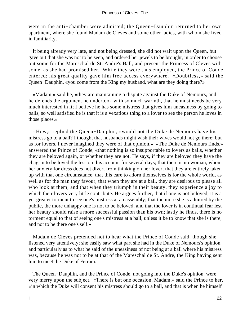were in the anti−chamber were admitted; the Queen−Dauphin returned to her own apartment, where she found Madam de Cleves and some other ladies, with whom she lived in familiarity.

 It being already very late, and not being dressed, she did not wait upon the Queen, but gave out that she was not to be seen, and ordered her jewels to be brought, in order to choose out some for the Mareschal de St. Andre's Ball, and present the Princess of Cleves with some, as she had promised her. While they were thus employed, the Prince of Conde entered; his great quality gave him free access everywhere. «Doubtless,» said the Queen−Dauphin, «you come from the King my husband, what are they doing there?»

 «Madam,» said he, «they are maintaining a dispute against the Duke of Nemours, and he defends the argument he undertook with so much warmth, that he must needs be very much interested in it; I believe he has some mistress that gives him uneasiness by going to balls, so well satisfied he is that it is a vexatious thing to a lover to see the person he loves in those places.»

 «How,» replied the Queen−Dauphin, «would not the Duke de Nemours have his mistress go to a ball? I thought that husbands might wish their wives would not go there; but as for lovers, I never imagined they were of that opinion.» «The Duke de Nemours finds,» answered the Prince of Conde, «that nothing is so insupportable to lovers as balls, whether they are beloved again, or whether they are not. He says, if they are beloved they have the chagrin to be loved the less on this account for several days; that there is no woman, whom her anxiety for dress does not divert from thinking on her lover; that they are entirely taken up with that one circumstance, that this care to adorn themselves is for the whole world, as well as for the man they favour; that when they are at a ball, they are desirous to please all who look at them; and that when they triumph in their beauty, they experience a joy to which their lovers very little contribute. He argues further, that if one is not beloved, it is a yet greater torment to see one's mistress at an assembly; that the more she is admired by the public, the more unhappy one is not to be beloved, and that the lover is in continual fear lest her beauty should raise a more successful passion than his own; lastly he finds, there is no torment equal to that of seeing one's mistress at a ball, unless it be to know that she is there, and not to be there one's self.»

 Madam de Cleves pretended not to hear what the Prince of Conde said, though she listened very attentively; she easily saw what part she had in the Duke of Nemours's opinion, and particularly as to what he said of the uneasiness of not being at a ball where his mistress was, because he was not to be at that of the Mareschal de St. Andre, the King having sent him to meet the Duke of Ferrara.

 The Queen−Dauphin, and the Prince of Conde, not going into the Duke's opinion, were very merry upon the subject. «There is but one occasion, Madam,» said the Prince to her, «in which the Duke will consent his mistress should go to a ball, and that is when he himself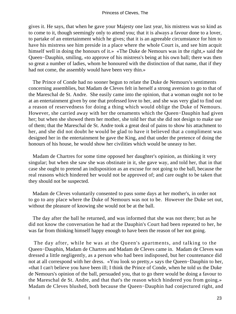gives it. He says, that when he gave your Majesty one last year, his mistress was so kind as to come to it, though seemingly only to attend you; that it is always a favour done to a lover, to partake of an entertainment which he gives; that it is an agreeable circumstance for him to have his mistress see him preside in a place where the whole Court is, and see him acquit himself well in doing the honours of it.» «The Duke de Nemours was in the right,» said the Queen−Dauphin, smiling, «to approve of his mistress's being at his own ball; there was then so great a number of ladies, whom he honoured with the distinction of that name, that if they had not come, the assembly would have been very thin.»

 The Prince of Conde had no sooner begun to relate the Duke de Nemours's sentiments concerning assemblies, but Madam de Cleves felt in herself a strong aversion to go to that of the Mareschal de St. Andre. She easily came into the opinion, that a woman ought not to be at an entertainment given by one that professed love to her, and she was very glad to find out a reason of reservedness for doing a thing which would oblige the Duke of Nemours. However, she carried away with her the ornaments which the Queen−Dauphin had given her; but when she showed them her mother, she told her that she did not design to make use of them; that the Mareschal de St. Andre took a great deal of pains to show his attachment to her, and she did not doubt he would be glad to have it believed that a compliment was designed her in the entertainment he gave the King, and that under the pretence of doing the honours of his house, he would show her civilities which would be uneasy to her.

 Madam de Chartres for some time opposed her daughter's opinion, as thinking it very singular; but when she saw she was obstinate in it, she gave way, and told her, that in that case she ought to pretend an indisposition as an excuse for not going to the ball, because the real reasons which hindered her would not be approved of; and care ought to be taken that they should not be suspected.

 Madam de Cleves voluntarily consented to pass some days at her mother's, in order not to go to any place where the Duke of Nemours was not to be. However the Duke set out, without the pleasure of knowing she would not be at the ball.

 The day after the ball he returned, and was informed that she was not there; but as he did not know the conversation he had at the Dauphin's Court had been repeated to her, he was far from thinking himself happy enough to have been the reason of her not going.

 The day after, while he was at the Queen's apartments, and talking to the Queen−Dauphin, Madam de Chartres and Madam de Cleves came in. Madam de Cleves was dressed a little negligently, as a person who had been indisposed, but her countenance did not at all correspond with her dress. «You look so pretty,» says the Queen−Dauphin to her, «that I can't believe you have been ill; I think the Prince of Conde, when he told us the Duke de Nemours's opinion of the ball, persuaded you, that to go there would be doing a favour to the Mareschal de St. Andre, and that that's the reason which hindered you from going.» Madam de Cleves blushed, both because the Queen−Dauphin had conjectured right, and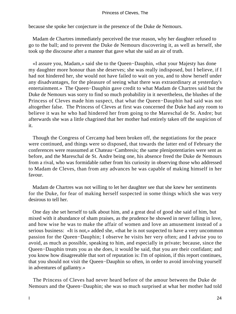because she spoke her conjecture in the presence of the Duke de Nemours.

 Madam de Chartres immediately perceived the true reason, why her daughter refused to go to the ball; and to prevent the Duke de Nemours discovering it, as well as herself, she took up the discourse after a manner that gave what she said an air of truth.

 «I assure you, Madam,» said she to the Queen−Dauphin, «that your Majesty has done my daughter more honour than she deserves; she was really indisposed, but I believe, if I had not hindered her, she would not have failed to wait on you, and to show herself under any disadvantages, for the pleasure of seeing what there was extraordinary at yesterday's entertainment.» The Queen−Dauphin gave credit to what Madam de Chartres said but the Duke de Nemours was sorry to find so much probability in it nevertheless, the blushes of the Princess of Cleves made him suspect, that what the Queen−Dauphin had said was not altogether false. The Princess of Cleves at first was concerned the Duke had any room to believe it was he who had hindered her from going to the Mareschal de St. Andre; but afterwards she was a little chagrined that her mother had entirely taken off the suspicion of it.

 Though the Congress of Cercamp had been broken off, the negotiations for the peace were continued, and things were so disposed, that towards the latter end of February the conferences were reassumed at Chateau−Cambresis; the same plenipotentiaries were sent as before, and the Mareschal de St. Andre being one, his absence freed the Duke de Nemours from a rival, who was formidable rather from his curiosity in observing those who addressed to Madam de Cleves, than from any advances he was capable of making himself in her favour.

 Madam de Chartres was not willing to let her daughter see that she knew her sentiments for the Duke, for fear of making herself suspected in some things which she was very desirous to tell her.

 One day she set herself to talk about him, and a great deal of good she said of him, but mixed with it abundance of sham praises, as the prudence he showed in never falling in love, and how wise he was to make the affair of women and love an amusement instead of a serious business: «It is not,» added she, «that he is not suspected to have a very uncommon passion for the Queen−Dauphin; I observe he visits her very often; and I advise you to avoid, as much as possible, speaking to him, and especially in private; because, since the Queen−Dauphin treats you as she does, it would be said, that you are their confidant; and you know how disagreeable that sort of reputation is: I'm of opinion, if this report continues, that you should not visit the Queen−Dauphin so often, in order to avoid involving yourself in adventures of gallantry.»

 The Princess of Cleves had never heard before of the amour between the Duke de Nemours and the Queen−Dauphin; she was so much surprised at what her mother had told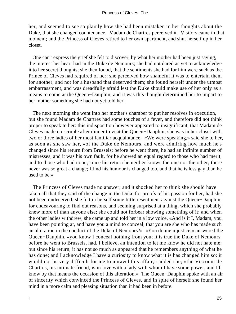her, and seemed to see so plainly how she had been mistaken in her thoughts about the Duke, that she changed countenance. Madam de Chartres perceived it. Visitors came in that moment; and the Princess of Cleves retired to her own apartment, and shut herself up in her closet.

 One can't express the grief she felt to discover, by what her mother had been just saying, the interest her heart had in the Duke de Nemours; she had not dared as yet to acknowledge it to her secret thoughts; she then found, that the sentiments she had for him were such as the Prince of Cleves had required of her; she perceived how shameful it was to entertain them for another, and not for a husband that deserved them; she found herself under the utmost embarrassment, and was dreadfully afraid lest the Duke should make use of her only as a means to come at the Queen−Dauphin, and it was this thought determined her to impart to her mother something she had not yet told her.

 The next morning she went into her mother's chamber to put her resolves in execution, but she found Madam de Chartres had some touches of a fever, and therefore did not think proper to speak to her: this indisposition however appeared to insignificant, that Madam de Cleves made no scruple after dinner to visit the Queen−Dauphin; she was in her closet with two or three ladies of her most familiar acquaintance. «We were speaking,» said she to her, as soon as she saw her, «of the Duke de Nemours, and were admiring how much he's changed since his return from Brussels; before he went there, he had an infinite number of mistresses, and it was his own fault, for he showed an equal regard to those who had merit, and to those who had none; since his return he neither knows the one nor the other; there never was so great a change; I find his humour is changed too, and that he is less gay than he used to be.»

 The Princess of Cleves made no answer; and it shocked her to think she should have taken all that they said of the change in the Duke for proofs of his passion for her, had she not been undeceived; she felt in herself some little resentment against the Queen−Dauphin, for endeavouring to find out reasons, and seeming surprised at a thing, which she probably knew more of than anyone else; she could not forbear showing something of it; and when the other ladies withdrew, she came up and told her in a low voice, «And is it I, Madam, you have been pointing at, and have you a mind to conceal, that you are she who has made such an alteration in the conduct of the Duke of Nemours?» «You do me injustice,» answered the Queen−Dauphin, «you know I conceal nothing from you; it is true the Duke of Nemours, before he went to Brussels, had, I believe, an intention to let me know he did not hate me; but since his return, it has not so much as appeared that he remembers anything of what he has done; and I acknowledge I have a curiosity to know what it is has changed him so: it would not be very difficult for me to unravel this affair,» added she; «the Viscount de Chartres, his intimate friend, is in love with a lady with whom I have some power, and I'll know by that means the occasion of this alteration.» The Queen−Dauphin spoke with an air of sincerity which convinced the Princess of Cleves, and in spite of herself she found her mind in a more calm and pleasing situation than it had been in before.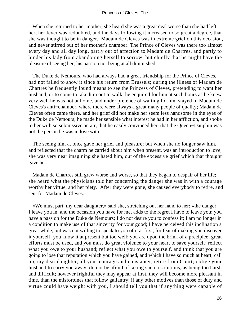When she returned to her mother, she heard she was a great deal worse than she had left her; her fever was redoubled, and the days following it increased to so great a degree, that she was thought to be in danger. Madam de Cleves was in extreme grief on this occasion, and never stirred out of her mother's chamber. The Prince of Cleves was there too almost every day and all day long, partly out of affection to Madam de Chartres, and partly to hinder his lady from abandoning herself to sorrow, but chiefly that he might have the pleasure of seeing her, his passion not being at all diminished.

 The Duke de Nemours, who had always had a great friendship for the Prince of Cleves, had not failed to show it since his return from Brussels; during the illness of Madam de Chartres he frequently found means to see the Princess of Cleves, pretending to want her husband, or to come to take him out to walk; he enquired for him at such hours as he knew very well he was not at home, and under pretence of waiting for him stayed in Madam de Cleves's anti−chamber, where there were always a great many people of quality; Madam de Cleves often came there, and her grief did not make her seem less handsome in the eyes of the Duke de Nemours; he made her sensible what interest he had in her affliction, and spoke to her with so submissive an air, that he easily convinced her, that the Queen−Dauphin was not the person he was in love with.

 The seeing him at once gave her grief and pleasure; but when she no longer saw him, and reflected that the charm he carried about him when present, was an introduction to love, she was very near imagining she hated him, out of the excessive grief which that thought gave her.

 Madam de Chartres still grew worse and worse, so that they began to despair of her life; she heard what the physicians told her concerning the danger she was in with a courage worthy her virtue, and her piety. After they were gone, she caused everybody to retire, and sent for Madam de Cleves.

 «We must part, my dear daughter,» said she, stretching out her hand to her; «the danger I leave you in, and the occasion you have for me, adds to the regret I have to leave you: you have a passion for the Duke de Nemours; I do not desire you to confess it; I am no longer in a condition to make use of that sincerity for your good; I have perceived this inclination a great while, but was not willing to speak to you of it at first, for fear of making you discover it yourself; you know it at present but too well; you are upon the brink of a precipice; great efforts must be used, and you must do great violence to your heart to save yourself: reflect what you owe to your husband; reflect what you owe to yourself, and think that you are going to lose that reputation which you have gained, and which I have so much at heart; call up, my dear daughter, all your courage and constancy; retire from Court; oblige your husband to carry you away; do not be afraid of taking such resolutions, as being too harsh and difficult; however frightful they may appear at first, they will become more pleasant in time, than the misfortunes that follow gallantry: if any other motives than those of duty and virtue could have weight with you, I should tell you that if anything were capable of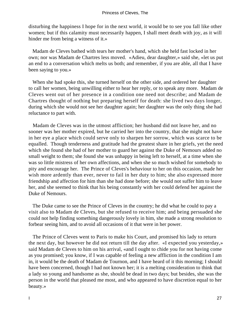disturbing the happiness I hope for in the next world, it would be to see you fall like other women; but if this calamity must necessarily happen, I shall meet death with joy, as it will hinder me from being a witness of it.»

 Madam de Cleves bathed with tears her mother's hand, which she held fast locked in her own; nor was Madam de Chartres less moved. «Adieu, dear daughter,» said she, «let us put an end to a conversation which melts us both; and remember, if you are able, all that I have been saying to you.»

 When she had spoke this, she turned herself on the other side, and ordered her daughter to call her women, being unwilling either to hear her reply, or to speak any more. Madam de Cleves went out of her presence in a condition one need not describe; and Madam de Chartres thought of nothing but preparing herself for death: she lived two days longer, during which she would not see her daughter again; her daughter was the only thing she had reluctance to part with.

 Madam de Cleves was in the utmost affliction; her husband did not leave her, and no sooner was her mother expired, but he carried her into the country, that she might not have in her eye a place which could serve only to sharpen her sorrow, which was scarce to be equalled. Though tenderness and gratitude had the greatest share in her griefs, yet the need which she found she had of her mother to guard her against the Duke of Nemours added no small weight to them; she found she was unhappy in being left to herself, at a time when she was so little mistress of her own affections, and when she so much wished for somebody to pity and encourage her. The Prince of Cleves's behaviour to her on this occasion, made her wish more ardently than ever, never to fail in her duty to him; she also expressed more friendship and affection for him than she had done before; she would not suffer him to leave her, and she seemed to think that his being constantly with her could defend her against the Duke of Nemours.

 The Duke came to see the Prince of Cleves in the country; he did what he could to pay a visit also to Madam de Cleves, but she refused to receive him; and being persuaded she could not help finding something dangerously lovely in him, she made a strong resolution to forbear seeing him, and to avoid all occasions of it that were in her power.

 The Prince of Cleves went to Paris to make his Court, and promised his lady to return the next day, but however he did not return till the day after. «I expected you yesterday,» said Madam de Cleves to him on his arrival, «and I ought to chide you for not having come as you promised; you know, if I was capable of feeling a new affliction in the condition I am in, it would be the death of Madam de Tournon, and I have heard of it this morning; I should have been concerned, though I had not known her; it is a melting consideration to think that a lady so young and handsome as she, should be dead in two days; but besides, she was the person in the world that pleased me most, and who appeared to have discretion equal to her beauty.»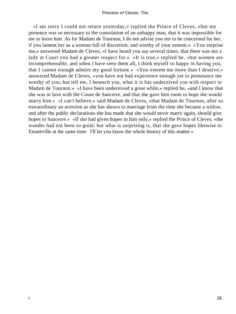«I am sorry I could not return yesterday,» replied the Prince of Cleves, «but my presence was so necessary to the consolation of an unhappy man, that it was impossible for me to leave him. As for Madam de Tournon, I do not advise you not to be concerned for her, if you lament her as a woman full of discretion, and worthy of your esteem.» «You surprise me,» answered Madam de Cleves, «I have heard you say several times, that there was not a lady at Court you had a greater respect for.» «It is true,» replied he, «but women are incomprehensible, and when I have seen them all, I think myself so happy in having you, that I cannot enough admire my good fortune.» «You esteem me more than I deserve,» answered Madam de Cleves, «you have not had experience enough yet to pronounce me worthy of you; but tell me, I beseech you, what it is has undeceived you with respect to Madam de Tournon.» «I have been undeceived a great while,» replied he, «and I know that she was in love with the Count de Sancerre, and that she gave him room to hope she would marry him.» «I can't believe,» said Madam de Cleves, «that Madam de Tournon, after so extraordinary an aversion as she has shown to marriage from the time she became a widow, and after the public declarations she has made that she would never marry again, should give hopes to Sancerre.» «If she had given hopes to him only,» replied the Prince of Cleves, «the wonder had not been so great; but what is surprising is, that she gave hopes likewise to Etouteville at the same time: I'll let you know the whole history of this matter.»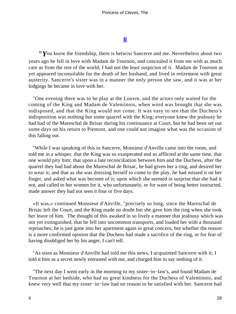### **[II](#page-102-0)**

*"Y*ou know the friendship, there is betwixt Sancerre and me. Nevertheless about two years ago he fell in love with Madam de Tournon, and concealed it from me with as much care as from the rest of the world; I had not the least suspicion of it. Madam de Tournon as yet appeared inconsolable for the death of her husband, and lived in retirement with great austerity. Sancerre's sister was in a manner the only person she saw, and it was at her lodgings he became in love with her.

 "One evening there was to be play at the Louvre, and the actors only waited for the coming of the King and Madam de Valentinois, when word was brought that she was indisposed, and that the King would not come. It was easy to see that the Duchess's indisposition was nothing but some quarrel with the King; everyone knew the jealousy he had had of the Mareschal de Brisac during his continuance at Court, but he had been set out some days on his return to Piemont, and one could not imagine what was the occasion of this falling out.

 "While I was speaking of this to Sancerre, Monsieur d'Anville came into the room, and told me in a whisper, that the King was so exasperated and so afflicted at the same time, that one would pity him; that upon a late reconciliation between him and the Duchess, after the quarrel they had had about the Mareschal de Brisac, he had given her a ring, and desired her to wear it; and that as she was dressing herself to come to the play, he had missed it on her finger, and asked what was become of it; upon which she seemed in surprise that she had it not, and called to her women for it, who unfortunately, or for want of being better instructed, made answer they had not seen it four or five days.

 «It was,» continued Monsieur d'Anville, "precisely so long, since the Mareschal de Brisac left the Court, and the King made no doubt but she gave him the ring when she took her leave of him. The thought of this awaked in so lively a manner that jealousy which was not yet extinguished, that he fell into uncommon transports, and loaded her with a thousand reproaches; he is just gone into her apartment again in great concern, but whether the reason is a more confirmed opinion that the Duchess had made a sacrifice of the ring, or for fear of having disobliged her by his anger, I can't tell.

 "As soon as Monsieur d'Anville had told me this news, I acquainted Sancerre with it; I told it him as a secret newly entrusted with me, and charged him to say nothing of it.

 "The next day I went early in the morning to my sister−in−law's, and found Madam de Tournon at her bedside, who had no great kindness for the Duchess of Valentinois, and knew very well that my sister−in−law had no reason to be satisfied with her. Sancerre had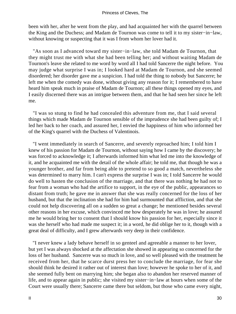been with her, after he went from the play, and had acquainted her with the quarrel between the King and the Duchess; and Madam de Tournon was come to tell it to my sister−in−law, without knowing or suspecting that it was I from whom her lover had it.

 "As soon as I advanced toward my sister−in−law, she told Madam de Tournon, that they might trust me with what she had been telling her; and without waiting Madam de Tournon's leave she related to me word by word all I had told Sancerre the night before. You may judge what surprise I was in; I looked hard at Madam de Tournon, and she seemed disordered; her disorder gave me a suspicion. I had told the thing to nobody but Sancerre; he left me when the comedy was done, without giving any reason for it; I remembered to have heard him speak much in praise of Madam de Tournon; all these things opened my eyes, and I easily discerned there was an intrigue between them, and that he had seen her since he left me.

 "I was so stung to find he had concealed this adventure from me, that I said several things which made Madam de Tournon sensible of the imprudence she had been guilty of; I led her back to her coach, and assured her, I envied the happiness of him who informed her of the King's quarrel with the Duchess of Valentinois.

 "I went immediately in search of Sancerre, and severely reproached him; I told him I knew of his passion for Madam de Tournon, without saying how I came by the discovery; he was forced to acknowledge it; I afterwards informed him what led me into the knowledge of it, and he acquainted me with the detail of the whole affair; he told me, that though he was a younger brother, and far from being able to pretend to so good a match, nevertheless she was determined to marry him. I can't express the surprise I was in; I told Sancerre he would do well to hasten the conclusion of the marriage, and that there was nothing he had not to fear from a woman who had the artifice to support, in the eye of the public, appearances so distant from truth; he gave me in answer that she was really concerned for the loss of her husband, but that the inclination she had for him had surmounted that affliction, and that she could not help discovering all on a sudden so great a change; he mentioned besides several other reasons in her excuse, which convinced me how desperately he was in love; he assured me he would bring her to consent that I should know his passion for her, especially since it was she herself who had made me suspect it; in a word, he did oblige her to it, though with a great deal of difficulty, and I grew afterwards very deep in their confidence.

 "I never knew a lady behave herself in so genteel and agreeable a manner to her lover, but yet I was always shocked at the affectation she showed in appearing so concerned for the loss of her husband. Sancerre was so much in love, and so well pleased with the treatment he received from her, that he scarce durst press her to conclude the marriage, for fear she should think he desired it rather out of interest than love; however he spoke to her of it, and she seemed fully bent on marrying him; she began also to abandon her reserved manner of life, and to appear again in public; she visited my sister−in−law at hours when some of the Court were usually there; Sancerre came there but seldom, but those who came every night,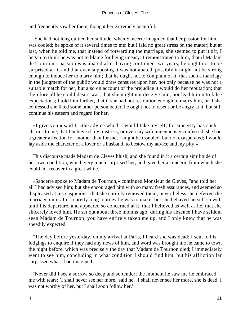and frequently saw her there, thought her extremely beautiful.

 "She had not long quitted her solitude, when Sancerre imagined that her passion for him was cooled; he spoke of it several times to me: but I laid no great stress on the matter; but at last, when he told me, that instead of forwarding the marriage, she seemed to put it off, I began to think he was not to blame for being uneasy: I remonstrated to him, that if Madam de Tournon's passion was abated after having continued two years, he ought not to be surprised at it, and that even supposing it was not abated, possibly it might not be strong enough to induce her to marry him; that he ought not to complain of it; that such a marriage in the judgment of the public would draw censures upon her, not only because he was not a suitable match for her, but also on account of the prejudice it would do her reputation; that therefore all he could desire was, that she might not deceive him, nor lead him into false expectations; I told him further, that if she had not resolution enough to marry him, or if she confessed she liked some other person better, he ought not to resent or be angry at it, but still continue his esteem and regard for her.

 «I give you,» said I, «the advice which I would take myself; for sincerity has such charms to me, that I believe if my mistress, or even my wife ingenuously confessed, she had a greater affection for another than for me, I might be troubled, but not exasperated; I would lay aside the character of a lover or a husband, to bestow my advice and my pity.»

 This discourse made Madam de Cleves blush, and she found in it a certain similitude of her own condition, which very much surprised her, and gave her a concern, from which she could not recover in a great while.

 «Sancerre spoke to Madam de Tournon,» continued Monsieur de Cleves, "and told her all I had advised him; but she encouraged him with so many fresh assurances, and seemed so displeased at his suspicions, that she entirely removed them; nevertheless she deferred the marriage until after a pretty long journey he was to make; but she behaved herself so well until his departure, and appeared so concerned at it, that I believed as well as he, that she sincerely loved him. He set out about three months ago; during his absence I have seldom seen Madam de Tournon; you have entirely taken me up, and I only knew that he was speedily expected.

 "The day before yesterday, on my arrival at Paris, I heard she was dead; I sent to his lodgings to enquire if they had any news of him, and word was brought me he came to town the night before, which was precisely the day that Madam de Tournon died; I immediately went to see him, concluding in what condition I should find him, but his affliction far surpassed what I had imagined.

 "Never did I see a sorrow so deep and so tender; the moment he saw me he embraced me with tears; `I shall never see her more,' said he, `I shall never see her more, she is dead, I was not worthy of her, but I shall soon follow her.'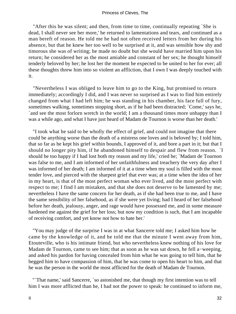"After this he was silent; and then, from time to time, continually repeating `She is dead, I shall never see her more,' he returned to lamentations and tears, and continued as a man bereft of reason. He told me he had not often received letters from her during his absence, but that he knew her too well to be surprised at it, and was sensible how shy and timorous she was of writing; he made no doubt but she would have married him upon his return; he considered her as the most amiable and constant of her sex; he thought himself tenderly beloved by her; he lost her the moment he expected to be united to her for ever; all these thoughts threw him into so violent an affliction, that I own I was deeply touched with it.

 "Nevertheless I was obliged to leave him to go to the King, but promised to return immediately; accordingly I did, and I was never so surprised as I was to find him entirely changed from what I had left him; he was standing in his chamber, his face full of fury, sometimes walking, sometimes stopping short, as if he had been distracted; `Come,' says he, `and see the most forlorn wretch in the world; I am a thousand times more unhappy than I was a while ago, and what I have just heard of Madam de Tournon is worse than her death.'

 "I took what he said to be wholly the effect of grief, and could not imagine that there could be anything worse than the death of a mistress one loves and is beloved by; I told him, that so far as he kept his grief within bounds, I approved of it, and bore a part in it; but that I should no longer pity him, if he abandoned himself to despair and flew from reason. `I should be too happy if I had lost both my reason and my life,' cried he; `Madam de Tournon was false to me, and I am informed of her unfaithfulness and treachery the very day after I was informed of her death; I am informed of it at a time when my soul is filled with the most tender love, and pierced with the sharpest grief that ever was; at a time when the idea of her in my heart, is that of the most perfect woman who ever lived, and the most perfect with respect to me; I find I am mistaken, and that she does not deserve to be lamented by me; nevertheless I have the same concern for her death, as if she had been true to me, and I have the same sensibility of her falsehood, as if she were yet living; had I heard of her falsehood before her death, jealousy, anger, and rage would have possessed me, and in some measure hardened me against the grief for her loss; but now my condition is such, that I am incapable of receiving comfort, and yet know not how to hate her.'

 "You may judge of the surprise I was in at what Sancerre told me; I asked him how he came by the knowledge of it, and he told me that the minute I went away from him, Etouteville, who is his intimate friend, but who nevertheless knew nothing of his love for Madam de Tournon, came to see him; that as soon as he was sat down, he fell a−weeping, and asked his pardon for having concealed from him what he was going to tell him, that he begged him to have compassion of him, that he was come to open his heart to him, and that he was the person in the world the most afflicted for the death of Madam de Tournon.

 "`That name,' said Sancerre, `so astonished me, that though my first intention was to tell him I was more afflicted than he, I had not the power to speak: he continued to inform me,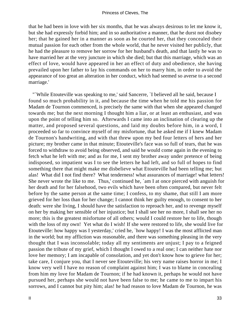that he had been in love with her six months, that he was always desirous to let me know it, but she had expressly forbid him; and in so authoritative a manner, that he durst not disobey her; that he gained her in a manner as soon as he courted her, that they concealed their mutual passion for each other from the whole world, that he never visited her publicly, that he had the pleasure to remove her sorrow for her husband's death, and that lastly he was to have married her at the very juncture in which she died; but that this marriage, which was an effect of love, would have appeared in her an effect of duty and obedience, she having prevailed upon her father to lay his commands on her to marry him, in order to avoid the appearance of too great an alteration in her conduct, which had seemed so averse to a second marriage.'

 "`While Etouteville was speaking to me,' said Sancerre, `I believed all he said, because I found so much probability in it, and because the time when he told me his passion for Madam de Tournon commenced, is precisely the same with that when she appeared changed towards me; but the next morning I thought him a liar, or at least an enthusiast, and was upon the point of telling him so. Afterwards I came into an inclination of clearing up the matter, and proposed several questions, and laid my doubts before him, in a word, I proceeded so far to convince myself of my misfortune, that he asked me if I knew Madam de Tournon's handwriting, and with that threw upon my bed four letters of hers and her picture; my brother came in that minute; Etouteville's face was so full of tears, that he was forced to withdraw to avoid being observed, and said he would come again in the evening to fetch what he left with me; and as for me, I sent my brother away under pretence of being indisposed, so impatient was I to see the letters he had left, and so full of hopes to find something there that might make me disbelieve what Etouteville had been telling me; but alas! What did I not find there? What tenderness! what assurances of marriage! what letters! She never wrote the like to me. Thus,' continued he, `am I at once pierced with anguish for her death and for her falsehood, two evils which have been often compared, but never felt before by the same person at the same time; I confess, to my shame, that still I am more grieved for her loss than for her change; I cannot think her guilty enough, to consent to her death: were she living, I should have the satisfaction to reproach her, and to revenge myself on her by making her sensible of her injustice; but I shall see her no more, I shall see her no more; this is the greatest misfortune of all others; would I could restore her to life, though with the loss of my own! Yet what do I wish! If she were restored to life, she would live for Etouteville: how happy was I yesterday,' cried he, `how happy! I was the most afflicted man in the world; but my affliction was reasonable, and there was something pleasing in the very thought that I was inconsolable; today all my sentiments are unjust; I pay to a feigned passion the tribute of my grief, which I thought I owed to a real one; I can neither hate nor love her memory; I am incapable of consolation, and yet don't know how to grieve for her; take care, I conjure you, that I never see Etouteville; his very name raises horror in me; I know very well I have no reason of complaint against him; I was to blame in concealing from him my love for Madam de Tournon; if he had known it, perhaps he would not have pursued her, perhaps she would not have been false to me; he came to me to impart his sorrows, and I cannot but pity him; alas! he had reason to love Madam de Tournon, he was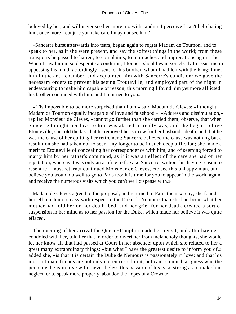beloved by her, and will never see her more: notwithstanding I perceive I can't help hating him; once more I conjure you take care I may not see him.'

 «Sancerre burst afterwards into tears, began again to regret Madam de Tournon, and to speak to her, as if she were present, and say the softest things in the world; from these transports he passed to hatred, to complaints, to reproaches and imprecations against her. When I saw him in so desperate a condition, I found I should want somebody to assist me in appeasing his mind; accordingly I sent for his brother, whom I had left with the King; I met him in the anti−chamber, and acquainted him with Sancerre's condition: we gave the necessary orders to prevent his seeing Etouteville, and employed part of the night in endeavouring to make him capable of reason; this morning I found him yet more afflicted; his brother continued with him, and I returned to you.»

 «'Tis impossible to be more surprised than I am,» said Madam de Cleves; «I thought Madam de Tournon equally incapable of love and falsehood.» «Address and dissimulation,» replied Monsieur de Cleves, «cannot go further than she carried them; observe, that when Sancerre thought her love to him was abated, it really was, and she began to love Etouteville; she told the last that he removed her sorrow for her husband's death, and that he was the cause of her quitting her retirement; Sancerre believed the cause was nothing but a resolution she had taken not to seem any longer to be in such deep affliction; she made a merit to Etouteville of concealing her correspondence with him, and of seeming forced to marry him by her father's command, as if it was an effect of the care she had of her reputation; whereas it was only an artifice to forsake Sancerre, without his having reason to resent it: I must return,» continued Monsieur de Cleves, «to see this unhappy man, and I believe you would do well to go to Paris too; it is time for you to appear in the world again, and receive the numerous visits which you can't well dispense with.»

 Madam de Cleves agreed to the proposal, and returned to Paris the next day; she found herself much more easy with respect to the Duke de Nemours than she had been; what her mother had told her on her death−bed, and her grief for her death, created a sort of suspension in her mind as to her passion for the Duke, which made her believe it was quite effaced.

 The evening of her arrival the Queen−Dauphin made her a visit, and after having condoled with her, told her that in order to divert her from melancholy thoughts, she would let her know all that had passed at Court in her absence; upon which she related to her a great many extraordinary things; «but what I have the greatest desire to inform you of,» added she, «is that it is certain the Duke de Nemours is passionately in love; and that his most intimate friends are not only not entrusted in it, but can't so much as guess who the person is he is in love with; nevertheless this passion of his is so strong as to make him neglect, or to speak more properly, abandon the hopes of a Crown.»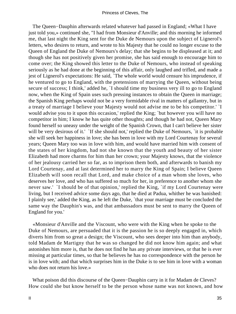The Queen−Dauphin afterwards related whatever had passed in England; «What I have just told you,» continued she, "I had from Monsieur d'Anville; and this morning he informed me, that last night the King sent for the Duke de Nemours upon the subject of Lignerol's letters, who desires to return, and wrote to his Majesty that he could no longer excuse to the Queen of England the Duke of Nemours's delay; that she begins to be displeased at it; and though she has not positively given her promise, she has said enough to encourage him to come over; the King showed this letter to the Duke of Nemours, who instead of speaking seriously as he had done at the beginning of this affair, only laughed and trifled, and made a jest of Lignerol's expectations: He said, `The whole world would censure his imprudence, if he ventured to go to England, with the pretensions of marrying the Queen, without being secure of success; I think,' added he, `I should time my business very ill to go to England now, when the King of Spain uses such pressing instances to obtain the Queen in marriage; the Spanish King perhaps would not be a very formidable rival in matters of gallantry, but in a treaty of marriage I believe your Majesty would not advise me to be his competitor.' `I would advise you to it upon this occasion,' replied the King; `but however you will have no competitor in him; I know he has quite other thoughts; and though he had not, Queen Mary found herself so uneasy under the weight of the Spanish Crown, that I can't believe her sister will be very desirous of it.' `If she should not,' replied the Duke of Nemours, `it is probable she will seek her happiness in love; she has been in love with my Lord Courtenay for several years; Queen Mary too was in love with him, and would have married him with consent of the states of her kingdom, had not she known that the youth and beauty of her sister Elizabeth had more charms for him than her crown; your Majesty knows, that the violence of her jealousy carried her so far, as to imprison them both, and afterwards to banish my Lord Courtenay, and at last determined her to marry the King of Spain; I believe Queen Elizabeth will soon recall that Lord, and make choice of a man whom she loves, who deserves her love, and who has suffered so much for her, in preference to another whom she never saw.' `I should be of that opinion,' replied the King, `if my Lord Courtenay were living, but I received advice some days ago, that he died at Padua, whither he was banished: I plainly see,' added the King, as he left the Duke, `that your marriage must be concluded the same way the Dauphin's was, and that ambassadors must be sent to marry the Queen of England for you.'

 «Monsieur d'Anville and the Viscount, who were with the King when he spoke to the Duke of Nemours, are persuaded that it is the passion he is so deeply engaged in, which diverts him from so great a design; the Viscount, who sees deeper into him than anybody, told Madam de Martigny that he was so changed he did not know him again; and what astonishes him more is, that he does not find he has any private interviews, or that he is ever missing at particular times, so that he believes he has no correspondence with the person he is in love with; and that which surprises him in the Duke is to see him in love with a woman who does not return his love.»

 What poison did this discourse of the Queen−Dauphin carry in it for Madam de Cleves? How could she but know herself to be the person whose name was not known, and how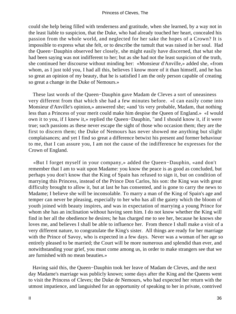could she help being filled with tenderness and gratitude, when she learned, by a way not in the least liable to suspicion, that the Duke, who had already touched her heart, concealed his passion from the whole world, and neglected for her sake the hopes of a Crown? It is impossible to express what she felt, or to describe the tumult that was raised in her soul. Had the Queen−Dauphin observed her closely, she might easily have discerned, that what she had been saying was not indifferent to her; but as she had not the least suspicion of the truth, she continued her discourse without minding her: «Monsieur d'Anville,» added she, «from whom, as I just told you, I had all this, believes I know more of it than himself, and he has so great an opinion of my beauty, that he is satisfied I am the only person capable of creating so great a change in the Duke of Nemours.»

 These last words of the Queen−Dauphin gave Madam de Cleves a sort of uneasiness very different from that which she had a few minutes before. «I can easily come into Monsieur d'Anville's opinion,» answered she; «and 'tis very probable, Madam, that nothing less than a Princess of your merit could make him despise the Queen of England.» «I would own it to you, if I knew it,» replied the Queen−Dauphin, "and I should know it, if it were true; such passions as these never escape the sight of those who occasion them; they are the first to discern them; the Duke of Nemours has never showed me anything but slight complaisances; and yet I find so great a difference betwixt his present and former behaviour to me, that I can assure you, I am not the cause of the indifference he expresses for the Crown of England.

 «But I forget myself in your company,» added the Queen−Dauphin, «and don't remember that I am to wait upon Madame: you know the peace is as good as concluded, but perhaps you don't know that the King of Spain has refused to sign it, but on condition of marrying this Princess, instead of the Prince Don Carlos, his son: the King was with great difficulty brought to allow it, but at last he has consented, and is gone to carry the news to Madame; I believe she will be inconsolable. To marry a man of the King of Spain's age and temper can never be pleasing, especially to her who has all the gaiety which the bloom of youth joined with beauty inspires, and was in expectation of marrying a young Prince for whom she has an inclination without having seen him. I do not know whether the King will find in her all the obedience he desires; he has charged me to see her, because he knows she loves me, and believes I shall be able to influence her. From thence I shall make a visit of a very different nature, to congratulate the King's sister. All things are ready for her marriage with the Prince of Savoy, who is expected in a few days. Never was a woman of her age so entirely pleased to be married; the Court will be more numerous and splendid than ever, and notwithstanding your grief, you must come among us, in order to make strangers see that we are furnished with no mean beauties.»

 Having said this, the Queen−Dauphin took her leave of Madam de Cleves, and the next day Madame's marriage was publicly known; some days after the King and the Queens went to visit the Princess of Cleves; the Duke de Nemours, who had expected her return with the utmost impatience, and languished for an opportunity of speaking to her in private, contrived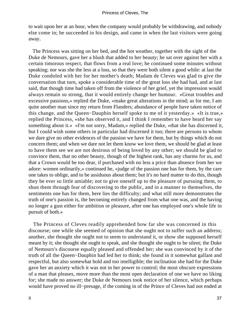to wait upon her at an hour, when the company would probably be withdrawing, and nobody else come in; he succeeded in his design, and came in when the last visitors were going away.

 The Princess was sitting on her bed, and the hot weather, together with the sight of the Duke de Nemours, gave her a blush that added to her beauty; he sat over against her with a certain timorous respect, that flows from a real love; he continued some minutes without speaking; nor was she the less at a loss, so that they were both silent a good while: at last the Duke condoled with her for her mother's death; Madam de Cleves was glad to give the conversation that turn, spoke a considerable time of the great loss she had had, and at last said, that though time had taken off from the violence of her grief, yet the impression would always remain so strong, that it would entirely change her humour. «Great troubles and excessive passions,» replied the Duke, «make great alterations in the mind; as for me, I am quite another man since my return from Flanders; abundance of people have taken notice of this change, and the Queen−Dauphin herself spoke to me of it yesterday.» «It is true,» replied the Princess, «she has observed it, and I think I remember to have heard her say something about it.» «I'm not sorry, Madam,» replied the Duke, «that she has discerned it, but I could wish some others in particular had discerned it too; there are persons to whom we dare give no other evidences of the passion we have for them, but by things which do not concern them; and when we dare not let them know we love them, we should be glad at least to have them see we are not desirous of being loved by any other; we should be glad to convince them, that no other beauty, though of the highest rank, has any charms for us, and that a Crown would be too dear, if purchased with no less a price than absence from her we adore: women ordinarily,» continued he, «judge of the passion one has for them, by the care one takes to oblige, and to be assiduous about them; but it's no hard matter to do this, though they be ever so little amiable; not to give oneself up to the pleasure of pursuing them, to shun them through fear of discovering to the public, and in a manner to themselves, the sentiments one has for them, here lies the difficulty; and what still more demonstrates the truth of one's passion is, the becoming entirely changed from what one was, and the having no longer a gust either for ambition or pleasure, after one has employed one's whole life in pursuit of both.»

 The Princess of Cleves readily apprehended how far she was concerned in this discourse; one while she seemed of opinion that she ought not to suffer such an address; another, she thought she ought not to seem to understand it, or show she supposed herself meant by it; she thought she ought to speak, and she thought she ought to be silent; the Duke of Nemours's discourse equally pleased and offended her; she was convinced by it of the truth of all the Queen−Dauphin had led her to think; she found in it somewhat gallant and respectful, but also somewhat bold and too intelligible; the inclination she had for the Duke gave her an anxiety which it was not in her power to control; the most obscure expressions of a man that pleases, move more than the most open declaration of one we have no liking for; she made no answer; the Duke de Nemours took notice of her silence, which perhaps would have proved no ill−presage, if the coming in of the Prince of Cleves had not ended at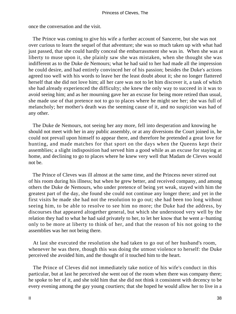once the conversation and the visit.

 The Prince was coming to give his wife a further account of Sancerre, but she was not over curious to learn the sequel of that adventure; she was so much taken up with what had just passed, that she could hardly conceal the embarrassment she was in. When she was at liberty to muse upon it, she plainly saw she was mistaken, when she thought she was indifferent as to the Duke de Nemours; what he had said to her had made all the impression he could desire, and had entirely convinced her of his passion; besides the Duke's actions agreed too well with his words to leave her the least doubt about it; she no longer flattered herself that she did not love him; all her care was not to let him discover it, a task of which she had already experienced the difficulty; she knew the only way to succeed in it was to avoid seeing him; and as her mourning gave her an excuse for being more retired than usual, she made use of that pretence not to go to places where he might see her; she was full of melancholy; her mother's death was the seeming cause of it, and no suspicion was had of any other.

 The Duke de Nemours, not seeing her any more, fell into desperation and knowing he should not meet with her in any public assembly, or at any diversions the Court joined in, he could not prevail upon himself to appear there, and therefore he pretended a great love for hunting, and made matches for that sport on the days when the Queens kept their assemblies; a slight indisposition had served him a good while as an excuse for staying at home, and declining to go to places where he knew very well that Madam de Cleves would not be.

 The Prince of Cleves was ill almost at the same time, and the Princess never stirred out of his room during his illness; but when he grew better, and received company, and among others the Duke de Nemours, who under pretence of being yet weak, stayed with him the greatest part of the day, she found she could not continue any longer there; and yet in the first visits he made she had not the resolution to go out; she had been too long without seeing him, to be able to resolve to see him no more; the Duke had the address, by discourses that appeared altogether general, but which she understood very well by the relation they had to what he had said privately to her, to let her know that he went a−hunting only to be more at liberty to think of her, and that the reason of his not going to the assemblies was her not being there.

 At last she executed the resolution she had taken to go out of her husband's room, whenever he was there, though this was doing the utmost violence to herself: the Duke perceived she avoided him, and the thought of it touched him to the heart.

 The Prince of Cleves did not immediately take notice of his wife's conduct in this particular, but at last he perceived she went out of the room when there was company there; he spoke to her of it, and she told him that she did not think it consistent with decency to be every evening among the gay young courtiers; that she hoped he would allow her to live in a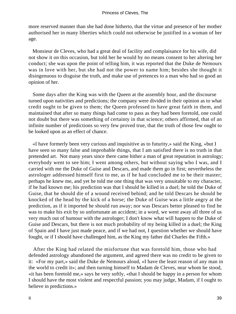more reserved manner than she had done hitherto, that the virtue and presence of her mother authorised her in many liberties which could not otherwise be justified in a woman of her age.

 Monsieur de Cleves, who had a great deal of facility and complaisance for his wife, did not show it on this occasion, but told her he would by no means consent to her altering her conduct; she was upon the point of telling him, it was reported that the Duke de Nemours was in love with her, but she had not the power to name him; besides she thought it disingenuous to disguise the truth, and make use of pretences to a man who had so good an opinion of her.

 Some days after the King was with the Queen at the assembly hour, and the discourse turned upon nativities and predictions; the company were divided in their opinion as to what credit ought to be given to them; the Queen professed to have great faith in them, and maintained that after so many things had come to pass as they had been foretold, one could not doubt but there was something of certainty in that science; others affirmed, that of an infinite number of predictions so very few proved true, that the truth of those few ought to be looked upon as an effect of chance.

 «I have formerly been very curious and inquisitive as to futurity,» said the King, «but I have seen so many false and improbable things, that I am satisfied there is no truth in that pretended art. Not many years since there came hither a man of great reputation in astrology; everybody went to see him; I went among others, but without saying who I was, and I carried with me the Duke of Guise and Descars, and made them go in first; nevertheless the astrologer addressed himself first to me, as if he had concluded me to be their master; perhaps he knew me, and yet he told me one thing that was very unsuitable to my character, if he had known me; his prediction was that I should be killed in a duel; he told the Duke of Guise, that he should die of a wound received behind; and he told Descars he should be knocked of the head by the kick of a horse; the Duke of Guise was a little angry at the prediction, as if it imported he should run away; nor was Descars better pleased to find he was to make his exit by so unfortunate an accident; in a word, we went away all three of us very much out of humour with the astrologer; I don't know what will happen to the Duke of Guise and Descars, but there is not much probability of my being killed in a duel; the King of Spain and I have just made peace, and if we had not, I question whether we should have fought, or if I should have challenged him, as the King my father did Charles the Fifth.»

 After the King had related the misfortune that was foretold him, those who had defended astrology abandoned the argument, and agreed there was no credit to be given to it: «For my part,» said the Duke de Nemours aloud, «I have the least reason of any man in the world to credit it»; and then turning himself to Madam de Cleves, near whom he stood, «it has been foretold me,» says he very softly, «that I should be happy in a person for whom I should have the most violent and respectful passion; you may judge, Madam, if I ought to believe in predictions.»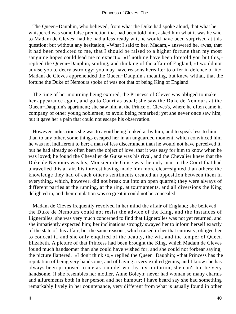The Queen−Dauphin, who believed, from what the Duke had spoke aloud, that what he whispered was some false prediction that had been told him, asked him what it was he said to Madam de Cleves; had he had a less ready wit, he would have been surprised at this question; but without any hesitation, «What I said to her, Madam,» answered he, «was, that it had been predicted to me, that I should be raised to a higher fortune than my most sanguine hopes could lead me to expect.» «If nothing have been foretold you but this,» replied the Queen−Dauphin, smiling, and thinking of the affair of England, «I would not advise you to decry astrology; you may have reasons hereafter to offer in defence of it.» Madam de Cleves apprehended the Queen−Dauphin's meaning, but knew withal, that the fortune the Duke of Nemours spoke of was not that of being King of England.

 The time of her mourning being expired, the Princess of Cleves was obliged to make her appearance again, and go to Court as usual; she saw the Duke de Nemours at the Queen−Dauphin's apartment; she saw him at the Prince of Cleves's, where he often came in company of other young noblemen, to avoid being remarked; yet she never once saw him, but it gave her a pain that could not escape his observation.

 However industrious she was to avoid being looked at by him, and to speak less to him than to any other, some things escaped her in an unguarded moment, which convinced him he was not indifferent to her; a man of less discernment than he would not have perceived it, but he had already so often been the object of love, that it was easy for him to know when he was loved; he found the Chevalier de Guise was his rival, and the Chevalier knew that the Duke de Nemours was his; Monsieur de Guise was the only man in the Court that had unravelled this affair, his interest having made him more clear−sighted than others; the knowledge they had of each other's sentiments created an opposition between them in everything, which, however, did not break out into an open quarrel; they were always of different parties at the running, at the ring, at tournaments, and all diversions the King delighted in, and their emulation was so great it could not be concealed.

 Madam de Cleves frequently revolved in her mind the affair of England; she believed the Duke de Nemours could not resist the advice of the King, and the instances of Lignerolles; she was very much concerned to find that Lignerolles was not yet returned, and she impatiently expected him; her inclinations strongly swayed her to inform herself exactly of the state of this affair; but the same reasons, which raised in her that curiosity, obliged her to conceal it, and she only enquired of the beauty, the wit, and the temper of Queen Elizabeth. A picture of that Princess had been brought the King, which Madam de Cleves found much handsomer than she could have wished for, and she could not forbear saying, the picture flattered. «I don't think so,» replied the Queen−Dauphin; «that Princess has the reputation of being very handsome, and of having a very exalted genius, and I know she has always been proposed to me as a model worthy my imitation; she can't but be very handsome, if she resembles her mother, Anne Boleyn; never had woman so many charms and allurements both in her person and her humour; I have heard say she had something remarkably lively in her countenance, very different from what is usually found in other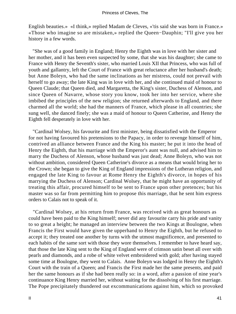English beauties.» «I think,» replied Madam de Cleves, «'tis said she was born in France.» «Those who imagine so are mistaken,» replied the Queen−Dauphin; "I'll give you her history in a few words.

 "She was of a good family in England; Henry the Eighth was in love with her sister and her mother, and it has been even suspected by some, that she was his daughter; she came to France with Henry the Seventh's sister, who married Louis XII that Princess, who was full of youth and gallantry, left the Court of France with great reluctance after her husband's death; but Anne Boleyn, who had the same inclinations as her mistress, could not prevail with herself to go away; the late King was in love with her, and she continued maid of honour to Queen Claude; that Queen died, and Margaretta, the King's sister, Duchess of Alenson, and since Queen of Navarre, whose story you know, took her into her service, where she imbibed the principles of the new religion; she returned afterwards to England, and there charmed all the world; she had the manners of France, which please in all countries; she sung well, she danced finely; she was a maid of honour to Queen Catherine, and Henry the Eighth fell desperately in love with her.

 "Cardinal Wolsey, his favourite and first minister, being dissatisfied with the Emperor for not having favoured his pretensions to the Papacy, in order to revenge himself of him, contrived an alliance between France and the King his master; he put it into the head of Henry the Eighth, that his marriage with the Emperor's aunt was null, and advised him to marry the Duchess of Alenson, whose husband was just dead; Anne Boleyn, who was not without ambition, considered Queen Catherine's divorce as a means that would bring her to the Crown; she began to give the King of England impressions of the Lutheran religion, and engaged the late King to favour at Rome Henry the Eighth's divorce, in hopes of his marrying the Duchess of Alenson; Cardinal Wolsey, that he might have an opportunity of treating this affair, procured himself to be sent to France upon other pretences; but his master was so far from permitting him to propose this marriage, that he sent him express orders to Calais not to speak of it.

 "Cardinal Wolsey, at his return from France, was received with as great honours as could have been paid to the King himself; never did any favourite carry his pride and vanity to so great a height; he managed an interview between the two Kings at Boulogne, when Francis the First would have given the upperhand to Henry the Eighth, but he refused to accept it; they treated one another by turns with the utmost magnificence, and presented to each habits of the same sort with those they wore themselves. I remember to have heard say, that those the late King sent to the King of England were of crimson satin beset all over with pearls and diamonds, and a robe of white velvet embroidered with gold; after having stayed some time at Boulogne, they went to Calais. Anne Boleyn was lodged in Henry the Eighth's Court with the train of a Queen; and Francis the First made her the same presents, and paid her the same honours as if she had been really so: in a word, after a passion of nine year's continuance King Henry married her, without waiting for the dissolving of his first marriage. The Pope precipitately thundered out excommunications against him, which so provoked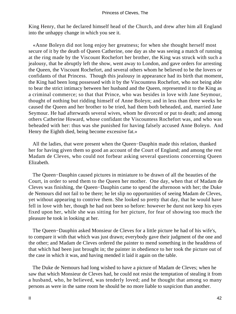King Henry, that he declared himself head of the Church, and drew after him all England into the unhappy change in which you see it.

 «Anne Boleyn did not long enjoy her greatness; for when she thought herself most secure of it by the death of Queen Catherine, one day as she was seeing a match of running at the ring made by the Viscount Rochefort her brother, the King was struck with such a jealousy, that he abruptly left the show, went away to London, and gave orders for arresting the Queen, the Viscount Rochefort, and several others whom he believed to be the lovers or confidants of that Princess. Though this jealousy in appearance had its birth that moment, the King had been long possessed with it by the Viscountess Rochefort, who not being able to bear the strict intimacy between her husband and the Queen, represented it to the King as a criminal commerce; so that that Prince, who was besides in love with Jane Seymour, thought of nothing but ridding himself of Anne Boleyn; and in less than three weeks he caused the Queen and her brother to be tried, had them both beheaded, and, married Jane Seymour. He had afterwards several wives, whom he divorced or put to death; and among others Catherine Howard, whose confidant the Viscountess Rochefort was, and who was beheaded with her: thus was she punished for having falsely accused Anne Boleyn. And Henry the Eighth died, being become excessive fat.»

 All the ladies, that were present when the Queen−Dauphin made this relation, thanked her for having given them so good an account of the Court of England; and among the rest Madam de Cleves, who could not forbear asking several questions concerning Queen Elizabeth.

 The Queen−Dauphin caused pictures in miniature to be drawn of all the beauties of the Court, in order to send them to the Queen her mother. One day, when that of Madam de Cleves was finishing, the Queen−Dauphin came to spend the afternoon with her; the Duke de Nemours did not fail to be there; he let slip no opportunities of seeing Madam de Cleves, yet without appearing to contrive them. She looked so pretty that day, that he would have fell in love with her, though he had not been so before: however he durst not keep his eyes fixed upon her, while she was sitting for her picture, for fear of showing too much the pleasure he took in looking at her.

 The Queen−Dauphin asked Monsieur de Cleves for a little picture he had of his wife's, to compare it with that which was just drawn; everybody gave their judgment of the one and the other; and Madam de Cleves ordered the painter to mend something in the headdress of that which had been just brought in; the painter in obedience to her took the picture out of the case in which it was, and having mended it laid it again on the table.

 The Duke de Nemours had long wished to have a picture of Madam de Cleves; when he saw that which Monsieur de Cleves had, he could not resist the temptation of stealing it from a husband, who, he believed, was tenderly loved; and he thought that among so many persons as were in the same room he should be no more liable to suspicion than another.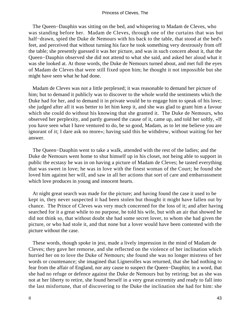The Queen−Dauphin was sitting on the bed, and whispering to Madam de Cleves, who was standing before her. Madam de Cleves, through one of the curtains that was but half−drawn, spied the Duke de Nemours with his back to the table, that stood at the bed's feet, and perceived that without turning his face he took something very dextrously from off the table; she presently guessed it was her picture, and was in such concern about it, that the Queen−Dauphin observed she did not attend to what she said, and asked her aloud what it was she looked at. At those words, the Duke de Nemours turned about, and met full the eyes of Madam de Cleves that were still fixed upon him; he thought it not impossible but she might have seen what he had done.

 Madam de Cleves was not a little perplexed; it was reasonable to demand her picture of him; but to demand it publicly was to discover to the whole world the sentiments which the Duke had for her, and to demand it in private would be to engage him to speak of his love; she judged after all it was better to let him keep it, and she was glad to grant him a favour which she could do without his knowing that she granted it. The Duke de Nemours, who observed her perplexity, and partly guessed the cause of it, came up, and told her softly, «If you have seen what I have ventured to do, be so good, Madam, as to let me believe you are ignorant of it; I dare ask no more»; having said this he withdrew, without waiting for her answer.

 The Queen−Dauphin went to take a walk, attended with the rest of the ladies; and the Duke de Nemours went home to shut himself up in his closet, not being able to support in public the ecstasy he was in on having a picture of Madam de Cleves; he tasted everything that was sweet in love; he was in love with the finest woman of the Court; he found she loved him against her will, and saw in all her actions that sort of care and embarrassment which love produces in young and innocent hearts.

 At night great search was made for the picture; and having found the case it used to be kept in, they never suspected it had been stolen but thought it might have fallen out by chance. The Prince of Cleves was very much concerned for the loss of it; and after having searched for it a great while to no purpose, he told his wife, but with an air that showed he did not think so, that without doubt she had some secret lover, to whom she had given the picture, or who had stole it, and that none but a lover would have been contented with the picture without the case.

 These words, though spoke in jest, made a lively impression in the mind of Madam de Cleves; they gave her remorse, and she reflected on the violence of her inclination which hurried her on to love the Duke of Nemours; she found she was no longer mistress of her words or countenance; she imagined that Lignerolles was returned, that she had nothing to fear from the affair of England, nor any cause to suspect the Queen−Dauphin; in a word, that she had no refuge or defence against the Duke de Nemours but by retiring; but as she was not at her liberty to retire, she found herself in a very great extremity and ready to fall into the last misfortune, that of discovering to the Duke the inclination she had for him: she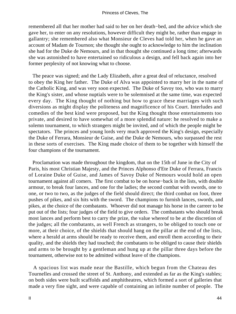remembered all that her mother had said to her on her death−bed, and the advice which she gave her, to enter on any resolutions, however difficult they might be, rather than engage in gallantry; she remembered also what Monsieur de Cleves had told her, when he gave an account of Madam de Tournon; she thought she ought to acknowledge to him the inclination she had for the Duke de Nemours, and in that thought she continued a long time; afterwards she was astonished to have entertained so ridiculous a design, and fell back again into her former perplexity of not knowing what to choose.

 The peace was signed; and the Lady Elizabeth, after a great deal of reluctance, resolved to obey the King her father. The Duke of Alva was appointed to marry her in the name of the Catholic King, and was very soon expected. The Duke of Savoy too, who was to marry the King's sister, and whose nuptials were to be solemnised at the same time, was expected every day. The King thought of nothing but how to grace these marriages with such diversions as might display the politeness and magnificence of his Court. Interludes and comedies of the best kind were proposed, but the King thought those entertainments too private, and desired to have somewhat of a more splendid nature: he resolved to make a solemn tournament, to which strangers might be invited, and of which the people might be spectators. The princes and young lords very much approved the King's design, especially the Duke of Ferrara, Monsieur de Guise, and the Duke de Nemours, who surpassed the rest in these sorts of exercises. The King made choice of them to be together with himself the four champions of the tournament.

 Proclamation was made throughout the kingdom, that on the 15th of June in the City of Paris, his most Christian Majesty, and the Princes Alphonso d'Ete Duke of Ferrara, Francis of Loraine Duke of Guise, and James of Savoy Duke of Nemours would hold an open tournament against all comers. The first combat to be on horse−back in the lists, with double armour, to break four lances, and one for the ladies; the second combat with swords, one to one, or two to two, as the judges of the field should direct; the third combat on foot, three pushes of pikes, and six hits with the sword. The champions to furnish lances, swords, and pikes, at the choice of the combatants. Whoever did not manage his horse in the carreer to be put out of the lists; four judges of the field to give orders. The combatants who should break most lances and perform best to carry the prize, the value whereof to be at the discretion of the judges; all the combatants, as well French as strangers, to be obliged to touch one or more, at their choice, of the shields that should hang on the pillar at the end of the lists, where a herald at arms should be ready to receive them, and enroll them according to their quality, and the shields they had touched; the combatants to be obliged to cause their shields and arms to be brought by a gentleman and hung up at the pillar three days before the tournament, otherwise not to be admitted without leave of the champions.

 A spacious list was made near the Bastille, which begun from the Chateau des Tournelles and crossed the street of St. Anthony, and extended as far as the King's stables; on both sides were built scaffolds and amphitheatres, which formed a sort of galleries that made a very fine sight, and were capable of containing an infinite number of people. The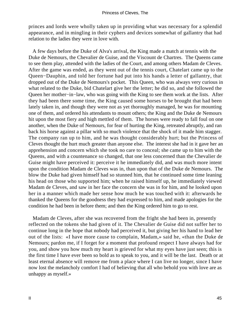princes and lords were wholly taken up in providing what was necessary for a splendid appearance, and in mingling in their cyphers and devices somewhat of gallantry that had relation to the ladies they were in love with.

 A few days before the Duke of Alva's arrival, the King made a match at tennis with the Duke de Nemours, the Chevalier de Guise, and the Viscount de Chartres. The Queens came to see them play, attended with the ladies of the Court, and among others Madam de Cleves. After the game was ended, as they went out of the tennis court, Chatelart came up to the Queen−Dauphin, and told her fortune had put into his hands a letter of gallantry, that dropped out of the Duke de Nemours's pocket. This Queen, who was always very curious in what related to the Duke, bid Chatelart give her the letter; he did so, and she followed the Queen her mother−in−law, who was going with the King to see them work at the lists. After they had been there some time, the King caused some horses to be brought that had been lately taken in, and though they were not as yet thoroughly managed, he was for mounting one of them, and ordered his attendants to mount others; the King and the Duke de Nemours hit upon the most fiery and high mettled of them. The horses were ready to fall foul on one another, when the Duke of Nemours, for fear of hurting the King, retreated abruptly, and ran back his horse against a pillar with so much violence that the shock of it made him stagger. The company ran up to him, and he was thought considerably hurt; but the Princess of Cleves thought the hurt much greater than anyone else. The interest she had in it gave her an apprehension and concern which she took no care to conceal; she came up to him with the Queens, and with a countenance so changed, that one less concerned than the Chevalier de Guise might have perceived it: perceive it he immediately did, and was much more intent upon the condition Madam de Cleves was in, than upon that of the Duke de Nemours. The blow the Duke had given himself had so stunned him, that he continued some time leaning his head on those who supported him; when he raised himself up, he immediately viewed Madam de Cleves, and saw in her face the concern she was in for him, and he looked upon her in a manner which made her sense how much he was touched with it: afterwards he thanked the Queens for the goodness they had expressed to him, and made apologies for the condition he had been in before them; and then the King ordered him to go to rest.

 Madam de Cleves, after she was recovered from the fright she had been in, presently reflected on the tokens she had given of it. The Chevalier de Guise did not suffer her to continue long in the hope that nobody had perceived it, but giving her his hand to lead her out of the lists: «I have more cause to complain, Madam,» said he, «than the Duke de Nemours; pardon me, if I forget for a moment that profound respect I have always had for you, and show you how much my heart is grieved for what my eyes have just seen; this is the first time I have ever been so bold as to speak to you, and it will be the last. Death or at least eternal absence will remove me from a place where I can live no longer, since I have now lost the melancholy comfort I had of believing that all who behold you with love are as unhappy as myself.»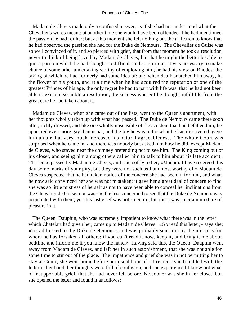Madam de Cleves made only a confused answer, as if she had not understood what the Chevalier's words meant: at another time she would have been offended if he had mentioned the passion he had for her; but at this moment she felt nothing but the affliction to know that he had observed the passion she had for the Duke de Nemours. The Chevalier de Guise was so well convinced of it, and so pierced with grief, that from that moment he took a resolution never to think of being loved by Madam de Cleves; but that he might the better be able to quit a passion which he had thought so difficult and so glorious, it was necessary to make choice of some other undertaking worthy of employing him; he had his view on Rhodes: the taking of which he had formerly had some idea of; and when death snatched him away, in the flower of his youth, and at a time when he had acquired the reputation of one of the greatest Princes of his age, the only regret he had to part with life was, that he had not been able to execute so noble a resolution, the success whereof he thought infallible from the great care he had taken about it.

 Madam de Cleves, when she came out of the lists, went to the Queen's apartment, with her thoughts wholly taken up with what had passed. The Duke de Nemours came there soon after, richly dressed, and like one wholly unsensible of the accident that had befallen him; he appeared even more gay than usual, and the joy he was in for what he had discovered, gave him an air that very much increased his natural agreeableness. The whole Court was surprised when he came in; and there was nobody but asked him how he did, except Madam de Cleves, who stayed near the chimney pretending not to see him. The King coming out of his closet, and seeing him among others called him to talk to him about his late accident. The Duke passed by Madam de Cleves, and said softly to her, «Madam, I have received this day some marks of your pity, but they were not such as I am most worthy of.» Madam de Cleves suspected that he had taken notice of the concern she had been in for him, and what he now said convinced her she was not mistaken; it gave her a great deal of concern to find she was so little mistress of herself as not to have been able to conceal her inclinations from the Chevalier de Guise; nor was she the less concerned to see that the Duke de Nemours was acquainted with them; yet this last grief was not so entire, but there was a certain mixture of pleasure in it.

 The Queen−Dauphin, who was extremely impatient to know what there was in the letter which Chatelart had given her, came up to Madam de Cleves. «Go read this letter,» says she; «'tis addressed to the Duke de Nemours, and was probably sent him by the mistress for whom he has forsaken all others; if you can't read it now, keep it, and bring it me about bedtime and inform me if you know the hand.» Having said this, the Queen−Dauphin went away from Madam de Cleves, and left her in such astonishment, that she was not able for some time to stir out of the place. The impatience and grief she was in not permitting her to stay at Court, she went home before her usual hour of retirement; she trembled with the letter in her hand, her thoughts were full of confusion, and she experienced I know not what of insupportable grief, that she had never felt before. No sooner was she in her closet, but she opened the letter and found it as follows: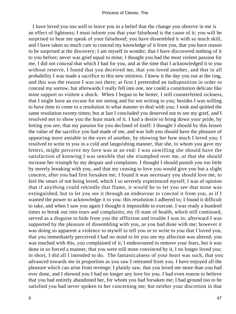I have loved you too well to leave you in a belief that the change you observe in me is an effect of lightness; I must inform you that your falsehood is the cause of it; you will be surprised to hear me speak of your falsehood; you have dissembled it with so much skill, and I have taken so much care to conceal my knowledge of it from you, that you have reason to be surprised at the discovery; I am myself in wonder, that I have discovered nothing of it to you before; never was grief equal to mine; I thought you had the most violent passion for me, I did not conceal that which I had for you, and at the time that I acknowledged it to you without reserve, I found that you deceived me, that you loved another, and that in all probability I was made a sacrifice to this new mistress. I knew it the day you run at the ring, and this was the reason I was not there; at first I pretended an indisposition in order to conceal my sorrow, but afterwards I really fell into one, nor could a constitution delicate like mine support so violent a shock. When I began to be better, I still counterfeited sickness, that I might have an excuse for not seeing and for not writing to you; besides I was willing to have time to come to a resolution in what manner to deal with you; I took and quitted the same resolution twenty times; but at last I concluded you deserved not to see my grief, and I resolved not to show you the least mark of it. I had a desire to bring down your pride, by letting you see, that my passion for you declined of itself: I thought I should by this lessen the value of the sacrifice you had made of me, and was loth you should have the pleasure of appearing more amiable in the eyes of another, by showing her how much I loved you; I resolved to write to you in a cold and languishing manner, that she, to whom you gave my letters, might perceive my love was at an end: I was unwilling she should have the satisfaction of knowing I was sensible that she triumphed over me, or that she should increase her triumph by my despair and complaints. I thought I should punish you too little by merely breaking with you, and that my ceasing to love you would give you but a slight concern, after you had first forsaken me; I found it was necessary you should love me, to feel the smart of not being loved, which I so severely experienced myself; I was of opinion that if anything could rekindle that flame, it would be to let you see that mine was extinguished, but to let you see it through an endeavour to conceal it from you, as if I wanted the power to acknowledge it to you: this resolution I adhered to; I found it difficult to take, and when I saw you again I thought it impossible to execute. I was ready a hundred times to break out into tears and complaints; my ill state of health, which still continued, served as a disguise to hide from you the affliction and trouble I was in; afterward I was supported by the pleasure of dissembling with you, as you had done with me; however it was doing so apparent a violence to myself to tell you or to write to you that I loved you, that you immediately perceived I had no mind to let you see my affection was altered; you was touched with this, you complained of it; I endeavoured to remove your fears, but it was done in so forced a manner, that you were still more convinced by it, I no longer loved you; in short, I did all I intended to do. The fantasticalness of your heart was such, that you advanced towards me in proportion as you saw I retreated from you. I have enjoyed all the pleasure which can arise from revenge; I plainly saw, that you loved me more than you had ever done, and I showed you I had no longer any love for you. I had even reason to believe that you had entirely abandoned her, for whom you had forsaken me; I had ground too to be satisfied you had never spoken to her concerning me; but neither your discretion in that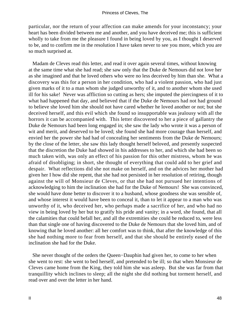particular, nor the return of your affection can make amends for your inconstancy; your heart has been divided between me and another, and you have deceived me; this is sufficient wholly to take from me the pleasure I found in being loved by you, as I thought I deserved to be, and to confirm me in the resolution I have taken never to see you more, which you are so much surprised at.

 Madam de Cleves read this letter, and read it over again several times, without knowing at the same time what she had read; she saw only that the Duke de Nemours did not love her as she imagined and that he loved others who were no less deceived by him than she. What a discovery was this for a person in her condition, who had a violent passion, who had just given marks of it to a man whom she judged unworthy of it, and to another whom she used ill for his sake! Never was affliction so cutting as hers; she imputed the piercingness of it to what had happened that day, and believed that if the Duke de Nemours had not had ground to believe she loved him she should not have cared whether he loved another or not; but she deceived herself, and this evil which she found so insupportable was jealousy with all the horrors it can be accompanied with. This letter discovered to her a piece of gallantry the Duke de Nemours had been long engaged in; she saw the lady who wrote it was a person of wit and merit, and deserved to be loved; she found she had more courage than herself, and envied her the power she had had of concealing her sentiments from the Duke de Nemours; by the close of the letter, she saw this lady thought herself beloved, and presently suspected that the discretion the Duke had showed in his addresses to her, and which she had been so much taken with, was only an effect of his passion for this other mistress, whom he was afraid of disobliging; in short, she thought of everything that could add to her grief and despair. What reflections did she not make on herself, and on the advices her mother had given her I how did she repent, that she had not persisted in her resolution of retiring, though against the will of Monsieur de Cleves, or that she had not pursued her intentions of acknowledging to him the inclination she had for the Duke of Nemours! She was convinced, she would have done better to discover it to a husband, whose goodness she was sensible of, and whose interest it would have been to conceal it, than to let it appear to a man who was unworthy of it, who deceived her, who perhaps made a sacrifice of her, and who had no view in being loved by her but to gratify his pride and vanity; in a word, she found, that all the calamities that could befall her, and all the extremities she could be reduced to, were less than that single one of having discovered to the Duke de Nemours that she loved him, and of knowing that he loved another: all her comfort was to think, that after the knowledge of this she had nothing more to fear from herself, and that she should be entirely eased of the inclination she had for the Duke.

 She never thought of the orders the Queen−Dauphin had given her, to come to her when she went to rest: she went to bed herself, and pretended to be ill; so that when Monsieur de Cleves came home from the King, they told him she was asleep. But she was far from that tranquillity which inclines to sleep; all the night she did nothing but torment herself, and read over and over the letter in her hand.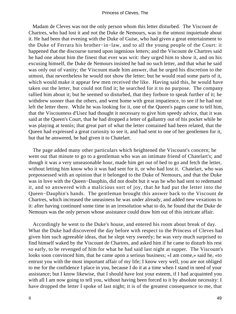Madam de Cleves was not the only person whom this letter disturbed. The Viscount de Chartres, who had lost it and not the Duke de Nemours, was in the utmost inquietude about it. He had been that evening with the Duke of Guise, who had given a great entertainment to the Duke of Ferrara his brother−in−law, and to all the young people of the Court: it happened that the discourse turned upon ingenious letters; and the Viscount de Chartres said he had one about him the finest that ever was writ: they urged him to show it, and on his excusing himself, the Duke de Nemours insisted he had no such letter, and that what he said was only out of vanity; the Viscount made him answer, that he urged his discretion to the utmost, that nevertheless he would not show the letter; but he would read some parts of it, which would make it appear few men received the like. Having said this, he would have taken out the letter, but could not find it; he searched for it to no purpose. The company rallied him about it; but he seemed so disturbed, that they forbore to speak further of it; he withdrew sooner than the others, and went home with great impatience, to see if he had not left the letter there. While he was looking for it, one of the Queen's pages came to tell him, that the Viscountess d'Usez had thought it necessary to give him speedy advice, that it was said at the Queen's Court, that he had dropped a letter of gallantry out of his pocket while he was playing at tennis; that great part of what the letter contained had been related, that the Queen had expressed a great curiosity to see it, and had sent to one of her gentlemen for it, but that he answered, he had given it to Chatelart.

 The page added many other particulars which heightened the Viscount's concern; he went out that minute to go to a gentleman who was an intimate friend of Chatelart's; and though it was a very unseasonable hour, made him get out of bed to go and fetch the letter, without letting him know who it was had sent for it, or who had lost it. Chatelart, who was prepossessed with an opinion that it belonged to the Duke of Nemours, and that the Duke was in love with the Queen−Dauphin, did not doubt but it was he who had sent to redemand it, and so answered with a malicious sort of joy, that he had put the letter into the Queen−Dauphin's hands. The gentleman brought this answer back to the Viscount de Chartres, which increased the uneasiness he was under already, and added new vexations to it: after having continued some time in an irresolution what to do, he found that the Duke de Nemours was the only person whose assistance could draw him out of this intricate affair.

 Accordingly he went to the Duke's house, and entered his room about break of day. What the Duke had discovered the day before with respect to the Princess of Cleves had given him such agreeable ideas, that he slept very sweetly; he was very much surprised to find himself waked by the Viscount de Chartres, and asked him if he came to disturb his rest so early, to be revenged of him for what he had said last night at supper. The Viscount's looks soon convinced him, that he came upon a serious business; «I am come,» said he, «to entrust you with the most important affair of my life; I know very well, you are not obliged to me for the confidence I place in you, because I do it at a time when I stand in need of your assistance; but I know likewise, that I should have lost your esteem, if I had acquainted you with all I am now going to tell you, without having been forced to it by absolute necessity: I have dropped the letter I spoke of last night; it is of the greatest consequence to me, that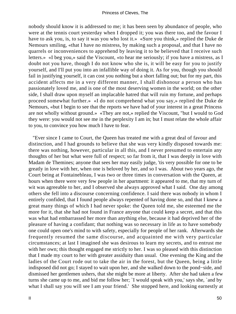nobody should know it is addressed to me; it has been seen by abundance of people, who were at the tennis court yesterday when I dropped it; you was there too, and the favour I have to ask you, is, to say it was you who lost it.» «Sure you think,» replied the Duke de Nemours smiling, «that I have no mistress, by making such a proposal, and that I have no quarrels or inconveniences to apprehend by leaving it to be believed that I receive such letters.» «I beg you,» said the Viscount, «to hear me seriously; if you have a mistress, as I doubt not you have, though I do not know who she is, it will be easy for you to justify yourself, and I'll put you into an infallible way of doing it. As for you, though you should fail in justifying yourself, it can cost you nothing but a short falling out; but for my part, this accident affects me in a very different manner, I shall dishonour a person who has passionately loved me, and is one of the most deserving women in the world; on the other side, I shall draw upon myself an implacable hatred that will ruin my fortune, and perhaps proceed somewhat further.» «I do not comprehend what you say,» replied the Duke de Nemours, «but I begin to see that the reports we have had of your interest in a great Princess are not wholly without ground.» «They are not,» replied the Viscount, "but I would to God they were: you would not see me in the perplexity I am in; but I must relate the whole affair to you, to convince you how much I have to fear.

 "Ever since I came to Court, the Queen has treated me with a great deal of favour and distinction, and I had grounds to believe that she was very kindly disposed towards me: there was nothing, however, particular in all this, and I never presumed to entertain any thoughts of her but what were full of respect; so far from it, that I was deeply in love with Madam de Themines; anyone that sees her may easily judge, 'tis very possible for one to be greatly in love with her, when one is beloved by her, and so I was. About two years ago, the Court being at Fontainebleau, I was two or three times in conversation with the Queen, at hours when there were very few people in her apartment: it appeared to me, that my turn of wit was agreeable to her, and I observed she always approved what I said. One day among others she fell into a discourse concerning confidence. I said there was nobody in whom I entirely confided, that I found people always repented of having done so, and that I knew a great many things of which I had never spoke: the Queen told me, she esteemed me the more for it, that she had not found in France anyone that could keep a secret, and that this was what had embarrassed her more than anything else, because it had deprived her of the pleasure of having a confidant; that nothing was so necessary in life as to have somebody one could open one's mind to with safety, especially for people of her rank. Afterwards she frequently resumed the same discourse, and acquainted me with very particular circumstances; at last I imagined she was desirous to learn my secrets, and to entrust me with her own; this thought engaged me strictly to her. I was so pleased with this distinction that I made my court to her with greater assiduity than usual. One evening the King and the ladies of the Court rode out to take the air in the forest, but the Queen, being a little indisposed did not go; I stayed to wait upon her, and she walked down to the pond−side, and dismissed her gentlemen ushers, that she might be more at liberty. After she had taken a few turns she came up to me, and bid me follow her; `I would speak with you,' says she, `and by what I shall say you will see I am your friend.' She stopped here, and looking earnestly at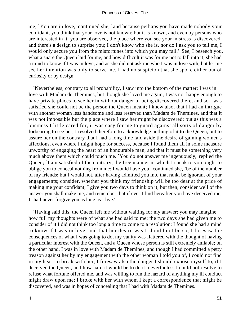me; `You are in love,' continued she, `and because perhaps you have made nobody your confidant, you think that your love is not known; but it is known, and even by persons who are interested in it: you are observed, the place where you see your mistress is discovered, and there's a design to surprise you; I don't know who she is, nor do I ask you to tell me, I would only secure you from the misfortunes into which you may fall.' See, I beseech you, what a snare the Queen laid for me, and how difficult it was for me not to fall into it; she had a mind to know if I was in love, and as she did not ask me who I was in love with, but let me see her intention was only to serve me, I had no suspicion that she spoke either out of curiosity or by design.

 "Nevertheless, contrary to all probability, I saw into the bottom of the matter; I was in love with Madam de Themines, but though she loved me again, I was not happy enough to have private places to see her in without danger of being discovered there, and so I was satisfied she could not be the person the Queen meant; I knew also, that I had an intrigue with another woman less handsome and less reserved than Madam de Themines, and that it was not impossible but the place where I saw her might be discovered; but as this was a business I little cared for, it was easy for me to guard against all sorts of danger by forbearing to see her; I resolved therefore to acknowledge nothing of it to the Queen, but to assure her on the contrary that I had a long time laid aside the desire of gaining women's affections, even where I might hope for success, because I found them all in some measure unworthy of engaging the heart of an honourable man, and that it must be something very much above them which could touch me. `You do not answer me ingenuously,' replied the Queen; `I am satisfied of the contrary; the free manner in which I speak to you ought to oblige you to conceal nothing from me; I would have you,' continued she, `be of the number of my friends; but I would not, after having admitted you into that rank, be ignorant of your engagements; consider, whether you think my friendship will be too dear at the price of making me your confidant; I give you two days to think on it; but then, consider well of the answer you shall make me, and remember that if ever I find hereafter you have deceived me, I shall never forgive you as long as I live.'

 "Having said this, the Queen left me without waiting for my answer; you may imagine how full my thoughts were of what she had said to me; the two days she had given me to consider of it I did not think too long a time to come to a resolution; I found she had a mind to know if I was in love, and that her desire was I should not be so; I foresaw the consequences of what I was going to do, my vanity was flattered with the thought of having a particular interest with the Queen, and a Queen whose person is still extremely amiable; on the other hand, I was in love with Madam de Themines, and though I had committed a petty treason against her by my engagement with the other woman I told you of, I could not find in my heart to break with her; I foresaw also the danger I should expose myself to, if I deceived the Queen, and how hard it would be to do it; nevertheless I could not resolve to refuse what fortune offered me, and was willing to run the hazard of anything my ill conduct might draw upon me; I broke with her with whom I kept a correspondence that might be discovered, and was in hopes of concealing that I had with Madam de Themines.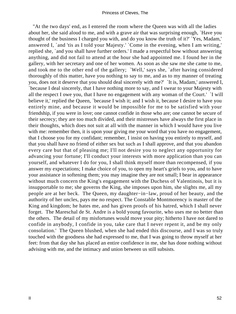"At the two days' end, as I entered the room where the Queen was with all the ladies about her, she said aloud to me, and with a grave air that was surprising enough, `Have you thought of the business I charged you with, and do you know the truth of it?' `Yes, Madam,' answered I, `and 'tis as I told your Majesty.' `Come in the evening, when I am writing,' replied she, `and you shall have further orders.' I made a respectful bow without answering anything, and did not fail to attend at the hour she had appointed me. I found her in the gallery, with her secretary and one of her women. As soon as she saw me she came to me, and took me to the other end of the gallery; `Well,' says she, `after having considered thoroughly of this matter, have you nothing to say to me, and as to my manner of treating you, does not it deserve that you should deal sincerely with me?' `It is, Madam,' answered I, `because I deal sincerely, that I have nothing more to say, and I swear to your Majesty with all the respect I owe you, that I have no engagement with any woman of the Court.' `I will believe it,' replied the Queen, `because I wish it; and I wish it, because I desire to have you entirely mine, and because it would be impossible for me to be satisfied with your friendship, if you were in love; one cannot confide in those who are; one cannot be secure of their secrecy; they are too much divided, and their mistresses have always the first place in their thoughts, which does not suit at all with the manner in which I would have you live with me: remember then, it is upon your giving me your word that you have no engagement, that I choose you for my confidant; remember, I insist on having you entirely to myself, and that you shall have no friend of either sex but such as I shall approve, and that you abandon every care but that of pleasing me; I'll not desire you to neglect any opportunity for advancing your fortune; I'll conduct your interests with more application than you can yourself, and whatever I do for you, I shall think myself more than recompensed, if you answer my expectations; I make choice of you, to open my heart's griefs to you, and to have your assistance in softening them; you may imagine they are not small; I bear in appearance without much concern the King's engagement with the Duchess of Valentinois, but it is insupportable to me; she governs the King, she imposes upon him, she slights me, all my people are at her beck. The Queen, my daughter−in−law, proud of her beauty, and the authority of her uncles, pays me no respect. The Constable Montmorency is master of the King and kingdom; he hates me, and has given proofs of his hatred, which I shall never forget. The Mareschal de St. Andre is a bold young favourite, who uses me no better than the others. The detail of my misfortunes would move your pity; hitherto I have not dared to confide in anybody, I confide in you, take care that I never repent it, and be my only consolation.' The Queen blushed, when she had ended this discourse, and I was so truly touched with the goodness she had expressed to me, that I was going to throw myself at her feet: from that day she has placed an entire confidence in me, she has done nothing without advising with me, and the intimacy and union between us still subsists.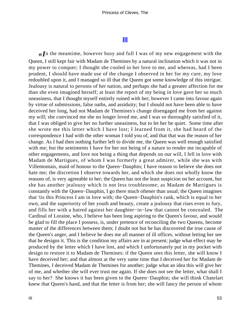# **[III](#page-102-0)**

*«I*n the meantime, however busy and full I was of my new engagement with the Queen, I still kept fair with Madam de Themines by a natural inclination which it was not in my power to conquer; I thought she cooled in her love to me, and whereas, had I been prudent, I should have made use of the change I observed in her for my cure, my love redoubled upon it, and I managed so ill that the Queen got some knowledge of this intrigue. Jealousy is natural to persons of her nation, and perhaps she had a greater affection for me than she even imagined herself; at least the report of my being in love gave her so much uneasiness, that I thought myself entirely ruined with her; however I came into favour again by virtue of submissions, false oaths, and assiduity; but I should not have been able to have deceived her long, had not Madam de Themines's change disengaged me from her against my will; she convinced me she no longer loved me, and I was so thoroughly satisfied of it, that I was obliged to give her no further uneasiness, but to let her be quiet. Some time after she wrote me this letter which I have lost; I learned from it, she had heard of the correspondence I had with the other woman I told you of, and that that was the reason of her change. As I had then nothing further left to divide me, the Queen was well enough satisfied with me; but the sentiments I have for her not being of a nature to render me incapable of other engagements, and love not being a thing that depends on our will, I fell in love with Madam de Martigues, of whom I was formerly a great admirer, while she was with Villemontais, maid of honour to the Queen−Dauphin; I have reason to believe she does not hate me; the discretion I observe towards her, and which she does not wholly know the reasons of, is very agreeable to her; the Queen has not the least suspicion on her account, but she has another jealousy which is not less troublesome; as Madam de Martigues is constantly with the Queen−Dauphin, I go there much oftener than usual; the Queen imagines that 'tis this Princess I am in love with; the Queen−Dauphin's rank, which is equal to her own, and the superiority of her youth and beauty, create a jealousy that rises even to fury, and fills her with a hatred against her daughter−in−law that cannot be concealed. The Cardinal of Loraine, who, I believe has been long aspiring to the Queen's favour, and would be glad to fill the place I possess, is, under pretence of reconciling the two Queens, become master of the differences between them; I doubt not but he has discovered the true cause of the Queen's anger, and I believe he does me all manner of ill offices, without letting her see that he designs it. This is the condition my affairs are in at present; judge what effect may be produced by the letter which I have lost, and which I unfortunately put in my pocket with design to restore it to Madam de Themines: if the Queen sees this letter, she will know I have deceived her; and that almost at the very same time that I deceived her for Madam de Themines, I deceived Madam de Themines for another; judge what an idea this will give her of me, and whether she will ever trust me again. If she does not see the letter, what shall I say to her? She knows it has been given to the Queen−Dauphin; she will think Chatelart knew that Queen's hand, and that the letter is from her; she will fancy the person of whom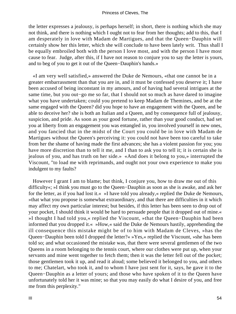the letter expresses a jealousy, is perhaps herself; in short, there is nothing which she may not think, and there is nothing which I ought not to fear from her thoughts; add to this, that I am desperately in love with Madam de Martigues, and that the Queen−Dauphin will certainly show her this letter, which she will conclude to have been lately writ. Thus shall I be equally embroiled both with the person I love most, and with the person I have most cause to fear. Judge, after this, if I have not reason to conjure you to say the letter is yours, and to beg of you to get it out of the Queen−Dauphin's hands.»

 «I am very well satisfied,» answered the Duke de Nemours, «that one cannot be in a greater embarrassment than that you are in, and it must be confessed you deserve it; I have been accused of being inconstant in my amours, and of having had several intrigues at the same time, but you out−go me so far, that I should not so much as have dared to imagine what you have undertaken; could you pretend to keep Madam de Themines, and be at the same engaged with the Queen? did you hope to have an engagement with the Queen, and be able to deceive her? she is both an Italian and a Queen, and by consequence full of jealousy, suspicion, and pride. As soon as your good fortune, rather than your good conduct, had set you at liberty from an engagement you was entangled in, you involved yourself in new ones, and you fancied that in the midst of the Court you could be in love with Madam de Martigues without the Queen's perceiving it: you could not have been too careful to take from her the shame of having made the first advances; she has a violent passion for you; you have more discretion than to tell it me, and I than to ask you to tell it; it is certain she is jealous of you, and has truth on her side.» «And does it belong to you,» interrupted the Viscount, "to load me with reprimands, and ought not your own experience to make you indulgent to my faults?

 However I grant I am to blame; but think, I conjure you, how to draw me out of this difficulty«; »I think you must go to the Queen−Dauphin as soon as she is awake, and ask her for the letter, as if you had lost it.« »I have told you already,« replied the Duke de Nemours, »that what you propose is somewhat extraordinary, and that there are difficulties in it which may affect my own particular interest; but besides, if this letter has been seen to drop out of your pocket, I should think it would be hard to persuade people that it dropped out of mine.« »I thought I had told you,« replied the Viscount, »that the Queen−Dauphin had been informed that you dropped it.« »How,« said the Duke de Nemours hastily, apprehending the ill consequence this mistake might be of to him with Madam de Cleves, »has the Queen−Dauphin been told I dropped the letter?« »Yes,« replied the Viscount, »she has been told so; and what occasioned the mistake was, that there were several gentlemen of the two Queens in a room belonging to the tennis court, where our clothes were put up, when your servants and mine went together to fetch them; then it was the letter fell out of the pocket; those gentlemen took it up, and read it aloud; some believed it belonged to you, and others to me; Chatelart, who took it, and to whom I have just sent for it, says, he gave it to the Queen−Dauphin as a letter of yours; and those who have spoken of it to the Queen have unfortunately told her it was mine; so that you may easily do what I desire of you, and free me from this perplexity."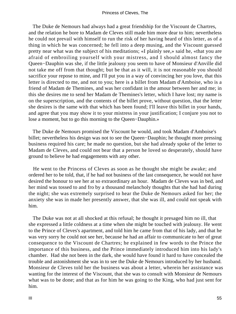The Duke de Nemours had always had a great friendship for the Viscount de Chartres, and the relation he bore to Madam de Cleves still made him more dear to him; nevertheless he could not prevail with himself to run the risk of her having heard of this letter, as of a thing in which he was concerned; he fell into a deep musing, and the Viscount guessed pretty near what was the subject of his meditations; «I plainly see,» said he, «that you are afraid of embroiling yourself with your mistress, and I should almost fancy the Queen−Dauphin was she, if the little jealousy you seem to have of Monsieur d'Anville did not take me off from that thought; but be that as it will, it is not reasonable you should sacrifice your repose to mine, and I'll put you in a way of convincing her you love, that this letter is directed to me, and not to you; here is a billet from Madam d'Amboise, who is a friend of Madam de Themines, and was her confidant in the amour between her and me; in this she desires me to send her Madam de Themines's letter, which I have lost; my name is on the superscription, and the contents of the billet prove, without question, that the letter she desires is the same with that which has been found; I'll leave this billet in your hands, and agree that you may show it to your mistress in your justification; I conjure you not to lose a moment, but to go this morning to the Queen−Dauphin.»

 The Duke de Nemours promised the Viscount he would, and took Madam d'Amboise's billet; nevertheless his design was not to see the Queen−Dauphin; he thought more pressing business required his care; he made no question, but she had already spoke of the letter to Madam de Cleves, and could not bear that a person he loved so desperately, should have ground to believe he had engagements with any other.

 He went to the Princess of Cleves as soon as he thought she might be awake; and ordered her to be told, that, if he had not business of the last consequence, he would not have desired the honour to see her at so extraordinary an hour. Madam de Cleves was in bed, and her mind was tossed to and fro by a thousand melancholy thoughts that she had had during the night; she was extremely surprised to hear the Duke de Nemours asked for her; the anxiety she was in made her presently answer, that she was ill, and could not speak with him.

 The Duke was not at all shocked at this refusal; he thought it presaged him no ill, that she expressed a little coldness at a time when she might be touched with jealousy. He went to the Prince of Cleves's apartment, and told him he came from that of his lady, and that he was very sorry he could not see her, because he had an affair to communicate to her of great consequence to the Viscount de Chartres; he explained in few words to the Prince the importance of this business, and the Prince immediately introduced him into his lady's chamber. Had she not been in the dark, she would have found it hard to have concealed the trouble and astonishment she was in to see the Duke de Nemours introduced by her husband. Monsieur de Cleves told her the business was about a letter, wherein her assistance was wanting for the interest of the Viscount, that she was to consult with Monsieur de Nemours what was to be done; and that as for him he was going to the King, who had just sent for him.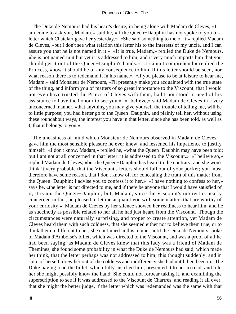The Duke de Nemours had his heart's desire, in being alone with Madam de Cleves; «I am come to ask you, Madam,» said he, «if the Queen−Dauphin has not spoke to you of a letter which Chatelart gave her yesterday.» «She said something to me of it,» replied Madam de Cleves, «but I don't see what relation this letter his to the interests of my uncle, and I can assure you that he is not named in it.» «It is true, Madam,» replied the Duke de Nemours, «he is not named in it but yet it is addressed to him, and it very much imports him that you should get it out of the Queen−Dauphin's hands.» «I cannot comprehend,» replied the Princess, «how it should be of any consequence to him, if this letter should be seen, nor what reason there is to redemand it in his name.» «If you please to be at leisure to hear me, Madam,» said Monsieur de Nemours, «I'll presently make you acquainted with the true state of the thing, and inform you of matters of so great importance to the Viscount, that I would not even have trusted the Prince of Cleves with them, had I not stood in need of his assistance to have the honour to see you.» «I believe,» said Madam de Cleves in a very unconcerned manner, «that anything you may give yourself the trouble of telling me, will be to little purpose; you had better go to the Queen−Dauphin, and plainly tell her, without using these roundabout ways, the interest you have in that letter, since she has been told, as well as I, that it belongs to you.»

 The uneasiness of mind which Monsieur de Nemours observed in Madam de Cleves gave him the most sensible pleasure he ever knew, and lessened his impatience to justify himself: «I don't know, Madam,» replied he, «what the Queen−Dauphin may have been told; but I am not at all concerned in that letter; it is addressed to the Viscount.» «I believe so,» replied Madam de Cleves, «but the Queen−Dauphin has heard to the contrary, and she won't think it very probable that the Viscount's letters should fall out of your pocket; you must therefore have some reason, that I don't know of, for concealing the truth of this matter from the Queen−Dauphin; I advise you to confess it to her.» «I have nothing to confess to her,» says he, «the letter is not directed to me, and if there be anyone that I would have satisfied of it, it is not the Queen−Dauphin; but, Madam, since the Viscount's interest is nearly concerned in this, be pleased to let me acquaint you with some matters that are worthy of your curiosity.» Madam de Cleves by her silence showed her readiness to hear him, and he as succinctly as possible related to her all he had just heard from the Viscount. Though the circumstances were naturally surprising, and proper to create attention, yet Madam de Cleves heard them with such coldness, that she seemed either not to believe them true, or to think them indifferent to her; she continued in this temper until the Duke de Nemours spoke of Madam d'Amboise's billet, which was directed to the Viscount, and was a proof of all he had been saying; as Madam de Cleves knew that this lady was a friend of Madam de Themines, she found some probability in what the Duke de Nemours had said, which made her think, that the letter perhaps was not addressed to him; this thought suddenly, and in spite of herself, drew her out of the coldness and indifferency she had until then been in. The Duke having read the billet, which fully justified him, presented it to her to read, and told her she might possibly know the hand. She could not forbear taking it, and examining the superscription to see if it was addressed to the Viscount de Chartres, and reading it all over, that she might the better judge, if the letter which was redemanded was the same with that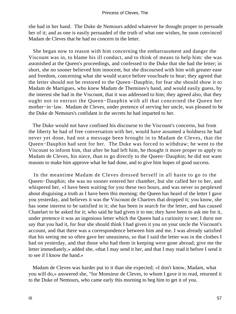she had in her hand. The Duke de Nemours added whatever he thought proper to persuade her of it; and as one is easily persuaded of the truth of what one wishes, he soon convinced Madam de Cleves that he had no concern in the letter.

 She began now to reason with him concerning the embarrassment and danger the Viscount was in, to blame his ill conduct, and to think of means to help him: she was astonished at the Queen's proceedings, and confessed to the Duke that she had the letter; in short, she no sooner believed him innocent, but she discoursed with him with greater ease and freedom, concerning what she would scarce before vouchsafe to hear; they agreed that the letter should not be restored to the Queen−Dauphin, for fear she should show it to Madam de Martigues, who knew Madam de Themines's hand, and would easily guess, by the interest she had in the Viscount, that it was addressed to him; they agreed also, that they ought not to entrust the Queen−Dauphin with all that concerned the Queen her mother−in−law. Madam de Cleves, under pretence of serving her uncle, was pleased to be the Duke de Nemours's confidant in the secrets he had imparted to her.

 The Duke would not have confined his discourse to the Viscount's concerns, but from the liberty he had of free conversation with her, would have assumed a boldness he had never yet done, had not a message been brought in to Madam de Cleves, that the Queen−Dauphin had sent for her. The Duke was forced to withdraw; he went to the Viscount to inform him, that after he had left him, he thought it more proper to apply to Madam de Cleves, his niece, than to go directly to the Queen−Dauphin; he did not want reasons to make him approve what he had done, and to give him hopes of good success.

 In the meantime Madam de Cleves dressed herself in all haste to go to the Queen−Dauphin; she was no sooner entered her chamber, but she called her to her, and whispered her, «I have been waiting for you these two hours, and was never so perplexed about disguising a truth as I have been this morning: the Queen has heard of the letter I gave you yesterday, and believes it was the Viscount de Chartres that dropped it; you know, she has some interest to be satisfied in it; she has been in search for the letter, and has caused Chatelart to be asked for it; who said he had given it to me; they have been to ask me for it, under pretence it was an ingenious letter which the Queen had a curiosity to see; I durst not say that you had it, for fear she should think I had given it you on your uncle the Viscount's account, and that there was a correspondence between him and me. I was already satisfied that his seeing me so often gave her uneasiness, so that I said the letter was in the clothes I had on yesterday, and that those who had them in keeping were gone abroad; give me the letter immediately,» added she, «that I may send it her, and that I may read it before I send it to see if I know the hand.»

 Madam de Cleves was harder put to it than she expected; «I don't know, Madam, what you will do,» answered she, "for Monsieur de Cleves, to whom I gave it to read, returned it to the Duke of Nemours, who came early this morning to beg him to get it of you.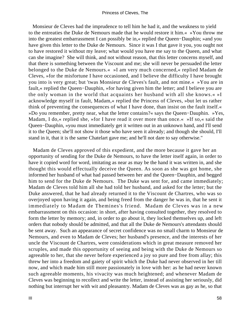Monsieur de Cleves had the imprudence to tell him he had it, and the weakness to yield to the entreaties the Duke de Nemours made that he would restore it him.« »You throw me into the greatest embarrassment I can possibly be in,« replied the Queen−Dauphin; »and you have given this letter to the Duke de Nemours. Since it was I that gave it you, you ought not to have restored it without my leave; what would you have me say to the Queen, and what can she imagine? She will think, and not without reason, that this letter concerns myself, and that there is something between the Viscount and me; she will never be persuaded the letter belonged to the Duke de Nemours.« »I am very much concerned,« replied Madam de Cleves, »for the misfortune I have occasioned, and I believe the difficulty I have brought you into is very great; but 'twas Monsieur de Cleves's fault, and not mine.« »You are in fault,« replied the Queen−Dauphin, »for having given him the letter; and I believe you are the only woman in the world that acquaints her husband with all she knows.« »I acknowledge myself in fault, Madam,« replied the Princess of Cleves, »but let us rather think of preventing the consequences of what I have done, than insist on the fault itself.« »Do you remember, pretty near, what the letter contains?« says the Queen−Dauphin. »Yes, Madam, I do, « replied she, »for I have read it over more than once. « »If so, « said the Queen−Dauphin, »you must immediately get it written out in an unknown hand, and I'll send it to the Queen; she'll not show it those who have seen it already; and though she should, I'll stand in it, that it is the same Chatelart gave me; and he'll not dare to say otherwise."

 Madam de Cleves approved of this expedient, and the more because it gave her an opportunity of sending for the Duke de Nemours, to have the letter itself again, in order to have it copied word for word, imitating as near as may be the hand it was written in, and she thought this would effectually deceive the Queen. As soon as she was got home, she informed her husband of what had passed between her and the Queen−Dauphin, and begged him to send for the Duke de Nemours. The Duke was sent for, and came immediately; Madam de Cleves told him all she had told her husband, and asked for the letter; but the Duke answered, that he had already returned it to the Viscount de Chartres, who was so overjoyed upon having it again, and being freed from the danger he was in, that he sent it immediately to Madam de Themines's friend. Madam de Cleves was in a new embarrassment on this occasion: in short, after having consulted together, they resolved to form the letter by memory; and, in order to go about it, they locked themselves up, and left orders that nobody should be admitted, and that all the Duke de Nemours's attendants should be sent away. Such an appearance of secret confidence was no small charm to Monsieur de Nemours, and even to Madam de Cleves; her husband's presence, and the interests of her uncle the Viscount de Chartres, were considerations which in great measure removed her scruples, and made this opportunity of seeing and being with the Duke de Nemours so agreeable to her, that she never before experienced a joy so pure and free from allay; this threw her into a freedom and gaiety of spirit which the Duke had never observed in her till now, and which made him still more passionately in love with her: as he had never known such agreeable moments, his vivacity was much heightened; and whenever Madam de Cleves was beginning to recollect and write the letter, instead of assisting her seriously, did nothing but interrupt her with wit and pleasantry. Madam de Cleves was as gay as he, so that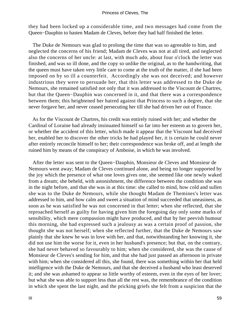they had been locked up a considerable time, and two messages had come from the Queen−Dauphin to hasten Madam de Cleves, before they had half finished the letter.

 The Duke de Nemours was glad to prolong the time that was so agreeable to him, and neglected the concerns of his friend; Madam de Cleves was not at all tired, and neglected also the concerns of her uncle: at last, with much ado, about four o'clock the letter was finished, and was so ill done, and the copy so unlike the original, as to the handwriting, that the queen must have taken very little care to come at the truth of the matter, if she had been imposed on by so ill a counterfeit. Accordingly she was not deceived; and however industrious they were to persuade her, that this letter was addressed to the Duke de Nemours, she remained satisfied not only that it was addressed to the Viscount de Chartres, but that the Queen−Dauphin was concerned in it, and that there was a correspondence between them; this heightened her hatred against that Princess to such a degree, that she never forgave her, and never ceased persecuting her till she had driven her out of France.

 As for the Viscount de Chartres, his credit was entirely ruined with her; and whether the Cardinal of Loraine had already insinuated himself so far into her esteem as to govern her, or whether the accident of this letter, which made it appear that the Viscount had deceived her, enabled her to discover the other tricks he had played her, it is certain he could never after entirely reconcile himself to her; their correspondence was broke off, and at length she ruined him by means of the conspiracy of Amboise, in which he was involved.

 After the letter was sent to the Queen−Dauphin, Monsieur de Cleves and Monsieur de Nemours went away; Madam de Cleves continued alone, and being no longer supported by the joy which the presence of what one loves gives one, she seemed like one newly waked from a dream; she beheld, with astonishment, the difference between the condition she was in the night before, and that she was in at this time: she called to mind, how cold and sullen she was to the Duke de Nemours, while she thought Madam de Themines's letter was addressed to him, and how calm and sweet a situation of mind succeeded that uneasiness, as soon as he was satisfied he was not concerned in that letter; when she reflected, that she reproached herself as guilty for having given him the foregoing day only some marks of sensibility, which mere compassion might have produced, and that by her peevish humour this morning, she had expressed such a jealousy as was a certain proof of passion, she thought she was not herself; when she reflected further, that the Duke de Nemours saw plainly that she knew he was in love with her, and that, notwithstanding her knowing it, she did not use him the worse for it, even in her husband's presence; but that, on the contrary, she had never behaved so favourably to him; when she considered, she was the cause of Monsieur de Cleves's sending for him, and that she had just passed an afternoon in private with him; when she considered all this, she found, there was something within her that held intelligence with the Duke de Nemours, and that she deceived a husband who least deserved it; and she was ashamed to appear so little worthy of esteem, even in the eyes of her lover; but what she was able to support less than all the rest was, the remembrance of the condition in which she spent the last night, and the pricking griefs she felt from a suspicion that the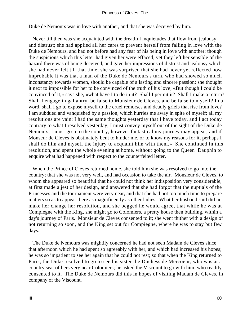Duke de Nemours was in love with another, and that she was deceived by him.

 Never till then was she acquainted with the dreadful inquietudes that flow from jealousy and distrust; she had applied all her cares to prevent herself from falling in love with the Duke de Nemours, and had not before had any fear of his being in love with another: though the suspicions which this letter had given her were effaced, yet they left her sensible of the hazard there was of being deceived, and gave her impressions of distrust and jealousy which she had never felt till that time; she was surprised that she had never yet reflected how improbable it was that a man of the Duke de Nemours's turn, who had showed so much inconstancy towards women, should be capable of a lasting and sincere passion; she thought it next to impossible for her to be convinced of the truth of his love; «But though I could be convinced of it,» says she, «what have I to do in it? Shall I permit it? Shall I make a return? Shall I engage in gallantry, be false to Monsieur de Cleves, and be false to myself? In a word, shall I go to expose myself to the cruel remorses and deadly griefs that rise from love? I am subdued and vanquished by a passion, which hurries me away in spite of myself; all my resolutions are vain; I had the same thoughts yesterday that I have today, and I act today contrary to what I resolved yesterday; I must convey myself out of the sight of the Duke de Nemours; I must go into the country, however fantastical my journey may appear; and if Monseur de Cleves is obstinately bent to hinder me, or to know my reasons for it, perhaps I shall do him and myself the injury to acquaint him with them.» She continued in this resolution, and spent the whole evening at home, without going to the Queen−Dauphin to enquire what had happened with respect to the counterfeited letter.

 When the Prince of Cleves returned home, she told him she was resolved to go into the country; that she was not very well, and had occasion to take the air. Monsieur de Cleves, to whom she appeared so beautiful that he could not think her indisposition very considerable, at first made a jest of her design, and answered that she had forgot that the nuptials of the Princesses and the tournament were very near, and that she had not too much time to prepare matters so as to appear there as magnificently as other ladies. What her husband said did not make her change her resolution, and she begged he would agree, that while he was at Compiegne with the King, she might go to Colomiers, a pretty house then building, within a day's journey of Paris. Monsieur de Cleves consented to it; she went thither with a design of not returning so soon, and the King set out for Compiegne, where he was to stay but few days.

 The Duke de Nemours was mightily concerned he had not seen Madam de Cleves since that afternoon which he had spent so agreeably with her, and which had increased his hopes; he was so impatient to see her again that he could not rest; so that when the King returned to Paris, the Duke resolved to go to see his sister the Duchess de Mercoeur, who was at a country seat of hers very near Colomiers; he asked the Viscount to go with him, who readily consented to it. The Duke de Nemours did this in hopes of visiting Madam de Cleves, in company of the Viscount.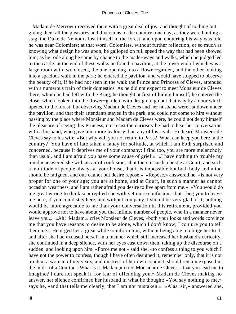Madam de Mercoeur received them with a great deal of joy, and thought of nothing but giving them all the pleasures and diversions of the country; one day, as they were hunting a stag, the Duke de Nemours lost himself in the forest, and upon enquiring his way was told he was near Colomiers; at that word, Colomiers, without further reflection, or so much as knowing what design he was upon, he galloped on full speed the way that had been showed him; as he rode along he came by chance to the made−ways and walks, which he judged led to the castle: at the end of these walks he found a pavilion, at the lower end of which was a large room with two closets, the one opening into a flower−garden, and the other looking into a spacious walk in the park; he entered the pavilion, and would have stopped to observe the beauty of it, if he had not seen in the walk the Prince and Princess of Cleves, attended with a numerous train of their domestics. As he did not expect to meet Monsieur de Cleves there, whom he had left with the King, he thought at first of hiding himself; he entered the closet which looked into the flower−garden, with design to go out that way by a door which opened to the forest; but observing Madam de Cleves and her husband were sat down under the pavilion, and that their attendants stayed in the park, and could not come to him without passing by the place where Monsieur and Madam de Cleves were, he could not deny himself the pleasure of seeing this Princess, nor resist the curiosity he had to hear her conversation with a husband, who gave him more jealousy than any of his rivals. He heard Monsieur de Cleves say to his wife, «But why will you not return to Paris? What can keep you here in the country? You have of late taken a fancy for solitude, at which I am both surprised and concerned, because it deprives me of your company: I find too, you are more melancholy than usual, and I am afraid you have some cause of grief.» «I have nothing to trouble my mind,» answered she with an air of confusion, «but there is such a bustle at Court, and such a multitude of people always at your house, that it is impossible but both body and mind should be fatigued, and one cannot but desire repose.» «Repose,» answered he, «is not very proper for one of your age; you are at home, and at Court, in such a manner as cannot occasion weariness, and I am rather afraid you desire to live apart from me.» «You would do me great wrong to think so,» replied she with yet more confusion, «but I beg you to leave me here; if you could stay here, and without company, I should be very glad of it; nothing would be more agreeable to me than your conversation in this retirement, provided you would approve not to have about you that infinite number of people, who in a manner never leave you.» «Ah! Madam,» cries Monsieur de Cleves, «both your looks and words convince me that you have reasons to desire to be alone, which I don't know; I conjure you to tell them me.» He urged her a great while to inform him, without being able to oblige her to it; and after she had excused herself in a manner which still increased her husband's curiosity, she continued in a deep silence, with her eyes cast down then, taking up the discourse on a sudden, and looking upon him, «Force me not,» said she, «to confess a thing to you which I have not the power to confess, though I have often designed it; remember only, that it is not prudent a woman of my years, and mistress of her own conduct, should remain exposed in the midst of a Court.» «What is it, Madam,» cried Monsieur de Cleves, «that you lead me to imagine? I dare not speak it, for fear of offending you.» Madam de Cleves making no answer, her silence confirmed her husband in what he thought; «You say nothing to me,» says he, «and that tells me clearly, that I am not mistaken.» «Alas, sir,» answered she,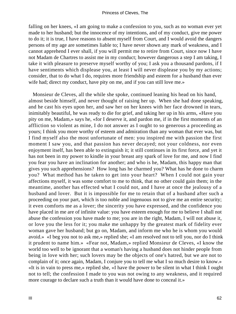falling on her knees, «I am going to make a confession to you, such as no woman ever yet made to her husband; but the innocence of my intentions, and of my conduct, give me power to do it; it is true, I have reasons to absent myself from Court, and I would avoid the dangers persons of my age are sometimes liable to; I have never shown any mark of weakness, and I cannot apprehend I ever shall, if you will permit me to retire from Court, since now I have not Madam de Chartres to assist me in my conduct; however dangerous a step I am taking, I take it with pleasure to preserve myself worthy of you; I ask you a thousand pardons, if I have sentiments which displease you, at least I will never displease you by my actions; consider, that to do what I do, requires more friendship and esteem for a husband than ever wife had; direct my conduct, have pity on me, and if you can still love me.»

 Monsieur de Cleves, all the while she spoke, continued leaning his head on his hand, almost beside himself, and never thought of raising her up. When she had done speaking, and he cast his eyes upon her, and saw her on her knees with her face drowned in tears, inimitably beautiful, he was ready to die for grief, and taking her up in his arms, «Have you pity on me, Madam,» says he, «for I deserve it, and pardon me, if in the first moments of an affliction so violent as mine, I do not answer as I ought to so generous a proceeding as yours; I think you more worthy of esteem and admiration than any woman that ever was, but I find myself also the most unfortunate of men: you inspired me with passion the first moment I saw you, and that passion has never decayed; not your coldness, nor even enjoyment itself, has been able to extinguish it; it still continues in its first force, and yet it has not been in my power to kindle in your breast any spark of love for me, and now I find you fear you have an inclination for another; and who is he, Madam, this happy man that gives you such apprehensions? How long has he charmed you? What has he done to charm you? What method has he taken to get into your heart? When I could not gain your affections myself, it was some comfort to me to think, that no other could gain them; in the meantime, another has effected what I could not, and I have at once the jealousy of a husband and lover. But it is impossible for me to retain that of a husband after such a proceeding on your part, which is too noble and ingenuous not to give me an entire security; it even comforts me as a lover; the sincerity you have expressed, and the confidence you have placed in me are of infinite value: you have esteem enough for me to believe I shall not abuse the confession you have made to me; you are in the right, Madam, I will not abuse it, or love you the less for it; you make me unhappy by the greatest mark of fidelity ever woman gave her husband; but go on, Madam, and inform me who he is whom you would avoid.» «I beg you not to ask me,» replied she; «I am resolved not to tell you, nor do I think it prudent to name him.» «Fear not, Madam,» replied Monsieur de Cleves, «I know the world too well to be ignorant that a woman's having a husband does not hinder people from being in love with her; such lovers may be the objects of one's hatred, but we are not to complain of it; once again, Madam, I conjure you to tell me what I so much desire to know.» «It is in vain to press me,» replied she, «I have the power to be silent in what I think I ought not to tell; the confession I made to you was not owing to any weakness, and it required more courage to declare such a truth than it would have done to conceal it.»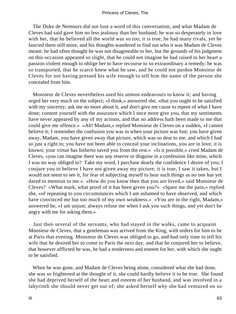The Duke de Nemours did not lose a word of this conversation, and what Madam de Cleves had said gave him no less jealousy than her husband; he was so desperately in love with her, that he believed all the world was so too; it is true, he had many rivals, yet he fancied them still more, and his thoughts wandered to find out who it was Madam de Cleves meant: he had often thought he was not disagreeable to her, but the grounds of his judgment on this occasion appeared so slight, that he could not imagine he had raised in her heart a passion violent enough to oblige her to have recourse to so extraordinary a remedy; he was so transported, that he scarce knew what he saw, and he could not pardon Monsieur de Cleves for not having pressed his wife enough to tell him the name of the person she concealed from him.

 Monsieur de Cleves nevertheless used his utmost endeavours to know it; and having urged her very much on the subject; «I think,» answered she, «that you ought to be satisfied with my sincerity; ask me no more about it, and don't give me cause to repent of what I have done; content yourself with the assurance which I once more give you, that my sentiments have never appeared by any of my actions, and that no address hath been made to me that could give me offence.» «Ah! Madam,» replied Monsieur de Cleves on a sudden, «I cannot believe it; I remember the confusion you was in when your picture was lost; you have given away, Madam, you have given away that picture, which was so dear to me, and which I had so just a right to; you have not been able to conceal your inclinations, you are in love; it is known; your virtue has hitherto saved you from the rest.» «Is it possible,» cried Madam de Cleves, «you can imagine there was any reserve or disguise in a confession like mine, which I was no way obliged to? Take my word, I purchase dearly the confidence I desire of you; I conjure you to believe I have not given away my picture; it is true, I saw it taken, but I would not seem to see it, for fear of subjecting myself to hear such things as no one has yet dared to mention to me.» «How do you know then that you are loved,» said Monsieur de Cleves? «What mark, what proof of it has been given you?» «Spare me the pain,» replied she, «of repeating to you circumstances which I am ashamed to have observed, and which have convinced me but too much of my own weakness.» «You are in the right, Madam,» answered he, «I am unjust; always refuse me when I ask you such things, and yet don't be angry with me for asking them.»

 Just then several of the servants, who had stayed in the walks, came to acquaint Monsieur de Cleves, that a gentleman was arrived from the King, with orders for him to be at Paris that evening. Monsieur de Cleves was obliged to go, and had only time to tell his wife that he desired her to come to Paris the next day; and that he conjured her to believe, that however afflicted he was, he had a tenderness and esteem for her, with which she ought to be satisfied.

 When he was gone, and Madam de Cleves being alone, considered what she had done, she was so frightened at the thought of it, she could hardly believe it to be true. She found she had deprived herself of the heart and esteem of her husband, and was involved in a labyrinth she should never get out of; she asked herself why she had ventured on so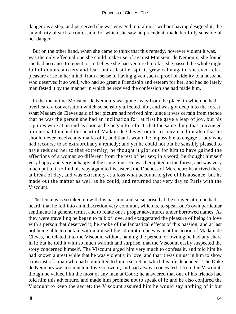dangerous a step, and perceived she was engaged in it almost without having designed it; the singularity of such a confession, for which she saw no precedent, made her fully sensible of her danger.

 But on the other hand, when she came to think that this remedy, however violent it was, was the only effectual one she could make use of against Monsieur de Nemours, she found she had no cause to repent, or to believe she had ventured too far; she passed the whole night full of doubts, anxiety and fear; but at last her spirits grew calm again; she even felt a pleasure arise in her mind, from a sense of having given such a proof of fidelity to a husband who deserved it so well, who had so great a friendship and esteem for her, and had so lately manifested it by the manner in which he received the confession she had made him.

 In the meantime Monsieur de Nemours was gone away from the place, in which he had overheard a conversation which so sensibly affected him, and was got deep into the forest; what Madam de Cleves said of her picture had revived him, since it was certain from thence that he was the person she had an inclination for; at first he gave a leap of joy, but his raptures were at an end as soon as he began to reflect, that the same thing that convinced him he had touched the heart of Madam de Cleves, ought to convince him also that he should never receive any marks of it, and that it would be impossible to engage a lady who had recourse to so extraordinary a remedy; and yet he could not but be sensibly pleased to have reduced her to that extremity; he thought it glorious for him to have gained the affections of a woman so different from the rest of her sex; in a word, he thought himself very happy and very unhappy at the same time. He was benighted in the forest, and was very much put to it to find his way again to his sister's the Duchess of Mercoeur; he arrived there at break of day, and was extremely at a loss what account to give of his absence, but he made out the matter as well as he could, and returned that very day to Paris with the Viscount.

 The Duke was so taken up with his passion, and so surprised at the conversation he had heard, that he fell into an indiscretion very common, which is, to speak one's own particular sentiments in general terms, and to relate one's proper adventures under borrowed names. As they were travelling he began to talk of love, and exaggerated the pleasure of being in love with a person that deserved it; he spoke of the fantastical effects of this passion, and at last not being able to contain within himself the admiration he was in at the action of Madam de Cleves, he related it to the Viscount without naming the person, or owning he had any share in it; but he told it with so much warmth and surprise, that the Viscount easily suspected the story concerned himself. The Viscount urged him very much to confess it, and told him he had known a great while that he was violently in love, and that it was unjust in him to show a distrust of a man who had committed to him a secret on which his life depended. The Duke de Nemours was too much in love to own it, and had always concealed it from the Viscount, though he valued him the most of any man at Court; he answered that one of his friends had told him this adventure, and made him promise not to speak of it; and he also conjured the Viscount to keep the secret: the Viscount assured him he would say nothing of it but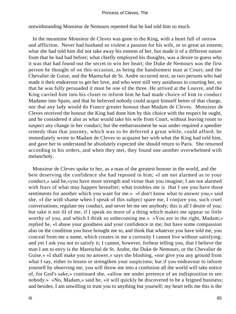notwithstanding Monsieur de Nemours repented that he had told him so much.

 In the meantime Monsieur de Cleves was gone to the King, with a heart full of sorrow and affliction. Never had husband so violent a passion for his wife, or so great an esteem; what she had told him did not take away his esteem of her, but made it of a different nature from that he had had before; what chiefly employed his thoughts, was a desire to guess who it was that had found out the secret to win her heart; the Duke de Nemours was the first person he thought of on this occasion, as being the handsomest man at Court; and the Chevalier de Guise, and the Mareschal de St. Andre occurred next, as two persons who had made it their endeavour to get her love, and who were still very assiduous in courting her, so that he was fully persuaded it must be one of the three. He arrived at the Louvre, and the King carried him into his closet to inform him he had made choice of him to conduct Madame into Spain, and that he believed nobody could acquit himself better of that charge, nor that any lady would do France greater honour than Madam de Cleves. Monsieur de Cleves received the honour the King had done him by this choice with the respect he ought, and he considered it also as what would take his wife from Court, without leaving room to suspect any change in her conduct; but the embarrassment he was under required a speedier remedy than that journey, which was to be deferred a great while, could afford; he immediately wrote to Madam de Cleves to acquaint her with what the King had told him, and gave her to understand he absolutely expected she should return to Paris. She returned according to his orders, and when they met, they found one another overwhelmed with melancholy.

 Monsieur de Cleves spoke to her, as a man of the greatest honour in the world, and the best deserving the confidence she had reposed in him; «I am not alarmed as to your conduct,» said he,«you have more strength and virtue than you imagine; I am not alarmed with fears of what may happen hereafter; what troubles me is that I see you have those sentiments for another which you want for me.» «I don't know what to answer you,» said she, «I die with shame when I speak of this subject spare me, I conjure you, such cruel conversations; regulate my conduct, and never let me see anybody; this is all I desire of you; but take it not ill of me, if I speak no more of a thing which makes me appear so little worthy of you, and which I think so unbecoming me.» «You are in the right, Madam;» replied he, «I abuse your goodness and your confidence in me; but have some compassion also on the condition you have brought me to, and think that whatever you have told me, you conceal from me a name, which creates in me a curiosity I cannot live without satisfying; and yet I ask you not to satisfy it; I cannot, however, forbear telling you, that I believe the man I am to envy is the Mareschal de St. Andre, the Duke de Nemours, or the Chevalier de Guise.» «I shall make you no answer,» says she blushing, «nor give you any ground from what I say, either to lessen or strengthen your suspicions; but if you endeavour to inform yourself by observing me, you will throw me into a confusion all the world will take notice of, for God's sake,» continued she, «allow me under pretence of an indisposition to see nobody.» «No, Madam,» said he, «it will quickly be discovered to be a feigned business; and besides, I am unwilling to trust you to anything but yourself; my heart tells me this is the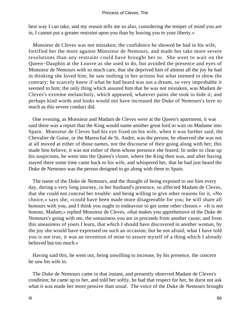best way I can take, and my reason tells me so also, considering the temper of mind you are in, I cannot put a greater restraint upon you than by leaving you to your liberty.»

 Monsieur de Cleves was not mistaken; the confidence he showed he had in his wife, fortified her the more against Monsieur de Nemours, and made her take more severe resolutions than any restraint could have brought her to. She went to wait on the Queen−Dauphin at the Louvre as she used to do, but avoided the presence and eyes of Monsieur de Nemours with so much care, that she deprived him of almost all the joy he had in thinking she loved him; he saw nothing in her actions but what seemed to show the contrary; he scarcely knew if what he had heard was not a dream, so very improbable it seemed to him; the only thing which assured him that he was not mistaken, was Madam de Cleves's extreme melancholy, which appeared, whatever pains she took to hide it; and perhaps kind words and looks would not have increased the Duke of Nemours's love so much as this severe conduct did.

 One evening, as Monsieur and Madam de Cleves were at the Queen's apartment, it was said there was a report that the King would name another great lord to wait on Madame into Spain. Monsieur de Cleves had his eye fixed on his wife, when it was further said, the Chevalier de Guise, or the Mareschal de St. Andre, was the person; he observed she was not at all moved at either of those names, nor the discourse of their going along with her; this made him believe, it was not either of them whose presence she feared. In order to clear up his suspicions, he went into the Queen's closet, where the King then was, and after having stayed there some time came back to his wife, and whispered her, that he had just heard the Duke de Nemours was the person designed to go along with them to Spain.

 The name of the Duke de Nemours, and the thought of being exposed to see him every day, during a very long journey, in her husband's presence, so affected Madam de Cleves, that she could not conceal her trouble: and being willing to give other reasons for it, «No choice,» says she, «could have been made more disagreeable for you; he will share all honours with you, and I think you ought to endeavour to get some other chosen.» «It is not honour, Madam,» replied Monsieur de Cleves, «that makes you apprehensive of the Duke de Nemours's going with me, the uneasiness you are in proceeds from another cause; and from this uneasiness of yours I learn, that which I should have discovered in another woman, by the joy she would have expressed on such an occasion; but be not afraid; what I have told you is not true, it was an invention of mine to assure myself of a thing which I already believed but too much.»

 Having said this, he went out, being unwilling to increase, by his presence, the concern he saw his wife in.

 The Duke de Nemours came in that instant, and presently observed Madam de Cleves's condition; he came up to her, and told her softly, he had that respect for her, he durst not ask what it was made her more pensive than usual. The voice of the Duke de Nemours brought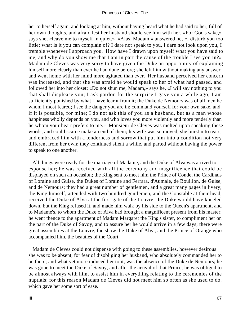her to herself again, and looking at him, without having heard what he had said to her, full of her own thoughts, and afraid lest her husband should see him with her, «For God's sake,» says she, «leave me to myself in quiet.» «Alas, Madam,» answered he, «I disturb you too little; what is it you can complain of? I dare not speak to you, I dare not look upon you, I tremble whenever I approach you. How have I drawn upon myself what you have said to me, and why do you show me that I am in part the cause of the trouble I see you in?» Madam de Cleves was very sorry to have given the Duke an opportunity of explaining himself more clearly than ever he had done before; she left him without making any answer, and went home with her mind more agitated than ever. Her husband perceived her concern was increased, and that she was afraid he would speak to her of what had passed, and followed her into her closet; «Do not shun me, Madam,» says he, «I will say nothing to you that shall displease you; I ask pardon for the surprise I gave you a while ago; I am sufficiently punished by what I have learnt from it; the Duke de Nemours was of all men he whom I most feared; I see the danger you are in; command yourself for your own sake, and, if it is possible, for mine; I do not ask this of you as a husband, but as a man whose happiness wholly depends on you, and who loves you more violently and more tenderly than he whom your heart prefers to me.» Monsieur de Cleves was melted upon speaking these words, and could scarce make an end of them; his wife was so moved, she burst into tears, and embraced him with a tenderness and sorrow that put him into a condition not very different from her own; they continued silent a while, and parted without having the power to speak to one another.

 All things were ready for the marriage of Madame, and the Duke of Alva was arrived to espouse her; he was received with all the ceremony and magnificence that could be displayed on such an occasion; the King sent to meet him the Prince of Conde, the Cardinals of Loraine and Guise, the Dukes of Loraine and Ferrara, d'Aumale, de Bouillon, de Guise, and de Nemours; they had a great number of gentlemen, and a great many pages in livery; the King himself, attended with two hundred gentlemen, and the Constable at their head, received the Duke of Alva at the first gate of the Louvre; the Duke would have kneeled down, but the King refused it, and made him walk by his side to the Queen's apartment, and to Madame's, to whom the Duke of Alva had brought a magnificent present from his master; he went thence to the apartment of Madam Margaret the King's sister, to compliment her on the part of the Duke of Savoy, and to assure her he would arrive in a few days; there were great assemblies at the Louvre, the show the Duke of Alva, and the Prince of Orange who accompanied him, the beauties of the Court.

 Madam de Cleves could not dispense with going to these assemblies, however desirous she was to be absent, for fear of disobliging her husband, who absolutely commanded her to be there; and what yet more induced her to it, was the absence of the Duke de Nemours; he was gone to meet the Duke of Savoy, and after the arrival of that Prince, he was obliged to be almost always with him, to assist him in everything relating to the ceremonies of the nuptials; for this reason Madam de Cleves did not meet him so often as she used to do, which gave her some sort of ease.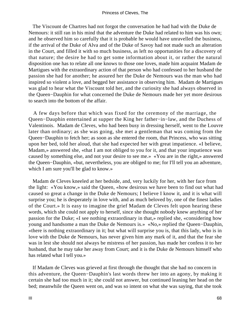The Viscount de Chartres had not forgot the conversation he had had with the Duke de Nemours: it still ran in his mind that the adventure the Duke had related to him was his own; and he observed him so carefully that it is probable he would have unravelled the business, if the arrival of the Duke of Alva and of the Duke of Savoy had not made such an alteration in the Court, and filled it with so much business, as left no opportunities for a discovery of that nature; the desire he had to get some information about it, or rather the natural disposition one has to relate all one knows to those one loves, made him acquaint Madam de Martigues with the extraordinary action of that person who had confessed to her husband the passion she had for another; he assured her the Duke de Nemours was the man who had inspired so violent a love, and begged her assistance in observing him. Madam de Martigues was glad to hear what the Viscount told her, and the curiosity she had always observed in the Queen−Dauphin for what concerned the Duke de Nemours made her yet more desirous to search into the bottom of the affair.

 A few days before that which was fixed for the ceremony of the marriage, the Queen−Dauphin entertained at supper the King her father−in−law, and the Duchess of Valentinois. Madam de Cleves, who had been busy in dressing herself, went to the Louvre later than ordinary; as she was going, she met a gentleman that was coming from the Queen−Dauphin to fetch her; as soon as she entered the room, that Princess, who was sitting upon her bed, told her aloud, that she had expected her with great impatience. «I believe, Madam,» answered she, «that I am not obliged to you for it, and that your impatience was caused by something else, and not your desire to see me.» «You are in the right,» answered the Queen−Dauphin, «but, nevertheless, you are obliged to me; for I'll tell you an adventure, which I am sure you'll be glad to know.»

 Madam de Cleves kneeled at her bedside, and, very luckily for her, with her face from the light: «You know,» said the Queen, «how desirous we have been to find out what had caused so great a change in the Duke de Nemours; I believe I know it, and it is what will surprise you; he is desperately in love with, and as much beloved by, one of the finest ladies of the Court.» It is easy to imagine the grief Madam de Cleves felt upon hearing these words, which she could not apply to herself, since she thought nobody knew anything of her passion for the Duke; «I see nothing extraordinary in that,» replied she, «considering how young and handsome a man the Duke de Nemours is.» «No,» replied the Queen−Dauphin, «there is nothing extraordinary in it; but what will surprise you is, that this lady, who is in love with the Duke de Nemours, has never given him any mark of it, and that the fear she was in lest she should not always be mistress of her passion, has made her confess it to her husband, that he may take her away from Court; and it is the Duke de Nemours himself who has related what I tell you.»

 If Madam de Cleves was grieved at first through the thought that she had no concern in this adventure, the Queen−Dauphin's last words threw her into an agony, by making it certain she had too much in it; she could not answer, but continued leaning her head on the bed; meanwhile the Queen went on, and was so intent on what she was saying, that she took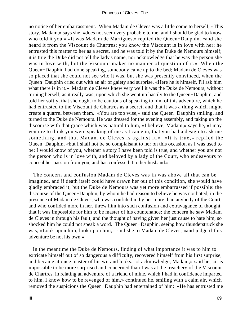no notice of her embarrassment. When Madam de Cleves was a little come to herself, «This story, Madam,» says she, «does not seem very probable to me, and I should be glad to know who told it you.» «It was Madam de Martigues,» replied the Queen−Dauphin, «and she heard it from the Viscount de Chartres; you know the Viscount is in love with her; he entrusted this matter to her as a secret, and he was told it by the Duke de Nemours himself; it is true the Duke did not tell the lady's name, nor acknowledge that he was the person she was in love with, but the Viscount makes no manner of question of it.» When the Queen−Dauphin had done speaking, somebody came up to the bed; Madam de Cleves was so placed that she could not see who it was, but she was presently convinced, when the Queen−Dauphin cried out with an air of gaiety and surprise, «Here he is himself, I'll ask him what there is in it.» Madam de Cleves knew very well it was the Duke de Nemours, without turning herself, as it really was; upon which she went up hastily to the Queen−Dauphin, and told her softly, that she ought to be cautious of speaking to him of this adventure, which he had entrusted to the Viscount de Chartres as a secret, and that it was a thing which might create a quarrel between them. «You are too wise,» said the Queen−Dauphin smiling, and turned to the Duke de Nemours. He was dressed for the evening assembly, and taking up the discourse with that grace which was natural to him, «I believe, Madam,» says he, «I may venture to think you were speaking of me as I came in, that you had a design to ask me something, and that Madam de Cleves is against it.» «It is true,» replied the Queen−Dauphin, «but I shall not be so complaisant to her on this occasion as I was used to be; I would know of you, whether a story I have been told is true, and whether you are not the person who is in love with, and beloved by a lady of the Court, who endeavours to conceal her passion from you, and has confessed it to her husband.»

 The concern and confusion Madam de Cleves was in was above all that can be imagined, and if death itself could have drawn her out of this condition, she would have gladly embraced it; but the Duke de Nemours was yet more embarrassed if possible: the discourse of the Queen−Dauphin, by whom he had reason to believe he was not hated, in the presence of Madam de Cleves, who was confided in by her more than anybody of the Court, and who confided more in her, threw him into such confusion and extravagance of thought, that it was impossible for him to be master of his countenance: the concern he saw Madam de Cleves in through his fault, and the thought of having given her just cause to hate him, so shocked him he could not speak a word. The Queen−Dauphin, seeing how thunderstruck she was, «Look upon him, look upon him,» said she to Madam de Cleves, «and judge if this adventure be not his own.»

 In the meantime the Duke de Nemours, finding of what importance it was to him to extricate himself out of so dangerous a difficulty, recovered himself from his first surprise, and became at once master of his wit and looks. «I acknowledge, Madam,» said he, «it is impossible to be more surprised and concerned than I was at the treachery of the Viscount de Chartres, in relating an adventure of a friend of mine, which I had in confidence imparted to him. I know how to be revenged of him,» continued he, smiling with a calm air, which removed the suspicions the Queen−Dauphin had entertained of him: «He has entrusted me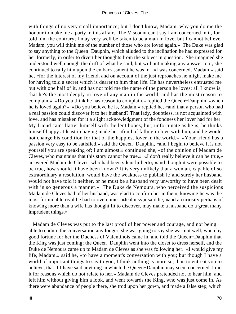with things of no very small importance; but I don't know, Madam, why you do me the honour to make me a party in this affair. The Viscount can't say I am concerned in it, for I told him the contrary; I may very well be taken to be a man in love, but I cannot believe, Madam, you will think me of the number of those who are loved again.» The Duke was glad to say anything to the Queen−Dauphin, which alluded to the inclination he had expressed for her formerly, in order to divert her thoughts from the subject in question. She imagined she understood well enough the drift of what he said, but without making any answer to it, she continued to rally him upon the embarrassment he was in. «I was concerned, Madam,» said he, «for the interest of my friend, and on account of the just reproaches he might make me for having told a secret which is dearer to him than life. He has nevertheless entrusted me but with one half of it, and has not told me the name of the person he loves; all I know is, that he's the most deeply in love of any man in the world, and has the most reason to complain.» «Do you think he has reason to complain,» replied the Queen−Dauphin, «when he is loved again?» «Do you believe he is, Madam,» replied he, «and that a person who had a real passion could discover it to her husband? That lady, doubtless, is not acquainted with love, and has mistaken for it a slight acknowledgment of the fondness her lover had for her. My friend can't flatter himself with the lent hopes; but, unfortunate as he is, he thinks himself happy at least in having made her afraid of falling in love with him, and he would not change his condition for that of the happiest lover in the world.» «Your friend has a passion very easy to be satisfied,» said the Queen−Dauphin, «and I begin to believe it is not yourself you are speaking of; I am almost,» continued she, «of the opinion of Madam de Cleves, who maintains that this story cannot be true.» «I don't really believe it can be true,» answered Madam de Cleves, who had been silent hitherto; «and though it were possible to be true, how should it have been known? It is very unlikely that a woman, capable of so extraordinary a resolution, would have the weakness to publish it; and surely her husband would not have told it neither, or he must be a husband very unworthy to have been dealt with in so generous a manner.» The Duke de Nemours, who perceived the suspicions Madam de Cleves had of her husband, was glad to confirm her in them, knowing he was the most formidable rival he had to overcome. «Jealousy,» said he, «and a curiosity perhaps of knowing more than a wife has thought fit to discover, may make a husband do a great many imprudent things.»

 Madam de Cleves was put to the last proof of her power and courage, and not being able to endure the conversation any longer, she was going to say she was not well, when by good fortune for her the Duchess of Valentinois came in, and told the Queen−Dauphin that the King was just coming; the Queen−Dauphin went into the closet to dress herself, and the Duke de Nemours came up to Madam de Cleves as she was following her. «I would give my life, Madam,» said he, «to have a moment's conversation with you; but though I have a world of important things to say to you, I think nothing is more so, than to entreat you to believe, that if I have said anything in which the Queen−Dauphin may seem concerned, I did it for reasons which do not relate to her.» Madam de Cleves pretended not to hear him, and left him without giving him a look, and went towards the King, who was just come in. As there were abundance of people there, she trod upon her gown, and made a false step, which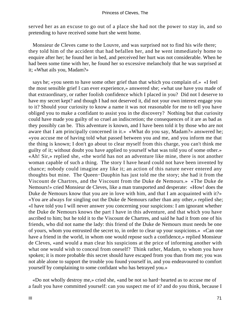served her as an excuse to go out of a place she had not the power to stay in, and so pretending to have received some hurt she went home.

 Monsieur de Cleves came to the Louvre, and was surprised not to find his wife there; they told him of the accident that had befallen her, and he went immediately home to enquire after her; he found her in bed, and perceived her hurt was not considerable. When he had been some time with her, he found her so excessive melancholy that he was surprised at it; «What ails you, Madam?»

 says he; «you seem to have some other grief than that which you complain of.» «I feel the most sensible grief I can ever experience,» answered she; «what use have you made of that extraordinary, or rather foolish confidence which I placed in you? Did not I deserve to have my secret kept? and though I had not deserved it, did not your own interest engage you to it? Should your curiosity to know a name it was not reasonable for me to tell you have obliged you to make a confidant to assist you in the discovery? Nothing but that curiosity could have made you guilty of so cruel an indiscretion; the consequences of it are as bad as they possibly can be. This adventure is known, and I have been told it by those who are not aware that I am principally concerned in it.» «What do you say, Madam?» answered he; «you accuse me of having told what passed between you and me, and you inform me that the thing is known; I don't go about to clear myself from this charge, you can't think me guilty of it; without doubt you have applied to yourself what was told you of some other.» «Ah! Sir,» replied she, «the world has not an adventure like mine, there is not another woman capable of such a thing. The story I have heard could not have been invented by chance; nobody could imagine any like it; an action of this nature never entered any thoughts but mine. The Queen−Dauphin has just told me the story; she had it from the Viscount de Chartres, and the Viscount from the Duke de Nemours.» «The Duke de Nemours!» cried Monsieur de Cleves, like a man transported and desperate: «How! does the Duke de Nemours know that you are in love with him, and that I am acquainted with it?» «You are always for singling out the Duke de Nemours rather than any other,» replied she; «I have told you I will never answer you concerning your suspicions: I am ignorant whether the Duke de Nemours knows the part I have in this adventure, and that which you have ascribed to him; but he told it to the Viscount de Chartres, and said he had it from one of his friends, who did not name the lady: this friend of the Duke de Nemours must needs be one of yours, whom you entrusted the secret to, in order to clear up your suspicions.» «Can one have a friend in the world, in whom one would repose such a confidence,» replied Monsieur de Cleves, «and would a man clear his suspicions at the price of informing another with what one would wish to conceal from oneself? Think rather, Madam, to whom you have spoken; it is more probable this secret should have escaped from you than from me; you was not able alone to support the trouble you found yourself in, and you endeavoured to comfort yourself by complaining to some confidant who has betrayed you.»

 «Do not wholly destroy me,» cried she, «and be not so hard−hearted as to accuse me of a fault you have committed yourself: can you suspect me of it? and do you think, because I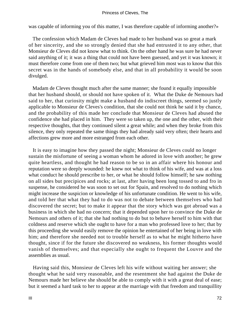was capable of informing you of this matter, I was therefore capable of informing another?»

 The confession which Madam de Cleves had made to her husband was so great a mark of her sincerity, and she so strongly denied that she had entrusted it to any other, that Monsieur de Cleves did not know what to think. On the other hand he was sure he had never said anything of it; it was a thing that could not have been guessed, and yet it was known; it must therefore come from one of them two; but what grieved him most was to know that this secret was in the hands of somebody else, and that in all probability it would be soon divulged.

 Madam de Cleves thought much after the same manner; she found it equally impossible that her husband should, or should not have spoken of it. What the Duke de Nemours had said to her, that curiosity might make a husband do indiscreet things, seemed so justly applicable to Monsieur de Cleves's condition, that she could not think he said it by chance, and the probability of this made her conclude that Monsieur de Cleves had abused the confidence she had placed in him. They were so taken up, the one and the other, with their respective thoughts, that they continued silent a great while; and when they broke from this silence, they only repeated the same things they had already said very often; their hearts and affections grew more and more estranged from each other.

 It is easy to imagine how they passed the night; Monsieur de Cleves could no longer sustain the misfortune of seeing a woman whom he adored in love with another; he grew quite heartless, and thought he had reason to be so in an affair where his honour and reputation were so deeply wounded: he knew not what to think of his wife, and was at a loss what conduct he should prescribe to her, or what he should follow himself; he saw nothing on all sides but precipices and rocks; at last, after having been long tossed to and fro in suspense, he considered he was soon to set out for Spain, and resolved to do nothing which might increase the suspicion or knowledge of his unfortunate condition. He went to his wife, and told her that what they had to do was not to debate between themselves who had discovered the secret; but to make it appear that the story which was got abroad was a business in which she had no concern; that it depended upon her to convince the Duke de Nemours and others of it; that she had nothing to do but to behave herself to him with that coldness and reserve which she ought to have for a man who professed love to her; that by this proceeding she would easily remove the opinion he entertained of her being in love with him; and therefore she needed not to trouble herself as to what he might hitherto have thought, since if for the future she discovered no weakness, his former thoughts would vanish of themselves; and that especially she ought to frequent the Louvre and the assemblies as usual.

 Having said this, Monsieur de Cleves left his wife without waiting her answer; she thought what he said very reasonable, and the resentment she had against the Duke de Nemours made her believe she should be able to comply with it with a great deal of ease; but it seemed a hard task to her to appear at the marriage with that freedom and tranquillity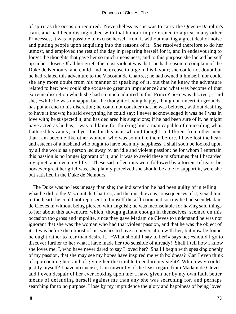of spirit as the occasion required. Nevertheless as she was to carry the Queen−Dauphin's train, and had been distinguished with that honour in preference to a great many other Princesses, it was impossible to excuse herself from it without making a great deal of noise and putting people upon enquiring into the reasons of it. She resolved therefore to do her utmost, and employed the rest of the day in preparing herself for it, and in endeavouring to forget the thoughts that gave her so much uneasiness; and to this purpose she locked herself up in her closet. Of all her griefs the most violent was that she had reason to complain of the Duke de Nemours, and could find no excuse to urge in his favour; she could not doubt but he had related this adventure to the Viscount de Chartres; he had owned it himself, nor could she any more doubt from his manner of speaking of it, but that he knew the adventure related to her; how could she excuse so great an imprudence? and what was become of that extreme discretion which she had so much admired in this Prince? «He was discreet,» said she, «while he was unhappy; but the thought of being happy, though on uncertain grounds, has put an end to his discretion; he could not consider that he was beloved, without desiring to have it known; he said everything he could say; I never acknowledged it was he I was in love with; he suspected it, and has declared his suspicions; if he had been sure of it, he might have acted as he has; I was to blame for thinking him a man capable of concealing what flattered his vanity; and yet it is for this man, whom I thought so different from other men, that I am become like other women, who was so unlike them before. I have lost the heart and esteem of a husband who ought to have been my happiness; I shall soon be looked upon by all the world as a person led away by an idle and violent passion; he for whom I entertain this passion is no longer ignorant of it; and it was to avoid these misfortunes that I hazarded my quiet, and even my life.» These sad reflections were followed by a torrent of tears; but however great her grief was, she plainly perceived she should be able to support it, were she but satisfied in the Duke de Nemours.

 The Duke was no less uneasy than she; the indiscretion he had been guilty of in telling what he did to the Viscount de Chartres, and the mischievous consequences of it, vexed him to the heart; he could not represent to himself the affliction and sorrow he had seen Madam de Cleves in without being pierced with anguish; he was inconsolable for having said things to her about this adventure, which, though gallant enough in themselves, seemed on this occasion too gross and impolite, since they gave Madam de Cleves to understand he was not ignorant that she was the woman who had that violent passion, and that he was the object of it. It was before the utmost of his wishes to have a conversation with her, but now he found he ought rather to fear than desire it. «What should I say to her!» says he; «should I go to discover further to her what I have made her too sensible of already! Shall I tell how I know she loves me; I, who have never dared to say I loved her? Shall I begin with speaking openly of my passion, that she may see my hopes have inspired me with boldness? Can I even think of approaching her, and of giving her the trouble to endure my sight? Which way could I justify myself? I have no excuse, I am unworthy of the least regard from Madam de Cleves, and I even despair of her ever looking upon me: I have given her by my own fault better means of defending herself against me than any she was searching for, and perhaps searching for to no purpose. I lose by my imprudence the glory and happiness of being loved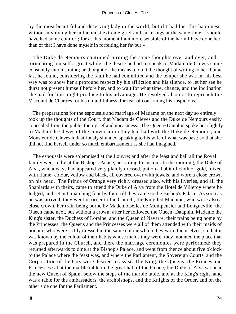by the most beautiful and deserving lady in the world; but if I had lost this happiness, without involving her in the most extreme grief and sufferings at the same time, I should have had some comfort; for at this moment I am more sensible of the harm I have done her, than of that I have done myself in forfeiting her favour.»

 The Duke de Nemours continued turning the same thoughts over and over, and tormenting himself a great while; the desire he had to speak to Madam de Cleves came constantly into his mind; he thought of the means to do it; he thought of writing to her; but at last he found, considering the fault he had committed and the temper she was in, his best way was to show her a profound respect by his affliction and his silence, to let her see he durst not present himself before her, and to wait for what time, chance, and the inclination she had for him might produce to his advantage. He resolved also not to reproach the Viscount de Chartres for his unfaithfulness, for fear of confirming his suspicions.

 The preparations for the espousals and marriage of Madame on the next day so entirely took up the thoughts of the Court, that Madam de Cleves and the Duke de Nemours easily concealed from the public their grief and uneasiness. The Queen−Dauphin spoke but slightly to Madam de Cleves of the conversation they had had with the Duke de Nemours; and Monsieur de Cleves industriously shunned speaking to his wife of what was past; so that she did not find herself under so much embarrassment as she had imagined.

 The espousals were solemnised at the Louvre; and after the feast and ball all the Royal family went to lie at the Bishop's Palace, according to custom. In the morning, the Duke of Alva, who always had appeared very plainly dressed, put on a habit of cloth of gold, mixed with flame−colour, yellow and black, all covered over with jewels, and wore a close crown on his head. The Prince of Orange very richly dressed also, with his liveries, and all the Spaniards with theirs, came to attend the Duke of Alva from the Hotel de Villeroy where he lodged, and set out, marching four by four, till they came to the Bishop's Palace. As soon as he was arrived, they went in order to the Church; the King led Madame, who wore also a close crown, her train being borne by Mademoiselles de Montpensier and Longueville; the Queen came next, but without a crown; after her followed the Queen−Dauphin, Madame the King's sister, the Duchess of Loraine, and the Queen of Navarre, their trains being home by the Princesses; the Queens and the Princesses were all of them attended with their maids of honour, who were richly dressed in the same colour which they wore themselves; so that it was known by the colour of their habits whose maids they were: they mounted the place that was prepared in the Church, and there the marriage ceremonies were performed; they returned afterwards to dine at the Bishop's Palace, and went from thence about five o'clock to the Palace where the feast was, and where the Parliament, the Sovereign Courts, and the Corporation of the City were desired to assist. The King, the Queens, the Princes and Princesses sat at the marble table in the great hall of the Palace; the Duke of Alva sat near the new Queen of Spain, below the steps of the marble table, and at the King's right hand was a table for the ambassadors, the archbishops, and the Knights of the Order, and on the other side one for the Parliament.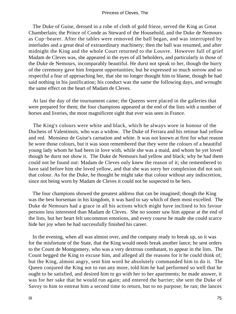#### Princess of Cleves, The

 The Duke of Guise, dressed in a robe of cloth of gold frieze, served the King as Great Chamberlain; the Prince of Conde as Steward of the Household, and the Duke de Nemours as Cup−bearer. After the tables were removed the ball began, and was interrupted by interludes and a great deal of extraordinary machinery; then the ball was resumed, and after midnight the King and the whole Court returned to the Louvre. However full of grief Madam de Cleves was, she appeared in the eyes of all beholders, and particularly in those of the Duke de Nemours, incomparably beautiful. He durst not speak to her, though the hurry of the ceremony gave him frequent opportunities; but he expressed so much sorrow and so respectful a fear of approaching her, that she no longer thought him to blame, though he had said nothing in his justification; his conduct was the same the following days, and wrought the same effect on the heart of Madam de Cleves.

 At last the day of the tournament came; the Queens were placed in the galleries that were prepared for them; the four champions appeared at the end of the lists with a number of horses and liveries, the most magnificent sight that ever was seen in France.

 The King's colours were white and black, which he always wore in honour of the Duchess of Valentinois, who was a widow. The Duke of Ferrara and his retinue had yellow and red. Monsieur de Guise's carnation and white. It was not known at first for what reason he wore those colours, but it was soon remembered that they were the colours of a beautiful young lady whom he had been in love with, while she was a maid, and whom he yet loved though he durst not show it. The Duke de Nemours had yellow and black; why he had them could not be found out: Madam de Cleves only knew the reason of it; she remembered to have said before him she loved yellow, and that she was sorry her complexion did not suit that colour. As for the Duke, he thought he might take that colour without any indiscretion, since not being worn by Madam de Cleves it could not be suspected to be hers.

 The four champions showed the greatest address that can be imagined; though the King was the best horseman in his kingdom, it was hard to say which of them most excelled. The Duke de Nemours had a grace in all his actions which might have inclined to his favour persons less interested than Madam de Cleves. She no sooner saw him appear at the end of the lists, but her heart felt uncommon emotions, and every course he made she could scarce hide her joy when he had successfully finished his career.

 In the evening, when all was almost over, and the company ready to break up, so it was for the misfortune of the State, that the King would needs break another lance; he sent orders to the Count de Montgomery, who was a very dextrous combatant, to appear in the lists. The Count begged the King to excuse him, and alleged all the reasons for it he could think of; but the King, almost angry, sent him word he absolutely commanded him to do it. The Queen conjured the King not to run any more, told him he had performed so well that he ought to be satisfied, and desired him to go with her to her apartments; he made answer, it was for her sake that he would run again; and entered the barrier; she sent the Duke of Savoy to him to entreat him a second time to return, but to no purpose; he ran; the lances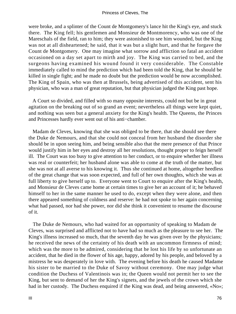were broke, and a splinter of the Count de Montgomery's lance hit the King's eye, and stuck there. The King fell; his gentlemen and Monsieur de Montmorency, who was one of the Mareschals of the field, ran to him; they were astonished to see him wounded, but the King was not at all disheartened; he said, that it was but a slight hurt, and that he forgave the Count de Montgomery. One may imagine what sorrow and affliction so fatal an accident occasioned on a day set apart to mirth and joy. The King was carried to bed, and the surgeons having examined his wound found it very considerable. The Constable immediately called to mind the prediction which had been told the King, that he should be killed in single fight; and he made no doubt but the prediction would be now accomplished. The King of Spain, who was then at Brussels, being advertised of this accident, sent his physician, who was a man of great reputation, but that physician judged the King past hope.

 A Court so divided, and filled with so many opposite interests, could not but be in great agitation on the breaking out of so grand an event; nevertheless all things were kept quiet, and nothing was seen but a general anxiety for the King's health. The Queens, the Princes and Princesses hardly ever went out of his anti−chamber.

 Madam de Cleves, knowing that she was obliged to be there, that she should see there the Duke de Nemours, and that she could not conceal from her husband the disorder she should be in upon seeing him, and being sensible also that the mere presence of that Prince would justify him in her eyes and destroy all her resolutions, thought proper to feign herself ill. The Court was too busy to give attention to her conduct, or to enquire whether her illness was real or counterfeit; her husband alone was able to come at the truth of the matter, but she was not at all averse to his knowing it. Thus she continued at home, altogether heedless of the great change that was soon expected, and full of her own thoughts, which she was at full liberty to give herself up to. Everyone went to Court to enquire after the King's health, and Monsieur de Cleves came home at certain times to give her an account of it; he behaved himself to her in the same manner he used to do, except when they were alone, and then there appeared something of coldness and reserve: he had not spoke to her again concerning what had passed, nor had she power, nor did she think it convenient to resume the discourse of it.

 The Duke de Nemours, who had waited for an opportunity of speaking to Madam de Cleves, was surprised and afflicted not to have had so much as the pleasure to see her. The King's illness increased so much, that the seventh day he was given over by the physicians; he received the news of the certainty of his death with an uncommon firmness of mind; which was the more to be admired, considering that he lost his life by so unfortunate an accident, that he died in the flower of his age, happy, adored by his people, and beloved by a mistress he was desperately in love with. The evening before his death he caused Madame his sister to be married to the Duke of Savoy without ceremony. One may judge what condition the Duchess of Valentinois was in; the Queen would not permit her to see the King, but sent to demand of her the King's signets, and the jewels of the crown which she had in her custody. The Duchess enquired if the King was dead, and being answered, «No»;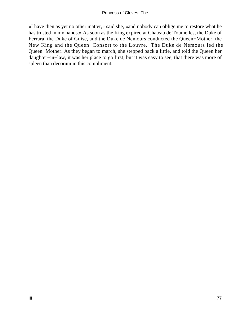«I have then as yet no other matter,» said she, «and nobody can oblige me to restore what he has trusted in my hands.» As soon as the King expired at Chateau de Toumelles, the Duke of Ferrara, the Duke of Guise, and the Duke de Nemours conducted the Queen−Mother, the New King and the Queen−Consort to the Louvre. The Duke de Nemours led the Queen−Mother. As they began to march, she stepped back a little, and told the Queen her daughter−in−law, it was her place to go first; but it was easy to see, that there was more of spleen than decorum in this compliment.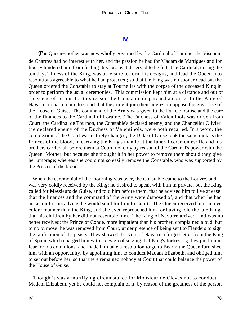### **[IV](#page-102-0)**

<span id="page-78-0"></span>*T*he Queen−mother was now wholly governed by the Cardinal of Loraine; the Viscount de Chartres had no interest with her, and the passion he had for Madam de Martigues and for liberty hindered him from feeling this loss as it deserved to be felt. The Cardinal, during the ten days' illness of the King, was at leisure to form his designs, and lead the Queen into resolutions agreeable to what he had projected; so that the King was no sooner dead but the Queen ordered the Constable to stay at Tournelles with the corpse of the deceased King in order to perform the usual ceremonies. This commission kept him at a distance and out of the scene of action; for this reason the Constable dispatched a courier to the King of Navarre, to hasten him to Court that they might join their interest to oppose the great rise of the House of Guise. The command of the Army was given to the Duke of Guise and the care of the finances to the Cardinal of Loraine. The Duchess of Valentinois was driven from Court; the Cardinal de Tournon, the Constable's declared enemy, and the Chancellor Olivier, the declared enemy of the Duchess of Valentinois, were both recalled. In a word, the complexion of the Court was entirely changed; the Duke of Guise took the same rank as the Princes of the blood, in carrying the King's mantle at the funeral ceremonies: He and his brothers carried all before them at Court, not only by reason of the Cardinal's power with the Queen−Mother, but because she thought it in her power to remove them should they give her umbrage; whereas she could not so easily remove the Constable, who was supported by the Princes of the blood.

 When the ceremonial of the mourning was over, the Constable came to the Louvre, and was very coldly received by the King; he desired to speak with him in private, but the King called for Messieurs de Guise, and told him before them, that he advised him to live at ease; that the finances and the command of the Army were disposed of, and that when he had occasion for his advice, he would send for him to Court. The Queen received him in a yet colder manner than the King, and she even reproached him for having told the late King, that his children by her did not resemble him. The King of Navarre arrived, and was no better received; the Prince of Conde, more impatient than his brother, complained aloud, but to no purpose: he was removed from Court, under pretence of being sent to Flanders to sign the ratification of the peace. They showed the King of Navarre a forged letter from the King of Spain, which charged him with a design of seizing that King's fortresses; they put him in fear for his dominions, and made him take a resolution to go to Bearn; the Queen furnished him with an opportunity, by appointing him to conduct Madam Elizabeth, and obliged him to set out before her, so that there remained nobody at Court that could balance the power of the House of Guise.

 Though it was a mortifying circumstance for Monsieur de Cleves not to conduct Madam Elizabeth, yet he could not complain of it, by reason of the greatness of the person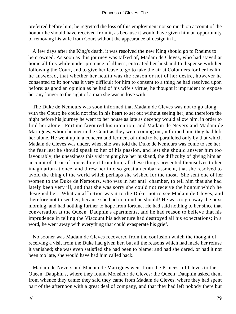preferred before him; he regretted the loss of this employment not so much on account of the honour he should have received from it, as because it would have given him an opportunity of removing his wife from Court without the appearance of design in it.

 A few days after the King's death, it was resolved the new King should go to Rheims to be crowned. As soon as this journey was talked of, Madam de Cleves, who had stayed at home all this while under pretence of illness, entreated her husband to dispense with her following the Court, and to give her leave to go to take the air at Colomiers for her health: he answered, that whether her health was the reason or not of her desire, however he consented to it: nor was it very difficult for him to consent to a thing he had resolved upon before: as good an opinion as he had of his wife's virtue, he thought it imprudent to expose her any longer to the sight of a man she was in love with.

 The Duke de Nemours was soon informed that Madam de Cleves was not to go along with the Court; he could not find in his heart to set out without seeing her, and therefore the night before his journey he went to her house as late as decency would allow him, in order to find her alone. Fortune favoured his intention; and Madam de Nevers and Madam de Martigues, whom he met in the Court as they were coming out, informed him they had left her alone. He went up in a concern and ferment of mind to be paralleled only by that which Madam de Cleves was under, when she was told the Duke de Nemours was come to see her; the fear lest he should speak to her of his passion, and lest she should answer him too favourably, the uneasiness this visit might give her husband, the difficulty of giving him an account of it, or of concealing it from him, all these things presented themselves to her imagination at once, and threw her into so great an embarrassment, that she resolved to avoid the thing of the world which perhaps she wished for the most. She sent one of her women to the Duke de Nemours, who was in her anti−chamber, to tell him that she had lately been very ill, and that she was sorry she could not receive the honour which he designed her. What an affliction was it to the Duke, not to see Madam de Cleves, and therefore not to see her, because she had no mind he should! He was to go away the next morning, and had nothing further to hope from fortune. He had said nothing to her since that conversation at the Queen−Dauphin's apartments, and he had reason to believe that his imprudence in telling the Viscount his adventure had destroyed all his expectations; in a word, he went away with everything that could exasperate his grief.

 No sooner was Madam de Cleves recovered from the confusion which the thought of receiving a visit from the Duke had given her, but all the reasons which had made her refuse it vanished; she was even satisfied she had been to blame; and had she dared, or had it not been too late, she would have had him called back.

 Madam de Nevers and Madam de Martigues went from the Princess of Cleves to the Queen−Dauphin's, where they found Monsieur de Cleves: the Queen−Dauphin asked them from whence they came; they said they came from Madam de Cleves, where they had spent part of the afternoon with a great deal of company, and that they had left nobody there but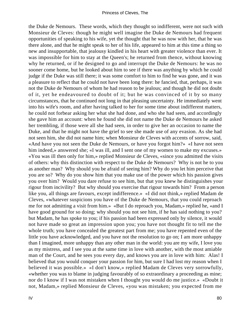the Duke de Nemours. These words, which they thought so indifferent, were not such with Monsieur de Cleves: though he might well imagine the Duke de Nemours had frequent opportunities of speaking to his wife, yet the thought that he was now with her, that he was there alone, and that he might speak to her of his life, appeared to him at this time a thing so new and insupportable, that jealousy kindled in his heart with greater violence than ever. It was impossible for him to stay at the Queen's; he returned from thence, without knowing why he returned, or if he designed to go and interrupt the Duke de Nemours: he was no sooner come home, but he looked about him to see if there was anything by which he could judge if the Duke was still there; it was some comfort to him to find he was gone, and it was a pleasure to reflect that he could not have been long there: he fancied, that, perhaps, it was not the Duke de Nemours of whom he had reason to be jealous; and though he did not doubt of it, yet he endeavoured to doubt of it; but he was convinced of it by so many circumstances, that he continued not long in that pleasing uncertainty. He immediately went into his wife's room, and after having talked to her for some time about indifferent matters, he could not forbear asking her what she had done, and who she had seen, and accordingly she gave him an account: when he found she did not name the Duke de Nemours he asked her trembling, if those were all she had seen, in order to give her an occasion to name the Duke, and that he might not have the grief to see she made use of any evasion. As she had not seen him, she did not name him; when Monsieur de Cleves with accents of sorrow, said, «And have you not seen the Duke de Nemours, or have you forgot him?» «I have not seen him indeed,» answered she; «I was ill, and I sent one of my women to make my excuses.» «You was ill then only for him,» replied Monsieur de Cleves, «since you admitted the visits of others: why this distinction with respect to the Duke de Nemours? Why is not he to you as another man? Why should you be afraid of seeing him? Why do you let him perceive that you are so? Why do you show him that you make use of the power which his passion gives you over him? Would you dare refuse to see him, but that you knew he distinguishes your rigour from incivility? But why should you exercise that rigour towards him? From a person like you, all things are favours, except indifference.» «I did not think,» replied Madam de Cleves, «whatever suspicions you have of the Duke de Nemours, that you could reproach me for not admitting a visit from him.» «But I do reproach you, Madam,» replied he, «and I have good ground for so doing; why should you not see him, if he has said nothing to you? but Madam, he has spoke to you; if his passion had been expressed only by silence, it would not have made so great an impression upon you; you have not thought fit to tell me the whole truth; you have concealed the greatest part from me; you have repented even of the little you have acknowledged, and you have not the resolution to go on; I am more unhappy than I imagined, more unhappy than any other man in the world: you are my wife, I love you as my mistress, and I see you at the same time in love with another, with the most amiable man of the Court, and he sees you every day, and knows you are in love with him: Alas! I believed that you would conquer your passion for him, but sure I had lost my reason when I believed it was possible.» «I don't know,» replied Madam de Cleves very sorrowfully, «whether you was to blame in judging favourably of so extraordinary a proceeding as mine; nor do I know if I was not mistaken when I thought you would do me justice.» «Doubt it not, Madam,» replied Monsieur de Cleves, «you was mistaken; you expected from me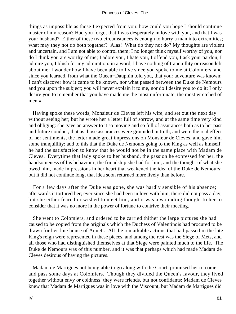things as impossible as those I expected from you: how could you hope I should continue master of my reason? Had you forgot that I was desperately in love with you, and that I was your husband? Either of these two circumstances is enough to hurry a man into extremities; what may they not do both together? Alas! What do they not do? My thoughts are violent and uncertain, and I am not able to control them; I no longer think myself worthy of you, nor do I think you are worthy of me; I adore you, I hate you, I offend you, I ask your pardon, I admire you, I blush for my admiration: in a word, I have nothing of tranquillity or reason left about me: I wonder how I have been able to live since you spoke to me at Colomiers, and since you learned, from what the Queen−Dauphin told you, that your adventure was known; I can't discover how it came to be known, nor what passed between the Duke de Nemours and you upon the subject; you will never explain it to me, nor do I desire you to do it; I only desire you to remember that you have made me the most unfortunate, the most wretched of men.»

 Having spoke these words, Monsieur de Cleves left his wife, and set out the next day without seeing her; but he wrote her a letter full of sorrow, and at the same time very kind and obliging: she gave an answer to it so moving and so full of assurances both as to her past and future conduct, that as those assurances were grounded in truth, and were the real effect of her sentiments, the letter made great impressions on Monsieur de Cleves, and gave him some tranquillity; add to this that the Duke de Nemours going to the King as well as himself, he had the satisfaction to know that he would not be in the same place with Madam de Cleves. Everytime that lady spoke to her husband, the passion he expressed for her, the handsomeness of his behaviour, the friendship she had for him, and the thought of what she owed him, made impressions in her heart that weakened the idea of the Duke de Nemours; but it did not continue long, that idea soon returned more lively than before.

 For a few days after the Duke was gone, she was hardly sensible of his absence; afterwards it tortured her; ever since she had been in love with him, there did not pass a day, but she either feared or wished to meet him, and it was a wounding thought to her to consider that it was no more in the power of fortune to contrive their meeting.

 She went to Colomiers, and ordered to be carried thither the large pictures she had caused to be copied from the originals which the Duchess of Valentinois had procured to be drawn for her fine house of Annett. All the remarkable actions that had passed in the late King's reign were represented in these pieces, and among the rest was the Siege of Mets, and all those who had distinguished themselves at that Siege were painted much to the life. The Duke de Nemours was of this number, and it was that perhaps which had made Madam de Cleves desirous of having the pictures.

 Madam de Martigues not being able to go along with the Court, promised her to come and pass some days at Colomiers. Though they divided the Queen's favour, they lived together without envy or coldness; they were friends, but not confidants; Madam de Cleves knew that Madam de Martigues was in love with the Viscount, but Madam de Martigues did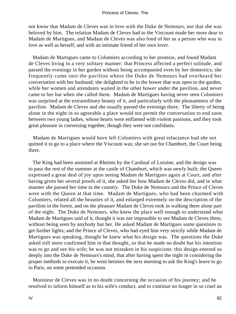not know that Madam de Cleves was in love with the Duke de Nemours, nor that she was beloved by him. The relation Madam de Cleves had to the Viscount made her more dear to Madam de Martigues, and Madam de Cleves was also fond of her as a person who was in love as well as herself, and with an intimate friend of her own lover.

 Madam de Martigues came to Colomiers according to her promise, and found Madam de Cleves living in a very solitary manner: that Princess affected a perfect solitude, and passed the evenings in her garden without being accompanied even by her domestics; she frequently came into the pavilion where the Duke de Nemours had overheard her conversation with her husband; she delighted to be in the bower that was open to the garden, while her women and attendants waited in the other bower under the pavilion, and never came to her but when she called them. Madam de Martigues having never seen Colomiers was surprised at the extraordinary beauty of it, and particularly with the pleasantness of the pavilion. Madam de Cleves and she usually passed the evenings there. The liberty of being alone in the night in so agreeable a place would not permit the conversation to end soon between two young ladies, whose hearts were enflamed with violent passions, and they took great pleasure in conversing together, though they were not confidants.

 Madam de Martigues would have left Colomiers with great reluctance had she not quitted it to go to a place where the Viscount was; she set out for Chambort, the Court being there.

 The King had been anointed at Rheims by the Cardinal of Loraine, and the design was to pass the rest of the summer at the castle of Chambort, which was newly built; the Queen expressed a great deal of joy upon seeing Madam de Martigues again at Court, and after having given her several proofs of it, she asked her how Madam de Cleves did, and in what manner she passed her time in the country. The Duke de Nemours and the Prince of Cleves were with the Queen at that time. Madam de Martigues, who had been charmed with Colomiers, related all the beauties of it, and enlarged extremely on the description of the pavilion in the forest, and on the pleasure Madam de Cleves took in walking there alone part of the night. The Duke de Nemours, who knew the place well enough to understand what Madam de Martigues said of it, thought it was not impossible to see Madam de Cleves there, without being seen by anybody but her. He asked Madam de Martigues some questions to get further lights; and the Prince of Cleves, who had eyed him very strictly while Madam de Martigues was speaking, thought he knew what his design was. The questions the Duke asked still more confirmed him in that thought, so that he made no doubt but his intention was to go and see his wife; he was not mistaken in his suspicions: this design entered so deeply into the Duke de Nemours's mind, that after having spent the night in considering the proper methods to execute it, he went betimes the next morning to ask the King's leave to go to Paris, on some pretended occasion.

 Monsieur de Cleves was in no doubt concerning the occasion of his journey; and he resolved to inform himself as to his wife's conduct, and to continue no longer in so cruel an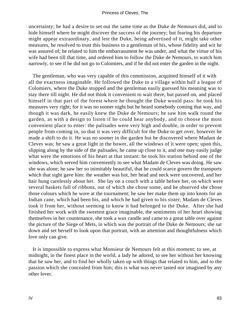uncertainty; he had a desire to set out the same time as the Duke de Nemours did, and to hide himself where he might discover the success of the journey; but fearing his departure might appear extraordinary, and lest the Duke, being advertised of it, might take other measures, he resolved to trust this business to a gentleman of his, whose fidelity and wit he was assured of; he related to him the embarrassment he was under, and what the virtue of his wife had been till that time, and ordered him to follow the Duke de Nemours, to watch him narrowly, to see if he did not go to Colomiers, and if he did not enter the garden in the night.

 The gentleman, who was very capable of this commission, acquitted himself of it with all the exactness imaginable. He followed the Duke to a village within half a league of Colomiers, where the Duke stopped and the gentleman easily guessed his meaning was to stay there till night. He did not think it convenient to wait there, but passed on, and placed himself in that part of the forest where he thought the Duke would pass: he took his measures very right; for it was no sooner night but he heard somebody coming that way, and though it was dark, he easily knew the Duke de Nemours; he saw him walk round the garden, as with a design to listen if he could hear anybody, and to choose the most convenient place to enter: the palisades were very high and double, in order to prevent people from coming in, so that it was very difficult for the Duke to get over, however he made a shift to do it. He was no sooner in the garden but he discovered where Madam de Cleves was; he saw a great light in the bower, all the windows of it were open; upon this, slipping along by the side of the palisades, he came up close to it, and one may easily judge what were the emotions of his heart at that instant: he took his station behind one of the windows, which served him conveniently to see what Madam de Cleves was doing. He saw she was alone; he saw her so inimitably beautiful, that he could scarce govern the transports which that sight gave him: the weather was hot, her head and neck were uncovered, and her hair hung carelessly about her. She lay on a couch with a table before her, on which were several baskets full of ribbons, out of which she chose some, and he observed she chose those colours which he wore at the tournament; he saw her make them up into knots for an Indian cane, which had been his, and which he had given to his sister; Madam de Cleves took it from her, without seeming to know it had belonged to the Duke. After she had finished her work with the sweetest grace imaginable, the sentiments of her heart showing themselves in her countenance, she took a wax candle and came to a great table over against the picture of the Siege of Mets, in which was the portrait of the Duke de Nemours; she sat down and set herself to look upon that portrait, with an attention and thoughtfulness which love only can give.

 It is impossible to express what Monsieur de Nemours felt at this moment; to see, at midnight, in the finest place in the world, a lady he adored, to see her without her knowing that he saw her, and to find her wholly taken up with things that related to him, and to the passion which she concealed from him; this is what was never tasted nor imagined by any other lover.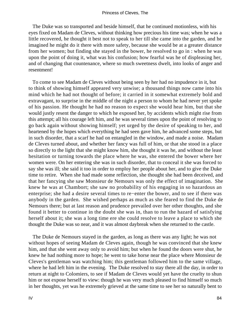The Duke was so transported and beside himself, that he continued motionless, with his eyes fixed on Madam de Cleves, without thinking how precious his time was; when he was a little recovered, he thought it best not to speak to her till she came into the garden, and he imagined he might do it there with more safety, because she would be at a greater distance from her women; but finding she stayed in the bower, he resolved to go in : when he was upon the point of doing it, what was his confusion; how fearful was he of displeasing her, and of changing that countenance, where so much sweetness dwelt, into looks of anger and resentment!

 To come to see Madam de Cleves without being seen by her had no impudence in it, but to think of showing himself appeared very unwise; a thousand things now came into his mind which he had not thought of before; it carried in it somewhat extremely bold and extravagant, to surprise in the middle of the night a person to whom he had never yet spoke of his passion. He thought he had no reason to expect she would hear him, but that she would justly resent the danger to which he exposed her, by accidents which might rise from this attempt; all his courage left him, and he was several times upon the point of resolving to go back again without showing himself; yet urged by the desire of speaking to her, and heartened by the hopes which everything he had seen gave him, he advanced some steps, but in such disorder, that a scarf he had on entangled in the window, and made a noise. Madam de Cleves turned about, and whether her fancy was full of him, or that she stood in a place so directly to the light that she might know him, she thought it was he, and without the least hesitation or turning towards the place where he was, she entered the bower where her women were. On her entering she was in such disorder, that to conceal it she was forced to say she was ill; she said it too in order to employ her people about her, and to give the Duke time to retire. When she had made some reflection, she thought she had been deceived, and that her fancying she saw Monsieur de Nemours was only the effect of imagination. She knew he was at Chambort; she saw no probability of his engaging in so hazardous an enterprise; she had a desire several times to re−enter the bower, and to see if there was anybody in the garden. She wished perhaps as much as she feared to find the Duke de Nemours there; but at last reason and prudence prevailed over her other thoughts, and she found it better to continue in the doubt she was in, than to run the hazard of satisfying herself about it; she was a long time ere she could resolve to leave a place to which she thought the Duke was so near, and it was almost daybreak when she returned to the castle.

 The Duke de Nemours stayed in the garden, as long as there was any light; he was not without hopes of seeing Madam de Cleves again, though he was convinced that she knew him, and that she went away only to avoid him; but when he found the doors were shut, he knew he had nothing more to hope; he went to take horse near the place where Monsieur de Cleves's gentleman was watching him; this gentleman followed him to the same village, where he had left him in the evening. The Duke resolved to stay there all the day, in order to return at night to Colomiers, to see if Madam de Cleves would yet have the cruelty to shun him or not expose herself to view: though he was very much pleased to find himself so much in her thoughts, yet was he extremely grieved at the same time to see her so naturally bent to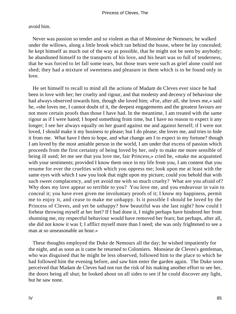#### avoid him.

 Never was passion so tender and so violent as that of Monsieur de Nemours; he walked under the willows, along a little brook which ran behind the house, where he lay concealed; he kept himself as much out of the way as possible, that he might not be seen by anybody; he abandoned himself to the transports of his love, and his heart was so full of tenderness, that he was forced to let fall some tears, but those tears were such as grief alone could not shed; they had a mixture of sweetness and pleasure in them which is to be found only in love.

 He set himself to recall to mind all the actions of Madam de Cleves ever since he had been in love with her; her cruelty and rigour, and that modesty and decency of behaviour she had always observed towards him, though she loved him; «For, after all, she loves me,» said he, «she loves me, I cannot doubt of it, the deepest engagements and the greatest favours are not more certain proofs than those I have had. In the meantime, I am treated with the same rigour as if I were hated; I hoped something from time, but I have no reason to expect it any longer; I see her always equally on her guard against me and against herself; if I were not loved, I should make it my business to please; but I do please; she loves me, and tries to hide it from me. What have I then to hope, and what change am I to expect in my fortune? though I am loved by the most amiable person in the world, I am under that excess of passion which proceeds from the first certainty of being loved by her, only to make me more sensible of being ill used; let me see that you love me, fair Princess,» cried he, «make me acquainted with your sentiments; provided I know them once in my life from you, I am content that you resume for ever the cruelties with which you oppress me; look upon me at least with the same eyes with which I saw you look that night upon my picture; could you behold that with such sweet complacency, and yet avoid me with so much cruelty? What are you afraid of? Why does my love appear so terrible to you? You love me, and you endeavour in vain to conceal it; you have even given me involuntary proofs of it; I know my happiness, permit me to enjoy it, and cease to make me unhappy. Is it possible I should be loved by the Princess of Cleves, and yet be unhappy? how beautiful was she last night? how could I forbear throwing myself at her feet? If I had done it, I might perhaps have hindered her from shunning me, my respectful behaviour would have removed her fears; but perhaps, after all, she did not know it was I; I afflict myself more than I need; she was only frightened to see a man at so unseasonable an hour.»

 These thoughts employed the Duke de Nemours all the day; he wished impatiently for the night, and as soon as it came he returned to Colomiers. Monsieur de Cleves's gentleman, who was disguised that he might be less observed, followed him to the place to which he had followed him the evening before, and saw him enter the garden again. The Duke soon perceived that Madam de Cleves had not run the risk of his making another effort to see her, the doors being all shut; he looked about on all sides to see if he could discover any light, but he saw none.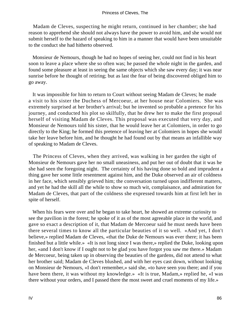#### Princess of Cleves, The

 Madam de Cleves, suspecting he might return, continued in her chamber; she had reason to apprehend she should not always have the power to avoid him, and she would not submit herself to the hazard of speaking to him in a manner that would have been unsuitable to the conduct she had hitherto observed.

 Monsieur de Nemours, though he had no hopes of seeing her, could not find in his heart soon to leave a place where she so often was; he passed the whole night in the garden, and found some pleasure at least in seeing the same objects which she saw every day; it was near sunrise before he thought of retiring; but as last the fear of being discovered obliged him to go away.

 It was impossible for him to return to Court without seeing Madam de Cleves; he made a visit to his sister the Duchess of Mercoeur, at her house near Colomiers. She was extremely surprised at her brother's arrival; but he invented so probable a pretence for his journey, and conducted his plot so skilfully, that he drew her to make the first proposal herself of visiting Madam de Cleves. This proposal was executed that very day, and Monsieur de Nemours told his sister, that he would leave her at Colomiers, in order to go directly to the King; he formed this pretence of leaving her at Colomiers in hopes she would take her leave before him, and he thought he had found out by that means an infallible way of speaking to Madam de Cleves.

 The Princess of Cleves, when they arrived, was walking in her garden the sight of Monsieur de Nemours gave her no small uneasiness, and put her out of doubt that it was he she had seen the foregoing night. The certainty of his having done so bold and imprudent a thing gave her some little resentment against him, and the Duke observed an air of coldness in her face, which sensibly grieved him; the conversation turned upon indifferent matters, and yet he had the skill all the while to show so much wit, complaisance, and admiration for Madam de Cleves, that part of the coldness she expressed towards him at first left her in spite of herself.

 When his fears were over and he began to take heart, he showed an extreme curiosity to see the pavilion in the forest; he spoke of it as of the most agreeable place in the world, and gave so exact a description of it, that Madam de Mercoeur said he must needs have been there several times to know all the particular beauties of it so well. «And yet, I don't believe,» replied Madam de Cleves, «that the Duke de Nemours was ever there; it has been finished but a little while.» «It is not long since I was there,» replied the Duke, looking upon her, «and I don't know if I ought not to be glad you have forgot you saw me there.» Madam de Mercoeur, being taken up in observing the beauties of the gardens, did not attend to what her brother said; Madam de Cleves blushed, and with her eyes cast down, without looking on Monsieur de Nemours, «I don't remember,» said she, «to have seen you there; and if you have been there, it was without my knowledge.» «It is true, Madam,» replied he, «I was there without your orders, and I passed there the most sweet and cruel moments of my life.»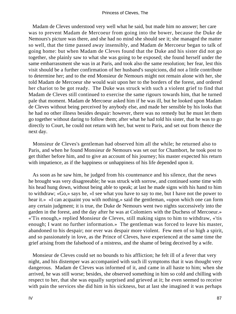Madam de Cleves understood very well what he said, but made him no answer; her care was to prevent Madam de Mercoeur from going into the bower, because the Duke de Nemours's picture was there, and she had no mind she should see it; she managed the matter so well, that the time passed away insensibly, and Madam de Mercoeur began to talk of going home: but when Madam de Cleves found that the Duke and his sister did not go together, she plainly saw to what she was going to be exposed; she found herself under the same embarrassment she was in at Paris, and took also the same resolution; her fear, lest this visit should be a further confirmation of her husband's suspicions, did not a little contribute to determine her; and to the end Monsieur de Nemours might not remain alone with her, she told Madam de Mercoeur she would wait upon her to the borders of the forest, and ordered her chariot to be got ready. The Duke was struck with such a violent grief to find that Madam de Cleves still continued to exercise the same rigours towards him, that he turned pale that moment. Madam de Mercoeur asked him if he was ill, but he looked upon Madam de Cleves without being perceived by anybody else, and made her sensible by his looks that he had no other illness besides despair: however, there was no remedy but he must let them go together without daring to follow them; after what he had told his sister, that he was to go directly to Court, he could not return with her, but went to Paris, and set out from thence the next day.

 Monsieur de Cleves's gentleman had observed him all the while; he returned also to Paris, and when he found Monsieur de Nemours was set out for Chambort, he took post to get thither before him, and to give an account of his journey; his master expected his return with impatience, as if the happiness or unhappiness of his life depended upon it.

 As soon as he saw him, he judged from his countenance and his silence, that the news he brought was very disagreeable; he was struck with sorrow, and continued some time with his head hung down, without being able to speak; at last he made signs with his hand to him to withdraw; «Go,» says he, «I see what you have to say to me, but I have not the power to hear it.» «I can acquaint you with nothing,» said the gentleman, «upon which one can form any certain judgment; it is true, the Duke de Nemours went two nights successively into the garden in the forest, and the day after he was at Colomiers with the Duchess of Mercoeur.» «'Tis enough,» replied Monsieur de Cleves, still making signs to him to withdraw, «'tis enough; I want no further information.» The gentleman was forced to leave his master, abandoned to his despair; nor ever was despair more violent. Few men of so high a spirit, and so passionately in love, as the Prince of Cleves, have experienced at the same time the grief arising from the falsehood of a mistress, and the shame of being deceived by a wife.

 Monsieur de Cleves could set no bounds to his affliction; he felt ill of a fever that very night, and his distemper was accompanied with such ill symptoms that it was thought very dangerous. Madam de Cleves was informed of it, and came in all haste to him; when she arrived, he was still worse; besides, she observed something in him so cold and chilling with respect to her, that she was equally surprised and grieved at it; he even seemed to receive with pain the services she did him in his sickness, but at last she imagined it was perhaps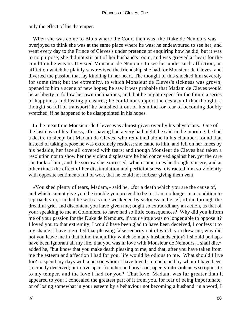only the effect of his distemper.

 When she was come to Blois where the Court then was, the Duke de Nemours was overjoyed to think she was at the same place where he was; he endeavoured to see her, and went every day to the Prince of Cleves's under pretence of enquiring how he did, but it was to no purpose; she did not stir out of her husband's room, and was grieved at heart for the condition he was in. It vexed Monsieur de Nemours to see her under such affliction, an affliction which he plainly saw revived the friendship she had for Monsieur de Cleves, and diverted the passion that lay kindling in her heart. The thought of this shocked him severely for some time; but the extremity, to which Monsieur de Cleves's sickness was grown, opened to him a scene of new hopes; he saw it was probable that Madam de Cleves would be at liberty to follow her own inclinations, and that he might expect for the future a series of happiness and lasting pleasures; he could not support the ecstasy of that thought, a thought so full of transport! he banished it out of his mind for fear of becoming doubly wretched, if he happened to be disappointed in his hopes.

 In the meantime Monsieur de Cleves was almost given over by his physicians. One of the last days of his illness, after having had a very bad night, he said in the morning, he had a desire to sleep; but Madam de Cleves, who remained alone in his chamber, found that instead of taking repose he was extremely restless; she came to him, and fell on her knees by his bedside, her face all covered with tears; and though Monsieur de Cleves had taken a resolution not to show her the violent displeasure he had conceived against her, yet the care she took of him, and the sorrow she expressed, which sometimes he thought sincere, and at other times the effect of her dissimulation and perfidiousness, distracted him so violently with opposite sentiments full of woe, that he could not forbear giving them vent.

 «You shed plenty of tears, Madam,» said he, «for a death which you are the cause of, and which cannot give you the trouble you pretend to be in; I am no longer in a condition to reproach you,» added he with a voice weakened by sickness and grief; «I die through the dreadful grief and discontent you have given me; ought so extraordinary an action, as that of your speaking to me at Colomiers, to have had so little consequences? Why did you inform me of your passion for the Duke de Nemours, if your virtue was no longer able to oppose it? I loved you to that extremity, I would have been glad to have been deceived, I confess it to my shame; I have regretted that pleasing false security out of which you drew me; why did not you leave me in that blind tranquillity which so many husbands enjoy? I should perhaps have been ignorant all my life, that you was in love with Monsieur de Nemours; I shall die,» added he, "but know that you make death pleasing to me, and that, after you have taken from me the esteem and affection I had for you, life would be odious to me. What should I live for? to spend my days with a person whom I have loved so much, and by whom I have been so cruelly deceived; or to live apart from her and break out openly into violences so opposite to my temper, and the love I had for you? That love, Madam, was far greater than it appeared to you; I concealed the greatest part of it from you, for fear of being importunate, or of losing somewhat in your esteem by a behaviour not becoming a husband: in a word, I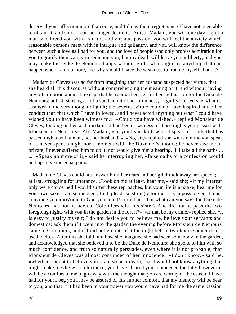deserved your affection more than once, and I die without regret, since I have not been able to obtain it, and since I can no longer desire it. Adieu, Madam; you will one day regret a man who loved you with a sincere and virtuous passion; you will feel the anxiety which reasonable persons meet with in intrigue and gallantry, and you will know the difference between such a love as I had for you, and the love of people who only profess admiration for you to gratify their vanity in seducing you; but my death will leave you at liberty, and you may make the Duke de Nemours happy without guilt: what signifies anything that can happen when I am no more, and why should I have the weakness to trouble myself about it?

 Madam de Cleves was so far from imagining that her husband suspected her virtue, that she heard all this discourse without comprehending the meaning of it, and without having any other notion about it, except that he reproached her for her inclination for the Duke de Nemours; at last, starting all of a sudden out of her blindness, «I guilty!» cried she, «I am a stranger to the very thought of guilt; the severest virtue could not have inspired any other conduct than that which I have followed, and I never acted anything but what I could have wished you to have been witness to.» «Could you have wished,» replied Monsieur de Cleves, looking on her with disdain, «I had been a witness of those nights you passed with Monsieur de Nemours? Ah! Madam; is it you I speak of, when I speak of a lady that has passed nights with a man, not her husband?» «No, sir,» replied she, «it is not me you speak of; I never spent a night nor a moment with the Duke de Nemours; he never saw me in private, I never suffered him to do it, nor would give him a hearing. I'll take all the oaths . . .» «Speak no more of it,» said he interrupting her, «false oaths or a confession would perhaps give me equal pain.»

 Madam de Cleves could not answer him; her tears and her grief took away her speech; at last, struggling for utterance, «Look on me at least, hear me,» said she; «if my interest only were concerned I would suffer these reproaches, but your life is at stake; hear me for your own sake; I am so innocent, truth pleads so strongly for me, it is impossible but I must convince you.» «Would to God you could!» cried he; «but what can you say? the Duke de Nemours, has not he been at Colomiers with his sister? And did not he pass the two foregoing nights with you in the garden in the forest?» «If that be my crime,» replied she, «it is easy to justify myself; I do not desire you to believe me, believe your servants and domestics; ask them if I went into the garden the evening before Monsieur de Nemours came to Colomiers, and if I did not go out, of it the night before two hours sooner than I used to do.» After this she told him how she imagined she had seen somebody in the garden, and acknowledged that she believed it to be the Duke de Nemours; she spoke to him with so much confidence, and truth so naturally persuades, even where it is not probable, that Monsieur de Cleves was almost convinced of her innocence. «I don't know,» said he, «whether I ought to believe you; I am so near death, that I would not know anything that might make me die with reluctance; you have cleared your innocence too late; however it will be a comfort to me to go away with the thought that you are worthy of the esteem I have had for you; I beg you I may be assured of this further comfort, that my memory will be dear to you, and that if it had been in your power you would have had for me the same passion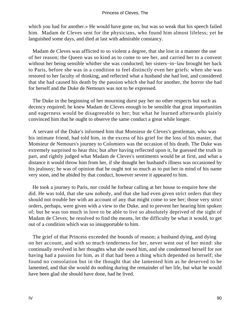which you had for another.» He would have gone on, but was so weak that his speech failed him. Madam de Cleves sent for the physicians, who found him almost lifeless; yet he languished some days, and died at last with admirable constancy.

 Madam de Cleves was afflicted to so violent a degree, that she lost in a manner the use of her reason; the Queen was so kind as to come to see her, and carried her to a convent without her being sensible whither she was conducted; her sisters−in−law brought her back to Paris, before she was in a condition to feel distinctly even her griefs: when she was restored to her faculty of thinking, and reflected what a husband she had lost, and considered that she had caused his death by the passion which she had for another, the horror she had for herself and the Duke de Nemours was not to be expressed.

 The Duke in the beginning of her mourning durst pay her no other respects but such as decency required; he knew Madam de Cleves enough to be sensible that great importunities and eagerness would be disagreeable to her; but what he learned afterwards plainly convinced him that he ought to observe the same conduct a great while longer.

 A servant of the Duke's informed him that Monsieur de Cleves's gentleman, who was his intimate friend, had told him, in the excess of his grief for the loss of his master, that Monsieur de Nemours's journey to Colomiers was the occasion of his death. The Duke was extremely surprised to hear this; but after having reflected upon it, he guessed the truth in part, and rightly judged what Madam de Cleves's sentiments would be at first, and what a distance it would throw him from her, if she thought her husband's illness was occasioned by his jealousy; he was of opinion that he ought not so much as to put her in mind of his name very soon, and he abided by that conduct, however severe it appeared to him.

 He took a journey to Paris, nor could he forbear calling at her house to enquire how she did. He was told, that she saw nobody, and that she had even given strict orders that they should not trouble her with an account of any that might come to see her; those very strict orders, perhaps, were given with a view to the Duke, and to prevent her hearing him spoken of; but he was too much in love to be able to live so absolutely deprived of the sight of Madam de Cleves; he resolved to find the means, let the difficulty be what it would, to get out of a condition which was so insupportable to him.

 The grief of that Princess exceeded the bounds of reason; a husband dying, and dying on her account, and with so much tenderness for her, never went out of her mind: she continually revolved in her thoughts what she owed him, and she condemned herself for not having had a passion for him, as if that had been a thing which depended on herself; she found no consolation but in the thought that she lamented him as he deserved to be lamented, and that she would do nothing during the remainder of her life, but what he would have been glad she should have done, had he lived.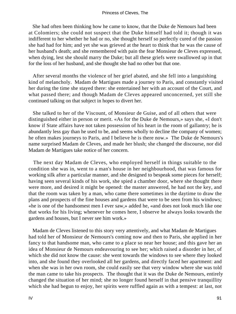She had often been thinking how he came to know, that the Duke de Nemours had been at Colomiers; she could not suspect that the Duke himself had told it; though it was indifferent to her whether he had or no, she thought herself so perfectly cured of the passion she had had for him; and yet she was grieved at the heart to think that he was the cause of her husband's death; and she remembered with pain the fear Monsieur de Cleves expressed, when dying, lest she should marry the Duke; but all these griefs were swallowed up in that for the loss of her husband, and she thought she had no other but that one.

 After several months the violence of her grief abated, and she fell into a languishing kind of melancholy. Madam de Martigues made a journey to Paris, and constantly visited her during the time she stayed there: she entertained her with an account of the Court, and what passed there; and though Madam de Cleves appeared unconcerned, yet still she continued talking on that subject in hopes to divert her.

 She talked to her of the Viscount, of Monsieur de Guise, and of all others that were distinguished either in person or merit. «As for the Duke de Nemours,» says she, «I don't know if State affairs have not taken possession of his heart in the room of gallantry; he is abundantly less gay than he used to be, and seems wholly to decline the company of women; he often makes journeys to Paris, and I believe he is there now.» The Duke de Nemours's name surprised Madam de Cleves, and made her blush; she changed the discourse, nor did Madam de Martigues take notice of her concern.

 The next day Madam de Cleves, who employed herself in things suitable to the condition she was in, went to a man's house in her neighbourhood, that was famous for working silk after a particular manner, and she designed to bespeak some pieces for herself; having seen several kinds of his work, she spied a chamber door, where she thought there were more, and desired it might be opened: the master answered, he had not the key, and that the room was taken by a man, who came there sometimes in the daytime to draw the plans and prospects of the fine houses and gardens that were to be seen from his windows; «he is one of the handsomest men I ever saw,» added he, «and does not look much like one that works for his living; whenever he comes here, I observe he always looks towards the gardens and houses, but I never see him work.»

 Madam de Cleves listened to this story very attentively, and what Madam de Martigues had told her of Monsieur de Nemours's coming now and then to Paris, she applied in her fancy to that handsome man, who came to a place so near her house; and this gave her an idea of Monsieur de Nemours endeavouring to see her; which raised a disorder in her, of which she did not know the cause: she went towards the windows to see where they looked into, and she found they overlooked all her gardens, and directly faced her apartment: and when she was in her own room, she could easily see that very window where she was told the man came to take his prospects. The thought that it was the Duke de Nemours, entirely changed the situation of her mind; she no longer found herself in that pensive tranquillity which she had begun to enjoy, her spirits were ruffled again as with a tempest: at last, not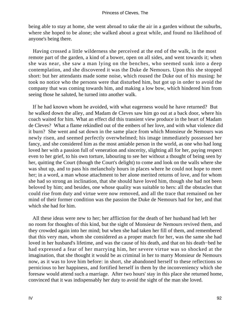being able to stay at home, she went abroad to take the air in a garden without the suburbs, where she hoped to be alone; she walked about a great while, and found no likelihood of anyone's being there.

 Having crossed a little wilderness she perceived at the end of the walk, in the most remote part of the garden, a kind of a bower, open on all sides, and went towards it; when she was near, she saw a man lying on the benches, who seemed sunk into a deep contemplation, and she discovered it was the Duke de Nemours. Upon this she stopped short: but her attendants made some noise, which roused the Duke out of his musing: he took no notice who the persons were that disturbed him, but got up in order to avoid the company that was coming towards him, and making a low bow, which hindered him from seeing those he saluted, he turned into another walk.

 If he had known whom he avoided, with what eagerness would he have returned? But he walked down the alley, and Madam de Cleves saw him go out at a back door, where his coach waited for him. What an effect did this transient view produce in the heart of Madam de Cleves? What a flame rekindled out of the embers of her love, and with what violence did it burn? She went and sat down in the same place from which Monsieur de Nemours was newly risen, and seemed perfectly overwhelmed; his image immediately possessed her fancy, and she considered him as the most amiable person in the world, as one who had long loved her with a passion full of veneration and sincerity, slighting all for her, paying respect even to her grief, to his own torture, labouring to see her without a thought of being seen by her, quitting the Court (though the Court's delight) to come and look on the walls where she was shut up, and to pass his melancholy hours in places where he could not hope to meet her; in a word, a man whose attachment to her alone merited returns of love, and for whom she had so strong an inclination, that she should have loved him, though she had not been beloved by him; and besides, one whose quality was suitable to hers: all the obstacles that could rise from duty and virtue were now removed, and all the trace that remained on her mind of their former condition was the passion the Duke de Nemours had for her, and that which she had for him.

 All these ideas were new to her; her affliction for the death of her husband had left her no room for thoughts of this kind, but the sight of Monsieur de Nemours revived them, and they crowded again into her mind; but when she had taken her fill of them, and remembered that this very man, whom she considered as a proper match for her, was the same she had loved in her husband's lifetime, and was the cause of his death, and that on his death−bed he had expressed a fear of her marrying him, her severe virtue was so shocked at the imagination, that she thought it would be as criminal in her to marry Monsieur de Nemours now, as it was to love him before: in short, she abandoned herself to these reflections so pernicious to her happiness, and fortified herself in them by the inconveniency which she foresaw would attend such a marriage. After two hours' stay in this place she returned home, convinced that it was indispensably her duty to avoid the sight of the man she loved.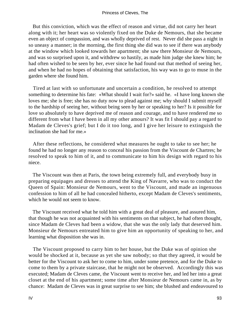But this conviction, which was the effect of reason and virtue, did not carry her heart along with it; her heart was so violently fixed on the Duke de Nemours, that she became even an object of compassion, and was wholly deprived of rest. Never did she pass a night in so uneasy a manner; in the morning, the first thing she did was to see if there was anybody at the window which looked towards her apartment; she saw there Monsieur de Nemours, and was so surprised upon it, and withdrew so hastily, as made him judge she knew him; he had often wished to be seen by her, ever since he had found out that method of seeing her, and when he had no hopes of obtaining that satisfaction, his way was to go to muse in the garden where she found him.

 Tired at last with so unfortunate and uncertain a condition, he resolved to attempt something to determine his fate: «What should I wait for?» said he. «I have long known she loves me; she is free; she has no duty now to plead against me; why should I submit myself to the hardship of seeing her, without being seen by her or speaking to her? Is it possible for love so absolutely to have deprived me of reason and courage, and to have rendered me so different from what I have been in all my other amours? It was fit I should pay a regard to Madam de Cleves's grief; but I do it too long, and I give her leisure to extinguish the inclination she had for me.»

 After these reflections, he considered what measures he ought to take to see her; he found he had no longer any reason to conceal his passion from the Viscount de Chartres; he resolved to speak to him of it, and to communicate to him his design with regard to his niece.

 The Viscount was then at Paris, the town being extremely full, and everybody busy in preparing equipages and dresses to attend the King of Navarre, who was to conduct the Queen of Spain: Monsieur de Nemours, went to the Viscount, and made an ingenuous confession to him of all he had concealed hitherto, except Madam de Cleves's sentiments, which he would not seem to know.

 The Viscount received what he told him with a great deal of pleasure, and assured him, that though he was not acquainted with his sentiments on that subject, he had often thought, since Madam de Cleves had been a widow, that she was the only lady that deserved him. Monsieur de Nemours entreated him to give him an opportunity of speaking to her, and learning what disposition she was in.

 The Viscount proposed to carry him to her house, but the Duke was of opinion she would be shocked at it, because as yet she saw nobody; so that they agreed, it would be better for the Viscount to ask her to come to him, under some pretence, and for the Duke to come to them by a private staircase, that he might not be observed. Accordingly this was executed; Madam de Cleves came, the Viscount went to receive her, and led her into a great closet at the end of his apartment; some time after Monsieur de Nemours came in, as by chance: Madam de Cleves was in great surprise to see him; she blushed and endeavoured to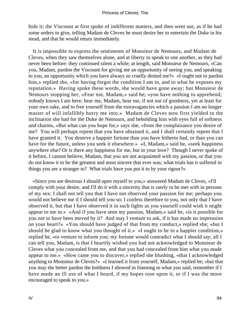hide it; the Viscount at first spoke of indifferent matters, and then went out, as if he had some orders to give, telling Madam de Cleves he must desire her to entertain the Duke in his stead, and that he would return immediately.

 It is impossible to express the sentiments of Monsieur de Nemours, and Madam de Cleves, when they saw themselves alone, and at liberty to speak to one another, as they had never been before: they continued silent a while; at length, said Monsieur de Nemours, «Can you, Madam, pardon the Viscount for giving me an opportunity of seeing you, and speaking to you, an opportunity which you have always so cruelly denied me?» «I ought not to pardon him,» replied she, «for having forgot the condition I am in, and to what he exposes my reputation.» Having spoke these words, she would have gone away; but Monsieur de Nemours stopping her, «Fear not, Madam,» said he; «you have nothing to apprehend; nobody knows I am here; hear me, Madam, hear me, if not out of goodness, yet at least for your own sake, and to free yourself from the extravagancies which a passion I am no longer master of will infallibly hurry me into.» Madam de Cleves now first yielded to the inclination she had for the Duke de Nemours, and beholding him with eyes full of softness and charms, «But what can you hope for,» says she, «from the complaisance you desire of me? You will perhaps repent that you have obtained it, and I shall certainly repent that I have granted it. You deserve a happier fortune than you have hitherto had, or than you can have for the future, unless you seek it elsewhere.» «I, Madam,» said he, «seek happiness anywhere else? Or is there any happiness for me, but in your love? Though I never spoke of it before, I cannot believe, Madam, that you are not acquainted with my passion, or that you do not know it to be the greatest and most sincere that ever was; what trials has it suffered in things you are a stranger to? What trials have you put it to by your rigour?»

 «Since you are desirous I should open myself to you,» answered Madam de Cleves, «I'll comply with your desire, and I'll do it with a sincerity that is rarely to be met with in persons of my sex: I shall not tell you that I have not observed your passion for me; perhaps you would not believe me if I should tell you so; I confess therefore to you, not only that I have observed it, but that I have observed it in such lights as you yourself could wish it might appear to me in.» «And if you have seen my passion, Madam,» said he, «is it possible for you not to have been moved by it? And may I venture to ask, if it has made no impression on your heart?» «You should have judged of that from my conduct,» replied she; «but I should be glad to know what you thought of it.» «I ought to be in a happier condition,» replied he, «to venture to inform you; my fortune would contradict what I should say; all I can tell you, Madam, is that I heartily wished you had not acknowledged to Monsieur de Cleves what you concealed from me, and that you had concealed from him what you made appear to me.» «How came you to discover,» replied she blushing, «that I acknowledged anything to Monsieur de Cleves?» «I learned it from yourself, Madam,» replied he; «but that you may the better pardon the boldness I showed in listening to what you said, remember if I have made an ill use of what I heard, if my hopes rose upon it, or if I was the more encouraged to speak to you.»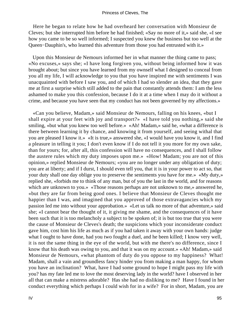Here he began to relate how he had overheard her conversation with Monsieur de Cleves; but she interrupted him before he had finished; «Say no more of it,» said she, «I see how you came to be so well informed; I suspected you knew the business but too well at the Queen−Dauphin's, who learned this adventure from those you had entrusted with it.»

 Upon this Monsieur de Nemours informed her in what manner the thing came to pass; «No excuses,» says she; «I have long forgiven you, without being informed how it was brought about; but since you have learned from my ownself what I designed to conceal from you all my life, I will acknowledge to you that you have inspired me with sentiments I was unacquainted with before I saw you, and of which I had so slender an idea, that they gave me at first a surprise which still added to the pain that constantly attends them: I am the less ashamed to make you this confession, because I do it at a time when I may do it without a crime, and because you have seen that my conduct has not been governed by my affections.»

 «Can you believe, Madam,» said Monsieur de Nemours, falling on his knees, «but I shall expire at your feet with joy and transport?» «I have told you nothing,» said she smiling, «but what you knew too well before.» «Ah! Madam,» said he, «what a difference is there between learning it by chance, and knowing it from yourself, and seeing withal that you are pleased I know it.» «It is true,» answered she, «I would have you know it, and I find a pleasure in telling it you; I don't even know if I do not tell it you more for my own sake, than for yours; for, after all, this confession will have no consequences, and I shall follow the austere rules which my duty imposes upon me.» «How! Madam; you are not of this opinion,» replied Monsieur de Nemours; «you are no longer under any obligation of duty; you are at liberty; and if I durst, I should even tell you, that it is in your power to act so, that your duty shall one day oblige you to preserve the sentiments you have for me.» «My duty,» replied she, «forbids me to think of any man, but of you the last in the world, and for reasons which are unknown to you.» «Those reasons perhaps are not unknown to me,» answered he, «but they are far from being good ones. I believe that Monsieur de Cleves thought me happier than I was, and imagined that you approved of those extravagancies which my passion led me into without your approbation.» «Let us talk no more of that adventure,» said she; «I cannot bear the thought of it, it giving me shame, and the consequences of it have been such that it is too melancholy a subject to be spoken of; it is but too true that you were the cause of Monsieur de Cleves's death; the suspicions which your inconsiderate conduct gave him, cost him his life as much as if you had taken it away with your own hands: judge what I ought to have done, had you two fought a duel, and he been killed; I know very well, it is not the same thing in the eye of the world, but with me there's no difference, since I know that his death was owing to you, and that it was on my account.» «Ah! Madam,» said Monsieur de Nemours, «what phantom of duty do you oppose to my happiness? What! Madam, shall a vain and groundless fancy hinder you from making a man happy, for whom you have an inclination? What, have I had some ground to hope I might pass my life with you? has my fate led me to love the most deserving lady in the world? have I observed in her all that can make a mistress adorable? Has she had no disliking to me? Have I found in her conduct everything which perhaps I could wish for in a wife? For in short, Madam, you are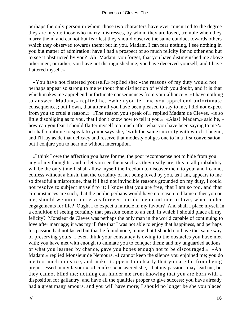perhaps the only person in whom those two characters have ever concurred to the degree they are in you; those who marry mistresses, by whom they are loved, tremble when they marry them, and cannot but fear lest they should observe the same conduct towards others which they observed towards them; but in you, Madam, I can fear nothing, I see nothing in you but matter of admiration: have I had a prospect of so much felicity for no other end but to see it obstructed by you? Ah! Madam, you forget, that you have distinguished me above other men; or rather, you have not distinguished me; you have deceived yourself, and I have flattered myself.»

 «You have not flattered yourself,» replied she; «the reasons of my duty would not perhaps appear so strong to me without that distinction of which you doubt, and it is that which makes me apprehend unfortunate consequences from your alliance.» «I have nothing to answer, Madam,» replied he, «when you tell me you apprehend unfortunate consequences; but I own, that after all you have been pleased to say to me, I did not expect from you so cruel a reason.» «The reason you speak of,» replied Madam de Cleves, «is so little disobliging as to you, that I don't know how to tell it you.» «Alas! Madam,» said he, « how can you fear I should flatter myself too much after what you have been saying to me?» «I shall continue to speak to you,» says she, "with the same sincerity with which I begun, and I'll lay aside that delicacy and reserve that modesty obliges one to in a first conversation, but I conjure you to hear me without interruption.

 «I think I owe the affection you have for me, the poor recompsense not to hide from you any of my thoughts, and to let you see them such as they really are; this in all probability will be the only time I shall allow myself the freedom to discover them to you; and I cannot confess without a blush, that the certainty of not being loved by you, as I am, appears to me so dreadful a misfortune, that if I had not invincible reasons grounded on my duty, I could not resolve to subject myself to it; I know that you are free, that I am so too, and that circumstances are such, that the public perhaps would have no reason to blame either you or me, should we unite ourselves forever; but do men continue to love, when under engagements for life? Ought I to expect a miracle in my favour? And shall I place myself in a condition of seeing certainly that passion come to an end, in which I should place all my felicity? Monsieur de Cleves was perhaps the only man in the world capable of continuing to love after marriage; it was my ill fate that I was not able to enjoy that happiness, and perhaps his passion had not lasted but that he found none, in me; but I should not have the, same way of preserving yours; I even think your constancy is owing to the obstacles you have met with; you have met with enough to animate you to conquer them; and my unguarded actions, or what you learned by chance, gave you hopes enough not to be discouraged.» «Ah! Madam,» replied Monsieur de Nemours, «I cannot keep the silence you enjoined me; you do me too much injustice, and make it appear too clearly that you are far from being prepossessed in my favour.» «I confess,» answered she, "that my passions may lead me, but they cannot blind me; nothing can hinder me from knowing that you are born with a disposition for gallantry, and have all the qualities proper to give success; you have already had a great many amours, and you will have more; I should no longer be she you placed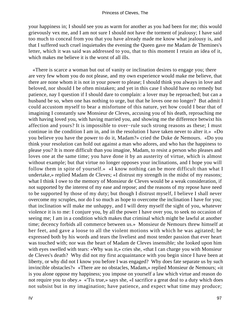your happiness in; I should see you as warm for another as you had been for me; this would grievously vex me, and I am not sure I should not have the torment of jealousy; I have said too much to conceal from you that you have already made me know what jealousy is, and that I suffered such cruel inquietudes the evening the Queen gave me Madam de Themines's letter, which it was said was addressed to you, that to this moment I retain an idea of it, which makes me believe it is the worst of all ills.

 «There is scarce a woman but out of vanity or inclination desires to engage you; there are very few whom you do not please, and my own experience would make me believe, that there are none whom it is not in your power to please; I should think you always in love and beloved, nor should I be often mistaken; and yet in this case I should have no remedy but patience, nay I question if I should dare to complain: a lover may be reproached; but can a husband be so, when one has nothing to urge, but that he loves one no longer? But admit I could accustom myself to bear a misfortune of this nature, yet how could I bear that of imagining I constantly saw Monsieur de Cleves, accusing you of his death, reproaching me with having loved you, with having married you, and showing me the difference betwixt his affection and yours? It is impossible to over−rule such strong reasons as these; I must continue in the condition I am in, and in the resolution I have taken never to alter it.» «Do you believe you have the power to do it, Madam?» cried the Duke de Nemours. «Do you think your resolution can hold out against a man who adores, and who has the happiness to please you? It is more difficult than you imagine, Madam, to resist a person who pleases and loves one at the same time; you have done it by an austerity of virtue, which is almost without example; but that virtue no longer opposes your inclinations, and I hope you will follow them in spite of yourself.» «I know nothing can be more difficult than what I undertake,» replied Madam de Cleves; «I distrust my strength in the midst of my reasons; what I think I owe to the memory of Monsieur de Cleves would be a weak consideration, if not supported by the interest of my ease and repose; and the reasons of my repose have need to be supported by those of my duty; but though I distrust myself, I believe I shall never overcome my scruples, nor do I so much as hope to overcome the inclination I have for you; that inclination will make me unhappy, and I will deny myself the sight of you, whatever violence it is to me: I conjure you, by all the power I have over you, to seek no occasion of seeing me; I am in a condition which makes that criminal which might be lawful at another time; decency forbids all commerce between us.» Monsieur de Nemours threw himself at her feet, and gave a loose to all the violent motions with which he was agitated; he expressed both by his words and tears the liveliest and most tender passion that ever heart was touched with; nor was the heart of Madam de Cleves insensible; she looked upon him with eyes swelled with tears: «Why was it,» cries she, «that I can charge you with Monsieur de Cleves's death? Why did not my first acquaintance with you begin since I have been at liberty, or why did not I know you before I was engaged? Why does fate separate us by such invincible obstacles?» «There are no obstacles, Madam,» replied Monsieur de Nemours; «it is you alone oppose my happiness; you impose on yourself a law which virtue and reason do not require you to obey.» «'Tis true,» says she, «I sacrifice a great deal to a duty which does not subsist but in my imagination; have patience, and expect what time may produce;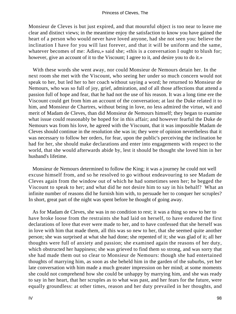Monsieur de Cleves is but just expired, and that mournful object is too near to leave me clear and distinct views; in the meantime enjoy the satisfaction to know you have gained the heart of a person who would never have loved anyone, had she not seen you: believe the inclination I have for you will last forever, and that it will be uniform and the same, whatever becomes of me: Adieu,» said she; «this is a conversation I ought to blush for; however, give an account of it to the Viscount; I agree to it, and desire you to do it.»

 With these words she went away, nor could Monsieur de Nemours detain her. In the next room she met with the Viscount, who seeing her under so much concern would not speak to her, but led her to her coach without saying a word; he returned to Monsieur de Nemours, who was so full of joy, grief, admiration, and of all those affections that attend a passion full of hope and fear, that he had not the use of his reason. It was a long time ere the Viscount could get from him an account of the conversation; at last the Duke related it to him, and Monsieur de Chartres, without being in love, no less admired the virtue, wit and merit of Madam de Cleves, than did Monsieur de Nemours himself; they began to examine what issue could reasonably be hoped for in this affair; and however fearful the Duke de Nemours was from his love, he agreed with the Viscount, that it was impossible Madam de Cleves should continue in the resolution she was in; they were of opinion nevertheless that it was necessary to follow her orders, for fear, upon the public's perceiving the inclination he had for her, she should make declarations and enter into engagements with respect to the world, that she would afterwards abide by, lest it should be thought she loved him in her husband's lifetime.

 Monsieur de Nemours determined to follow the King; it was a journey he could not well excuse himself from, and so he resolved to go without endeavouring to see Madam de Cleves again from the window out of which he had sometimes seen her; he begged the Viscount to speak to her; and what did he not desire him to say in his behalf? What an infinite number of reasons did he furnish him with, to persuade her to conquer her scruples? In short, great part of the night was spent before he thought of going away.

 As for Madam de Cleves, she was in no condition to rest; it was a thing so new to her to have broke loose from the restraints she had laid on herself, to have endured the first declarations of love that ever were made to her, and to have confessed that she herself was in love with him that made them, all this was so new to her, that she seemed quite another person; she was surprised at what she had done; she repented of it; she was glad of it; all her thoughts were full of anxiety and passion; she examined again the reasons of her duty, which obstructed her happiness; she was grieved to find them so strong, and was sorry that she had made them out so clear to Monsieur de Nemours: though she had entertained thoughts of marrying him, as soon as she beheld him in the garden of the suburbs, yet her late conversation with him made a much greater impression on her mind; at some moments she could not comprehend how she could be unhappy by marrying him, and she was ready to say in her heart, that her scruples as to what was past, and her fears for the future, were equally groundless: at other times, reason and her duty prevailed in her thoughts, and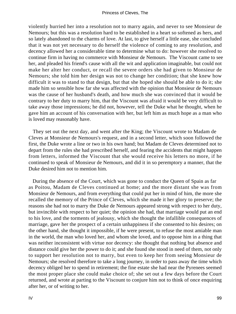violently hurried her into a resolution not to marry again, and never to see Monsieur de Nemours; but this was a resolution hard to be established in a heart so softened as hers, and so lately abandoned to the charms of love. At last, to give herself a little ease, she concluded that it was not yet necessary to do herself the violence of coming to any resolution, and decency allowed her a considerable time to determine what to do: however she resolved to continue firm in having no commerce with Monsieur de Nemours. The Viscount came to see her, and pleaded his friend's cause with all the wit and application imaginable, but could not make her alter her conduct, or recall the severe orders she had given to Monsieur de Nemours; she told him her design was not to change her condition; that she knew how difficult it was to stand to that design, but that she hoped she should be able to do it; she made him so sensible how far she was affected with the opinion that Monsieur de Nemours was the cause of her husband's death, and how much she was convinced that it would be contrary to her duty to marry him, that the Viscount was afraid it would be very difficult to take away those impressions; he did not, however, tell the Duke what he thought, when he gave him an account of his conversation with her, but left him as much hope as a man who is loved may reasonably have.

 They set out the next day, and went after the King; the Viscount wrote to Madam de Cleves at Monsieur de Nemours's request, and in a second letter, which soon followed the first, the Duke wrote a line or two in his own hand; but Madam de Cleves determined not to depart from the rules she had prescribed herself, and fearing the accidents that might happen from letters, informed the Viscount that she would receive his letters no more, if he continued to speak of Monsieur de Nemours, and did it in so peremptory a manner, that the Duke desired him not to mention him.

 During the absence of the Court, which was gone to conduct the Queen of Spain as far as Poitou, Madam de Cleves continued at home; and the more distant she was from Monsieur de Nemours, and from everything that could put her in mind of him, the more she recalled the memory of the Prince of Cleves, which she made it her glory to preserve; the reasons she had not to marry the Duke de Nemours appeared strong with respect to her duty, but invincible with respect to her quiet; the opinion she had, that marriage would put an end to his love, and the torments of jealousy, which she thought the infallible consequences of marriage, gave her the prospect of a certain unhappiness if she consented to his desires; on the other hand, she thought it impossible, if he were present, to refuse the most amiable man in the world, the man who loved her, and whom she loved, and to oppose him in a thing that was neither inconsistent with virtue nor decency: she thought that nothing but absence and distance could give her the power to do it; and she found she stood in need of them, not only to support her resolution not to marry, but even to keep her from seeing Monsieur de Nemours; she resolved therefore to take a long journey, in order to pass away the time which decency obliged her to spend in retirement; the fine estate she had near the Pyrenees seemed the most proper place she could make choice of; she set out a few days before the Court returned, and wrote at parting to the Viscount to conjure him not to think of once enquiring after her, or of writing to her.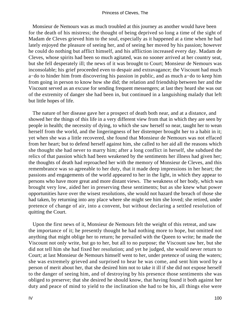Monsieur de Nemours was as much troubled at this journey as another would have been for the death of his mistress; the thought of being deprived so long a time of the sight of Madam de Cleves grieved him to the soul, especially as it happened at a time when he had lately enjoyed the pleasure of seeing her, and of seeing her moved by his passion; however he could do nothing but afflict himself, and his affliction increased every day. Madam de Cleves, whose spirits had been so much agitated, was no sooner arrived at her country seat, but she fell desperately ill; the news of it was brought to Court; Monsieur de Nemours was inconsolable; his grief proceeded even to despair and extravagance; the Viscount had much a−do to hinder him from discovering his passion in public, and as much a−do to keep him from going in person to know how she did; the relation and friendship between her and the Viscount served as an excuse for sending frequent messengers; at last they heard she was out of the extremity of danger she had been in, but continued in a languishing malady that left but little hopes of life.

 The nature of her disease gave her a prospect of death both near, and at a distance, and showed her the things of this life in a very different view from that in which they are seen by people in health; the necessity of dying, to which she saw herself so near, taught her to wean herself from the world, and the lingeringness of her distemper brought her to a habit in it; yet when she was a little recovered, she found that Monsieur de Nemours was not effaced from her heart; but to defend herself against him, she called to her aid all the reasons which she thought she had never to marry him; after a long conflict in herself, she subdued the relics of that passion which had been weakened by the sentiments her illness had given her; the thoughts of death had reproached her with the memory of Monsieur de Cleves, and this remembrance was so agreeable to her duty, that it made deep impressions in her heart; the passions and engagements of the world appeared to her in the light, in which they appear to persons who have more great and more distant views. The weakness of her body, which was brought very low, aided her in preserving these sentiments; but as she knew what power opportunities have over the wisest resolutions, she would not hazard the breach of those she had taken, by returning into any place where she might see him she loved; she retired, under pretence of change of air, into a convent, but without declaring a settled resolution of quitting the Court.

 Upon the first news of it, Monsieur de Nemours felt the weight of this retreat, and saw the importance of it; he presently thought he had nothing more to hope, but omitted not anything that might oblige her to return; he prevailed with the Queen to write; he made the Viscount not only write, but go to her, but all to no purpose; the Viscount saw her, but she did not tell him she had fixed her resolution; and yet he judged, she would never return to Court; at last Monsieur de Nemours himself went to her, under pretence of using the waters; she was extremely grieved and surprised to hear he was come, and sent him word by a person of merit about her, that she desired him not to take it ill if she did not expose herself to the danger of seeing him, and of destroying by his presence those sentiments she was obliged to preserve; that she desired he should know, that having found it both against her duty and peace of mind to yield to the inclination she had to be his, all things else were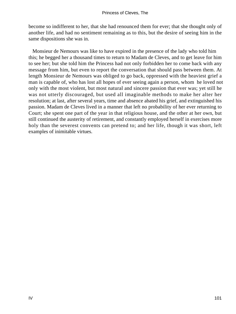become so indifferent to her, that she had renounced them for ever; that she thought only of another life, and had no sentiment remaining as to this, but the desire of seeing him in the same dispositions she was in.

 Monsieur de Nemours was like to have expired in the presence of the lady who told him this; he begged her a thousand times to return to Madam de Cleves, and to get leave for him to see her; but she told him the Princess had not only forbidden her to come back with any message from him, but even to report the conversation that should pass between them. At length Monsieur de Nemours was obliged to go back, oppressed with the heaviest grief a man is capable of, who has lost all hopes of ever seeing again a person, whom he loved not only with the most violent, but most natural and sincere passion that ever was; yet still he was not utterly discouraged, but used all imaginable methods to make her alter her resolution; at last, after several years, time and absence abated his grief, and extinguished his passion. Madam de Cleves lived in a manner that left no probability of her ever returning to Court; she spent one part of the year in that religious house, and the other at her own, but still continued the austerity of retirement, and constantly employed herself in exercises more holy than the severest convents can pretend to; and her life, though it was short, left examples of inimitable virtues.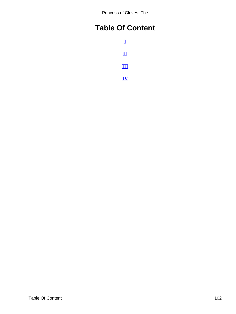Princess of Cleves, The

# <span id="page-102-0"></span>**Table Of Content**

**[I](#page-3-0) [II](#page-29-0) [III](#page-53-0) [IV](#page-78-0)**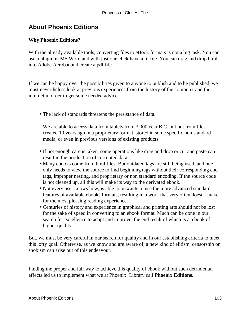# **About Phoenix Editions**

### **Why Phoenix Editions?**

With the already available tools, converting files to eBook formats is not a big task. You can use a plugin in MS Word and with just one click have a lit file. You can drag and drop html into Adobe Acrobat and create a pdf file.

If we can be happy over the possibilities given to anyone to publish and to be published, we must nevertheless look at previous experiences from the history of the computer and the internet in order to get some needed advice:

• The lack of standards threatens the persistance of data.

We are able to access data from tablets from 3.000 year B.C. but not from files created 10 years ago in a proprietary format, stored in some specific non standard media, or even in previous versions of existing products.

- If not enough care is taken, some operations like drag and drop or cut and paste can result in the production of corrupted data.
- Many ebooks come from html files. But outdated tags are still being used, and one only needs to view the source to find beginning tags without their corresponding end tags, improper nesting, and proprietary or non standard encoding. If the source code is not cleaned up, all this will make its way to the derivated ebook.
- Not every user knows how, is able to or wants to use the more advanced standard features of available ebooks formats, resulting in a work that very often doesn't make for the most pleasing reading experience.
- Centuries of history and experience in graphical and printing arts should not be lost for the sake of speed in converting to an ebook format. Much can be done in our search for excellence to adapt and improve, the end result of which is a ebook of higher quality.

But, we must be very careful in our search for quality and in our establishing criteria to meet this lofty goal. Otherwise, as we know and are aware of, a new kind of elitism, censorship or snobism can arise out of this endeavour.

Finding the proper and fair way to achieve this quality of ebook without such detrimental effects led us to implement what we at Phoenix−Library call **Phoenix Editions**.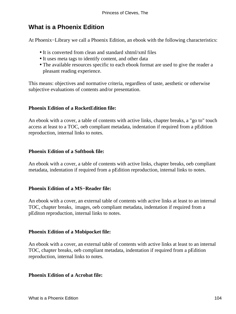## **What is a Phoenix Edition**

At Phoenix−Library we call a Phoenix Edition, an ebook with the following characteristics:

- It is converted from clean and standard xhtml/xml files
- It uses meta tags to identify content, and other data
- The available resources specific to each ebook format are used to give the reader a pleasant reading experience.

This means: objectives and normative criteria, regardless of taste, aesthetic or otherwise subjective evaluations of contents and/or presentation.

### **Phoenix Edition of a RocketEdition file:**

An ebook with a cover, a table of contents with active links, chapter breaks, a "go to" touch access at least to a TOC, oeb compliant metadata, indentation if required from a pEdition reproduction, internal links to notes.

### **Phoenix Edition of a Softbook file:**

An ebook with a cover, a table of contents with active links, chapter breaks, oeb compliant metadata, indentation if required from a pEdition reproduction, internal links to notes.

#### **Phoenix Edition of a MS−Reader file:**

An ebook with a cover, an external table of contents with active links at least to an internal TOC, chapter breaks, images, oeb compliant metadata, indentation if required from a pEditon reproduction, internal links to notes.

#### **Phoenix Edition of a Mobipocket file:**

An ebook with a cover, an external table of contents with active links at least to an internal TOC, chapter breaks, oeb compliant metadata, indentation if required from a pEdition reproduction, internal links to notes.

#### **Phoenix Edition of a Acrobat file:**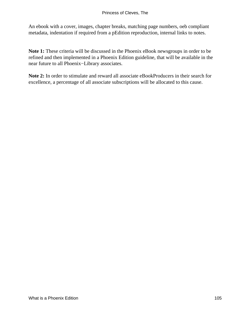An ebook with a cover, images, chapter breaks, matching page numbers, oeb compliant metadata, indentation if required from a pEdition reproduction, internal links to notes.

**Note 1:** These criteria will be discussed in the Phoenix eBook newsgroups in order to be refined and then implemented in a Phoenix Edition guideline, that will be available in the near future to all Phoenix−Library associates.

**Note 2:** In order to stimulate and reward all associate eBookProducers in their search for excellence, a percentage of all associate subscriptions will be allocated to this cause.